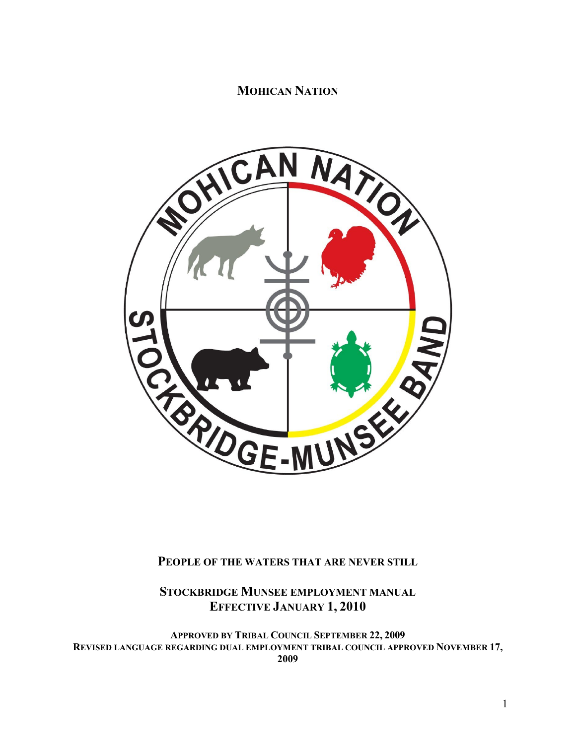# **MOHICAN NATION**



# **PEOPLE OF THE WATERS THAT ARE NEVER STILL**

# **STOCKBRIDGE MUNSEE EMPLOYMENT MANUAL EFFECTIVE JANUARY 1, 2010**

**APPROVED BY TRIBAL COUNCIL SEPTEMBER 22, 2009 REVISED LANGUAGE REGARDING DUAL EMPLOYMENT TRIBAL COUNCIL APPROVED NOVEMBER 17, 2009**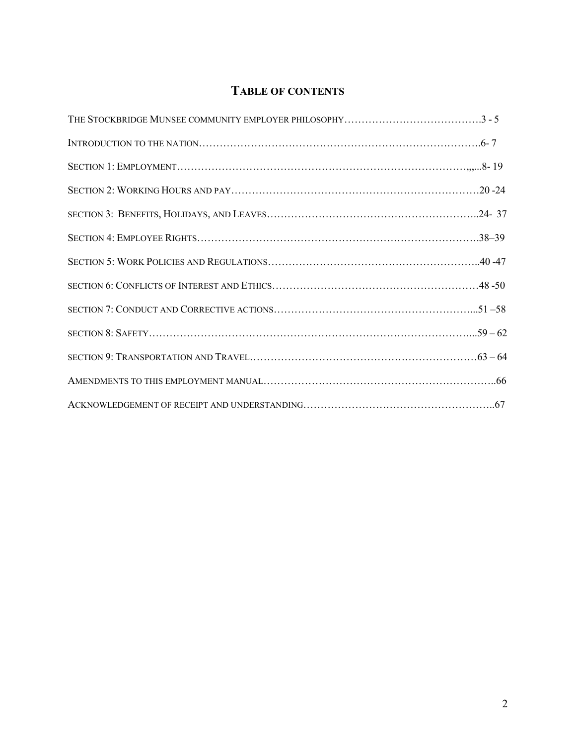# **TABLE OF CONTENTS**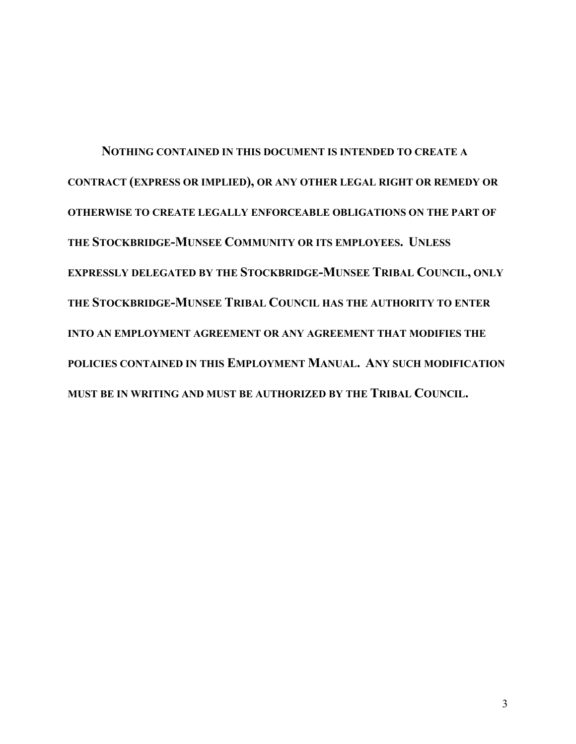**NOTHING CONTAINED IN THIS DOCUMENT IS INTENDED TO CREATE A CONTRACT (EXPRESS OR IMPLIED), OR ANY OTHER LEGAL RIGHT OR REMEDY OR OTHERWISE TO CREATE LEGALLY ENFORCEABLE OBLIGATIONS ON THE PART OF THE STOCKBRIDGE-MUNSEE COMMUNITY OR ITS EMPLOYEES. UNLESS EXPRESSLY DELEGATED BY THE STOCKBRIDGE-MUNSEE TRIBAL COUNCIL, ONLY THE STOCKBRIDGE-MUNSEE TRIBAL COUNCIL HAS THE AUTHORITY TO ENTER INTO AN EMPLOYMENT AGREEMENT OR ANY AGREEMENT THAT MODIFIES THE POLICIES CONTAINED IN THIS EMPLOYMENT MANUAL. ANY SUCH MODIFICATION MUST BE IN WRITING AND MUST BE AUTHORIZED BY THE TRIBAL COUNCIL.**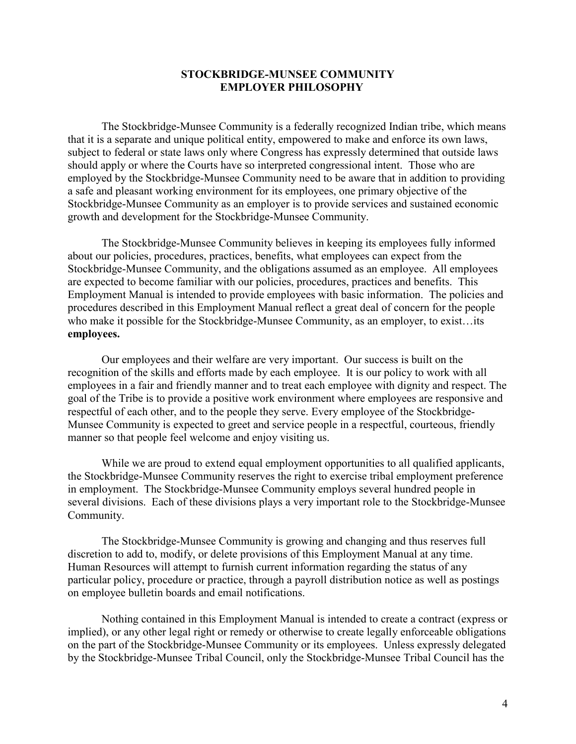### **STOCKBRIDGE-MUNSEE COMMUNITY EMPLOYER PHILOSOPHY**

The Stockbridge-Munsee Community is a federally recognized Indian tribe, which means that it is a separate and unique political entity, empowered to make and enforce its own laws, subject to federal or state laws only where Congress has expressly determined that outside laws should apply or where the Courts have so interpreted congressional intent. Those who are employed by the Stockbridge-Munsee Community need to be aware that in addition to providing a safe and pleasant working environment for its employees, one primary objective of the Stockbridge-Munsee Community as an employer is to provide services and sustained economic growth and development for the Stockbridge-Munsee Community.

The Stockbridge-Munsee Community believes in keeping its employees fully informed about our policies, procedures, practices, benefits, what employees can expect from the Stockbridge-Munsee Community, and the obligations assumed as an employee. All employees are expected to become familiar with our policies, procedures, practices and benefits. This Employment Manual is intended to provide employees with basic information. The policies and procedures described in this Employment Manual reflect a great deal of concern for the people who make it possible for the Stockbridge-Munsee Community, as an employer, to exist…its **employees.**

Our employees and their welfare are very important. Our success is built on the recognition of the skills and efforts made by each employee. It is our policy to work with all employees in a fair and friendly manner and to treat each employee with dignity and respect. The goal of the Tribe is to provide a positive work environment where employees are responsive and respectful of each other, and to the people they serve. Every employee of the Stockbridge-Munsee Community is expected to greet and service people in a respectful, courteous, friendly manner so that people feel welcome and enjoy visiting us.

While we are proud to extend equal employment opportunities to all qualified applicants, the Stockbridge-Munsee Community reserves the right to exercise tribal employment preference in employment. The Stockbridge-Munsee Community employs several hundred people in several divisions. Each of these divisions plays a very important role to the Stockbridge-Munsee Community.

The Stockbridge-Munsee Community is growing and changing and thus reserves full discretion to add to, modify, or delete provisions of this Employment Manual at any time. Human Resources will attempt to furnish current information regarding the status of any particular policy, procedure or practice, through a payroll distribution notice as well as postings on employee bulletin boards and email notifications.

Nothing contained in this Employment Manual is intended to create a contract (express or implied), or any other legal right or remedy or otherwise to create legally enforceable obligations on the part of the Stockbridge-Munsee Community or its employees. Unless expressly delegated by the Stockbridge-Munsee Tribal Council, only the Stockbridge-Munsee Tribal Council has the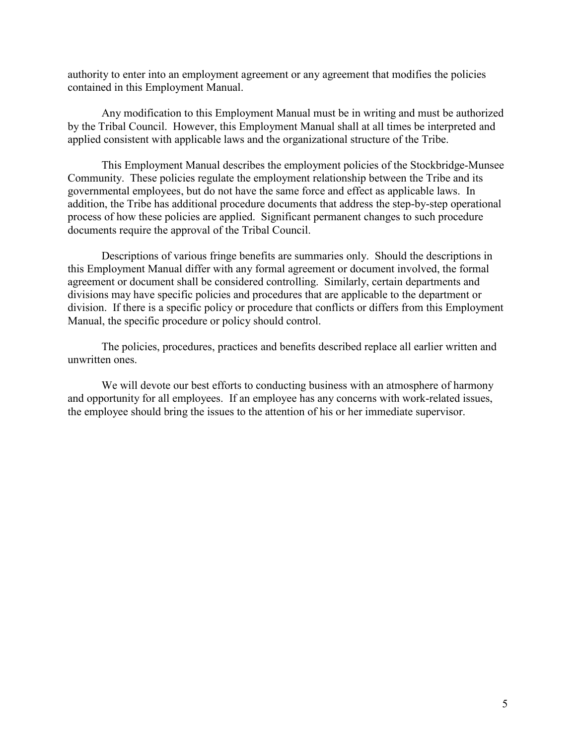authority to enter into an employment agreement or any agreement that modifies the policies contained in this Employment Manual.

Any modification to this Employment Manual must be in writing and must be authorized by the Tribal Council. However, this Employment Manual shall at all times be interpreted and applied consistent with applicable laws and the organizational structure of the Tribe.

This Employment Manual describes the employment policies of the Stockbridge-Munsee Community. These policies regulate the employment relationship between the Tribe and its governmental employees, but do not have the same force and effect as applicable laws. In addition, the Tribe has additional procedure documents that address the step-by-step operational process of how these policies are applied. Significant permanent changes to such procedure documents require the approval of the Tribal Council.

Descriptions of various fringe benefits are summaries only. Should the descriptions in this Employment Manual differ with any formal agreement or document involved, the formal agreement or document shall be considered controlling. Similarly, certain departments and divisions may have specific policies and procedures that are applicable to the department or division. If there is a specific policy or procedure that conflicts or differs from this Employment Manual, the specific procedure or policy should control.

The policies, procedures, practices and benefits described replace all earlier written and unwritten ones.

We will devote our best efforts to conducting business with an atmosphere of harmony and opportunity for all employees. If an employee has any concerns with work-related issues, the employee should bring the issues to the attention of his or her immediate supervisor.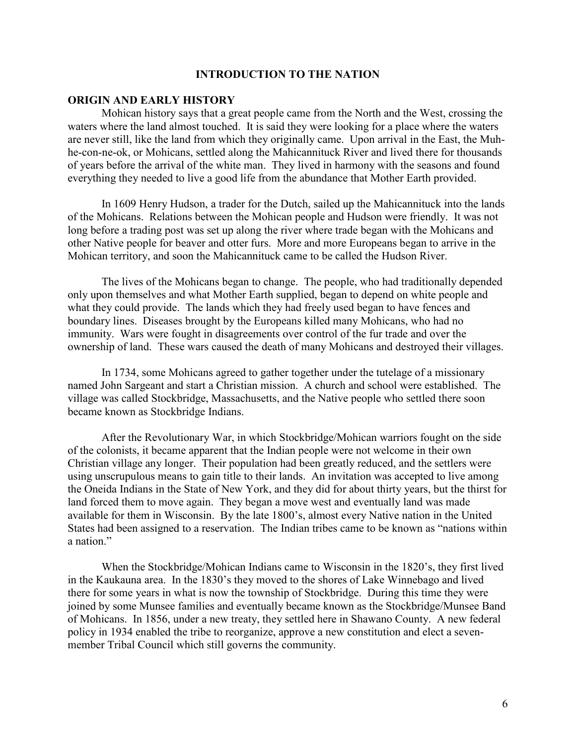#### **INTRODUCTION TO THE NATION**

#### **ORIGIN AND EARLY HISTORY**

Mohican history says that a great people came from the North and the West, crossing the waters where the land almost touched. It is said they were looking for a place where the waters are never still, like the land from which they originally came. Upon arrival in the East, the Muhhe-con-ne-ok, or Mohicans, settled along the Mahicannituck River and lived there for thousands of years before the arrival of the white man. They lived in harmony with the seasons and found everything they needed to live a good life from the abundance that Mother Earth provided.

In 1609 Henry Hudson, a trader for the Dutch, sailed up the Mahicannituck into the lands of the Mohicans. Relations between the Mohican people and Hudson were friendly. It was not long before a trading post was set up along the river where trade began with the Mohicans and other Native people for beaver and otter furs. More and more Europeans began to arrive in the Mohican territory, and soon the Mahicannituck came to be called the Hudson River.

The lives of the Mohicans began to change. The people, who had traditionally depended only upon themselves and what Mother Earth supplied, began to depend on white people and what they could provide. The lands which they had freely used began to have fences and boundary lines. Diseases brought by the Europeans killed many Mohicans, who had no immunity. Wars were fought in disagreements over control of the fur trade and over the ownership of land. These wars caused the death of many Mohicans and destroyed their villages.

In 1734, some Mohicans agreed to gather together under the tutelage of a missionary named John Sargeant and start a Christian mission. A church and school were established. The village was called Stockbridge, Massachusetts, and the Native people who settled there soon became known as Stockbridge Indians.

After the Revolutionary War, in which Stockbridge/Mohican warriors fought on the side of the colonists, it became apparent that the Indian people were not welcome in their own Christian village any longer. Their population had been greatly reduced, and the settlers were using unscrupulous means to gain title to their lands. An invitation was accepted to live among the Oneida Indians in the State of New York, and they did for about thirty years, but the thirst for land forced them to move again. They began a move west and eventually land was made available for them in Wisconsin. By the late 1800's, almost every Native nation in the United States had been assigned to a reservation. The Indian tribes came to be known as "nations within a nation."

When the Stockbridge/Mohican Indians came to Wisconsin in the 1820's, they first lived in the Kaukauna area. In the 1830's they moved to the shores of Lake Winnebago and lived there for some years in what is now the township of Stockbridge. During this time they were joined by some Munsee families and eventually became known as the Stockbridge/Munsee Band of Mohicans. In 1856, under a new treaty, they settled here in Shawano County. A new federal policy in 1934 enabled the tribe to reorganize, approve a new constitution and elect a sevenmember Tribal Council which still governs the community.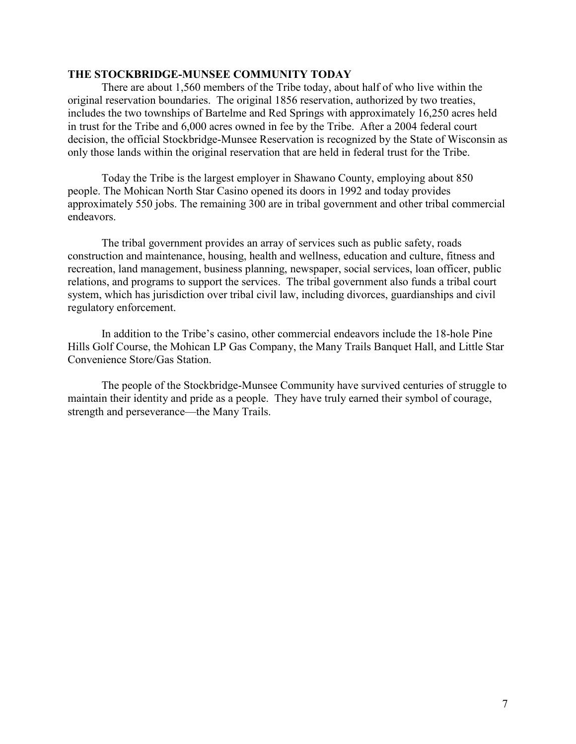### **THE STOCKBRIDGE-MUNSEE COMMUNITY TODAY**

There are about 1,560 members of the Tribe today, about half of who live within the original reservation boundaries. The original 1856 reservation, authorized by two treaties, includes the two townships of Bartelme and Red Springs with approximately 16,250 acres held in trust for the Tribe and 6,000 acres owned in fee by the Tribe. After a 2004 federal court decision, the official Stockbridge-Munsee Reservation is recognized by the State of Wisconsin as only those lands within the original reservation that are held in federal trust for the Tribe.

Today the Tribe is the largest employer in Shawano County, employing about 850 people. The Mohican North Star Casino opened its doors in 1992 and today provides approximately 550 jobs. The remaining 300 are in tribal government and other tribal commercial endeavors.

The tribal government provides an array of services such as public safety, roads construction and maintenance, housing, health and wellness, education and culture, fitness and recreation, land management, business planning, newspaper, social services, loan officer, public relations, and programs to support the services. The tribal government also funds a tribal court system, which has jurisdiction over tribal civil law, including divorces, guardianships and civil regulatory enforcement.

In addition to the Tribe's casino, other commercial endeavors include the 18-hole Pine Hills Golf Course, the Mohican LP Gas Company, the Many Trails Banquet Hall, and Little Star Convenience Store/Gas Station.

The people of the Stockbridge-Munsee Community have survived centuries of struggle to maintain their identity and pride as a people. They have truly earned their symbol of courage, strength and perseverance—the Many Trails.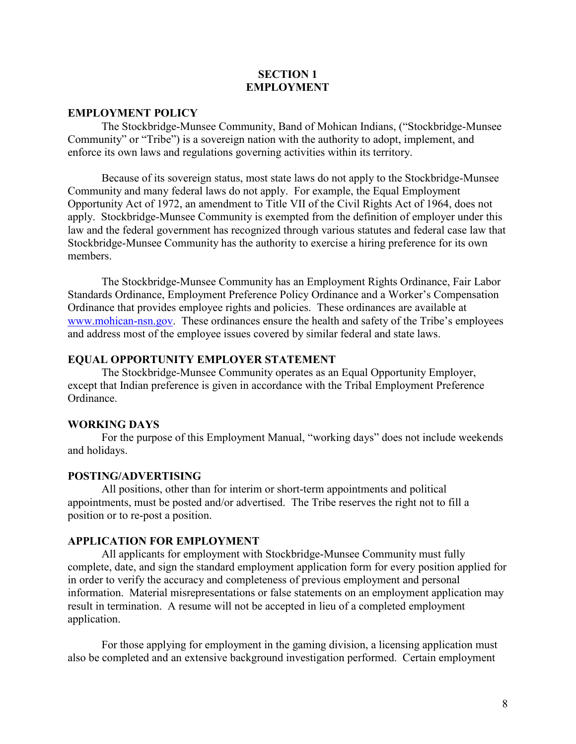#### **SECTION 1 EMPLOYMENT**

#### **EMPLOYMENT POLICY**

The Stockbridge-Munsee Community, Band of Mohican Indians, ("Stockbridge-Munsee Community" or "Tribe") is a sovereign nation with the authority to adopt, implement, and enforce its own laws and regulations governing activities within its territory.

Because of its sovereign status, most state laws do not apply to the Stockbridge-Munsee Community and many federal laws do not apply. For example, the Equal Employment Opportunity Act of 1972, an amendment to Title VII of the Civil Rights Act of 1964, does not apply. Stockbridge-Munsee Community is exempted from the definition of employer under this law and the federal government has recognized through various statutes and federal case law that Stockbridge-Munsee Community has the authority to exercise a hiring preference for its own members.

The Stockbridge-Munsee Community has an Employment Rights Ordinance, Fair Labor Standards Ordinance, Employment Preference Policy Ordinance and a Worker's Compensation Ordinance that provides employee rights and policies. These ordinances are available at [www.mohican-nsn.gov.](http://www.mohican-nsn.gov/) These ordinances ensure the health and safety of the Tribe's employees and address most of the employee issues covered by similar federal and state laws.

#### **EQUAL OPPORTUNITY EMPLOYER STATEMENT**

The Stockbridge-Munsee Community operates as an Equal Opportunity Employer, except that Indian preference is given in accordance with the Tribal Employment Preference Ordinance.

#### **WORKING DAYS**

 For the purpose of this Employment Manual, "working days" does not include weekends and holidays.

#### **POSTING/ADVERTISING**

All positions, other than for interim or short-term appointments and political appointments, must be posted and/or advertised. The Tribe reserves the right not to fill a position or to re-post a position.

#### **APPLICATION FOR EMPLOYMENT**

All applicants for employment with Stockbridge-Munsee Community must fully complete, date, and sign the standard employment application form for every position applied for in order to verify the accuracy and completeness of previous employment and personal information. Material misrepresentations or false statements on an employment application may result in termination. A resume will not be accepted in lieu of a completed employment application.

For those applying for employment in the gaming division, a licensing application must also be completed and an extensive background investigation performed. Certain employment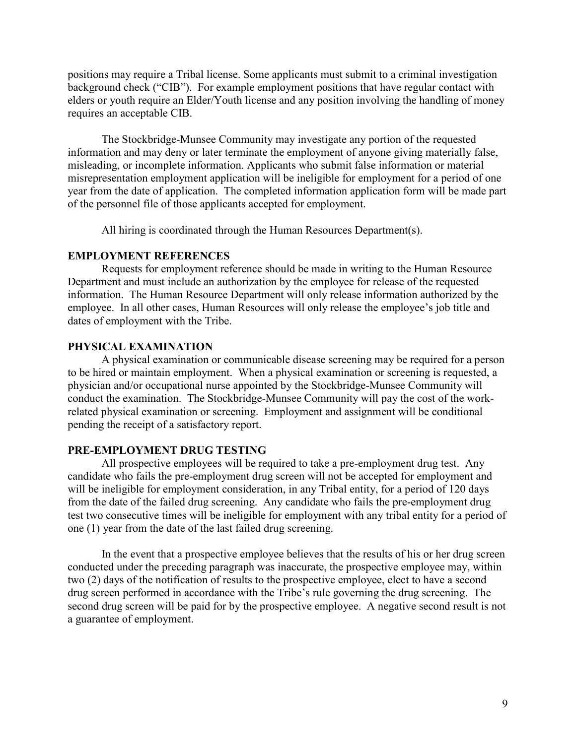positions may require a Tribal license. Some applicants must submit to a criminal investigation background check ("CIB"). For example employment positions that have regular contact with elders or youth require an Elder/Youth license and any position involving the handling of money requires an acceptable CIB.

The Stockbridge-Munsee Community may investigate any portion of the requested information and may deny or later terminate the employment of anyone giving materially false, misleading, or incomplete information. Applicants who submit false information or material misrepresentation employment application will be ineligible for employment for a period of one year from the date of application. The completed information application form will be made part of the personnel file of those applicants accepted for employment.

All hiring is coordinated through the Human Resources Department(s).

#### **EMPLOYMENT REFERENCES**

Requests for employment reference should be made in writing to the Human Resource Department and must include an authorization by the employee for release of the requested information. The Human Resource Department will only release information authorized by the employee. In all other cases, Human Resources will only release the employee's job title and dates of employment with the Tribe.

### **PHYSICAL EXAMINATION**

A physical examination or communicable disease screening may be required for a person to be hired or maintain employment. When a physical examination or screening is requested, a physician and/or occupational nurse appointed by the Stockbridge-Munsee Community will conduct the examination. The Stockbridge-Munsee Community will pay the cost of the workrelated physical examination or screening. Employment and assignment will be conditional pending the receipt of a satisfactory report.

### **PRE-EMPLOYMENT DRUG TESTING**

All prospective employees will be required to take a pre-employment drug test. Any candidate who fails the pre-employment drug screen will not be accepted for employment and will be ineligible for employment consideration, in any Tribal entity, for a period of 120 days from the date of the failed drug screening. Any candidate who fails the pre-employment drug test two consecutive times will be ineligible for employment with any tribal entity for a period of one (1) year from the date of the last failed drug screening.

In the event that a prospective employee believes that the results of his or her drug screen conducted under the preceding paragraph was inaccurate, the prospective employee may, within two (2) days of the notification of results to the prospective employee, elect to have a second drug screen performed in accordance with the Tribe's rule governing the drug screening. The second drug screen will be paid for by the prospective employee. A negative second result is not a guarantee of employment.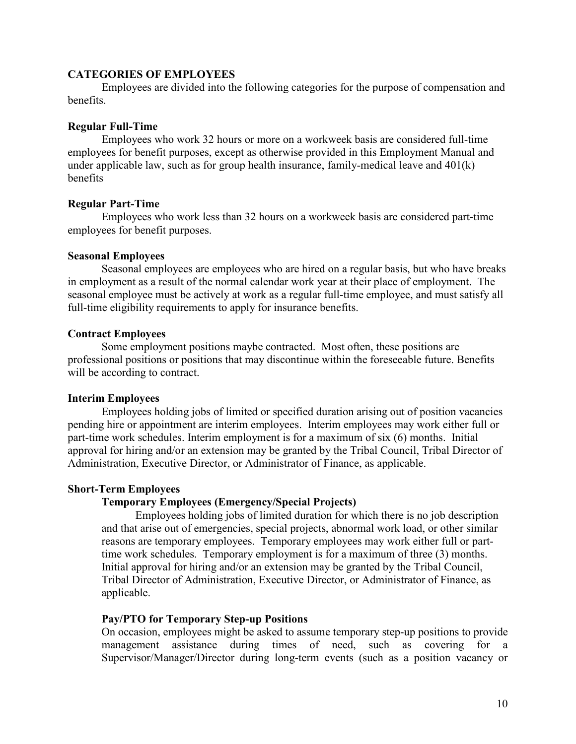### **CATEGORIES OF EMPLOYEES**

Employees are divided into the following categories for the purpose of compensation and benefits.

### **Regular Full-Time**

Employees who work 32 hours or more on a workweek basis are considered full-time employees for benefit purposes, except as otherwise provided in this Employment Manual and under applicable law, such as for group health insurance, family-medical leave and 401(k) benefits

### **Regular Part-Time**

Employees who work less than 32 hours on a workweek basis are considered part-time employees for benefit purposes.

### **Seasonal Employees**

Seasonal employees are employees who are hired on a regular basis, but who have breaks in employment as a result of the normal calendar work year at their place of employment. The seasonal employee must be actively at work as a regular full-time employee, and must satisfy all full-time eligibility requirements to apply for insurance benefits.

### **Contract Employees**

Some employment positions maybe contracted. Most often, these positions are professional positions or positions that may discontinue within the foreseeable future. Benefits will be according to contract.

### **Interim Employees**

Employees holding jobs of limited or specified duration arising out of position vacancies pending hire or appointment are interim employees. Interim employees may work either full or part-time work schedules. Interim employment is for a maximum of six (6) months. Initial approval for hiring and/or an extension may be granted by the Tribal Council, Tribal Director of Administration, Executive Director, or Administrator of Finance, as applicable.

#### **Short-Term Employees**

### **Temporary Employees (Emergency/Special Projects)**

Employees holding jobs of limited duration for which there is no job description and that arise out of emergencies, special projects, abnormal work load, or other similar reasons are temporary employees. Temporary employees may work either full or parttime work schedules. Temporary employment is for a maximum of three (3) months. Initial approval for hiring and/or an extension may be granted by the Tribal Council, Tribal Director of Administration, Executive Director, or Administrator of Finance, as applicable.

#### **Pay/PTO for Temporary Step-up Positions**

On occasion, employees might be asked to assume temporary step-up positions to provide management assistance during times of need, such as covering for a Supervisor/Manager/Director during long-term events (such as a position vacancy or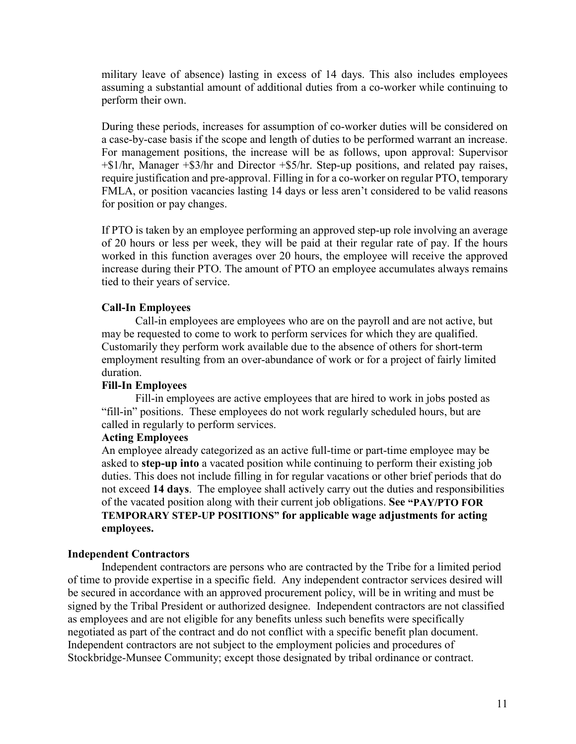military leave of absence) lasting in excess of 14 days. This also includes employees assuming a substantial amount of additional duties from a co-worker while continuing to perform their own.

During these periods, increases for assumption of co-worker duties will be considered on a case-by-case basis if the scope and length of duties to be performed warrant an increase. For management positions, the increase will be as follows, upon approval: Supervisor +\$1/hr, Manager +\$3/hr and Director +\$5/hr. Step-up positions, and related pay raises, require justification and pre-approval. Filling in for a co-worker on regular PTO, temporary FMLA, or position vacancies lasting 14 days or less aren't considered to be valid reasons for position or pay changes.

If PTO is taken by an employee performing an approved step-up role involving an average of 20 hours or less per week, they will be paid at their regular rate of pay. If the hours worked in this function averages over 20 hours, the employee will receive the approved increase during their PTO. The amount of PTO an employee accumulates always remains tied to their years of service.

# **Call-In Employees**

Call-in employees are employees who are on the payroll and are not active, but may be requested to come to work to perform services for which they are qualified. Customarily they perform work available due to the absence of others for short-term employment resulting from an over-abundance of work or for a project of fairly limited duration.

# **Fill-In Employees**

Fill-in employees are active employees that are hired to work in jobs posted as "fill-in" positions. These employees do not work regularly scheduled hours, but are called in regularly to perform services.

# **Acting Employees**

An employee already categorized as an active full-time or part-time employee may be asked to **step-up into** a vacated position while continuing to perform their existing job duties. This does not include filling in for regular vacations or other brief periods that do not exceed **14 days**. The employee shall actively carry out the duties and responsibilities of the vacated position along with their current job obligations. **See "PAY/PTO FOR TEMPORARY STEP-UP POSITIONS" for applicable wage adjustments for acting employees.**

# **Independent Contractors**

Independent contractors are persons who are contracted by the Tribe for a limited period of time to provide expertise in a specific field. Any independent contractor services desired will be secured in accordance with an approved procurement policy, will be in writing and must be signed by the Tribal President or authorized designee. Independent contractors are not classified as employees and are not eligible for any benefits unless such benefits were specifically negotiated as part of the contract and do not conflict with a specific benefit plan document. Independent contractors are not subject to the employment policies and procedures of Stockbridge-Munsee Community; except those designated by tribal ordinance or contract.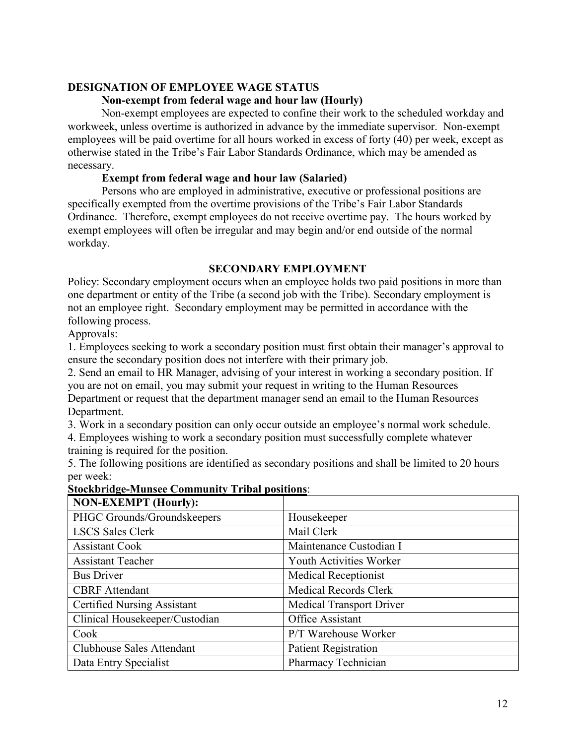# **DESIGNATION OF EMPLOYEE WAGE STATUS**

### **Non-exempt from federal wage and hour law (Hourly)**

Non-exempt employees are expected to confine their work to the scheduled workday and workweek, unless overtime is authorized in advance by the immediate supervisor. Non-exempt employees will be paid overtime for all hours worked in excess of forty (40) per week, except as otherwise stated in the Tribe's Fair Labor Standards Ordinance, which may be amended as necessary.

### **Exempt from federal wage and hour law (Salaried)**

 Persons who are employed in administrative, executive or professional positions are specifically exempted from the overtime provisions of the Tribe's Fair Labor Standards Ordinance. Therefore, exempt employees do not receive overtime pay. The hours worked by exempt employees will often be irregular and may begin and/or end outside of the normal workday.

### **SECONDARY EMPLOYMENT**

Policy: Secondary employment occurs when an employee holds two paid positions in more than one department or entity of the Tribe (a second job with the Tribe). Secondary employment is not an employee right. Secondary employment may be permitted in accordance with the following process.

Approvals:

1. Employees seeking to work a secondary position must first obtain their manager's approval to ensure the secondary position does not interfere with their primary job.

2. Send an email to HR Manager, advising of your interest in working a secondary position. If you are not on email, you may submit your request in writing to the Human Resources Department or request that the department manager send an email to the Human Resources Department.

3. Work in a secondary position can only occur outside an employee's normal work schedule.

4. Employees wishing to work a secondary position must successfully complete whatever training is required for the position.

5. The following positions are identified as secondary positions and shall be limited to 20 hours per week:

| <b>NON-EXEMPT</b> (Hourly):        |                                 |
|------------------------------------|---------------------------------|
| PHGC Grounds/Groundskeepers        | Housekeeper                     |
| <b>LSCS Sales Clerk</b>            | Mail Clerk                      |
| <b>Assistant Cook</b>              | Maintenance Custodian I         |
| <b>Assistant Teacher</b>           | Youth Activities Worker         |
| <b>Bus Driver</b>                  | <b>Medical Receptionist</b>     |
| <b>CBRF</b> Attendant              | <b>Medical Records Clerk</b>    |
| <b>Certified Nursing Assistant</b> | <b>Medical Transport Driver</b> |
| Clinical Housekeeper/Custodian     | Office Assistant                |
| Cook                               | P/T Warehouse Worker            |
| <b>Clubhouse Sales Attendant</b>   | <b>Patient Registration</b>     |
| Data Entry Specialist              | Pharmacy Technician             |

#### **Stockbridge-Munsee Community Tribal positions**: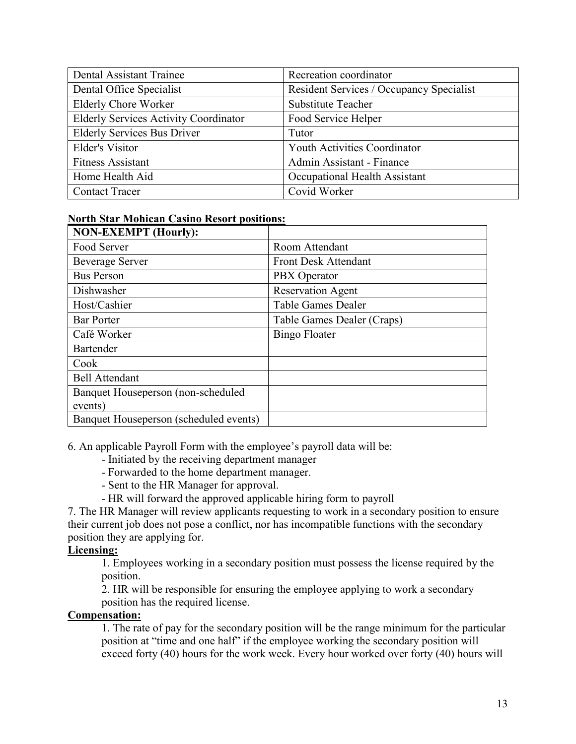| <b>Dental Assistant Trainee</b>              | Recreation coordinator                   |
|----------------------------------------------|------------------------------------------|
| Dental Office Specialist                     | Resident Services / Occupancy Specialist |
| <b>Elderly Chore Worker</b>                  | <b>Substitute Teacher</b>                |
| <b>Elderly Services Activity Coordinator</b> | Food Service Helper                      |
| <b>Elderly Services Bus Driver</b>           | Tutor                                    |
| <b>Elder's Visitor</b>                       | <b>Youth Activities Coordinator</b>      |
| <b>Fitness Assistant</b>                     | Admin Assistant - Finance                |
| Home Health Aid                              | Occupational Health Assistant            |
| <b>Contact Tracer</b>                        | Covid Worker                             |

| <b>North Star Mohican Casino Resort positions:</b> |
|----------------------------------------------------|
|----------------------------------------------------|

| <b>NON-EXEMPT</b> (Hourly):            |                            |
|----------------------------------------|----------------------------|
| Food Server                            | Room Attendant             |
| <b>Beverage Server</b>                 | Front Desk Attendant       |
| <b>Bus Person</b>                      | PBX Operator               |
| Dishwasher                             | <b>Reservation Agent</b>   |
| Host/Cashier                           | Table Games Dealer         |
| <b>Bar Porter</b>                      | Table Games Dealer (Craps) |
| Café Worker                            | <b>Bingo Floater</b>       |
| Bartender                              |                            |
| Cook                                   |                            |
| <b>Bell Attendant</b>                  |                            |
| Banquet Houseperson (non-scheduled     |                            |
| events)                                |                            |
| Banquet Houseperson (scheduled events) |                            |

6. An applicable Payroll Form with the employee's payroll data will be:

- Initiated by the receiving department manager
- Forwarded to the home department manager.
- Sent to the HR Manager for approval.
- HR will forward the approved applicable hiring form to payroll

7. The HR Manager will review applicants requesting to work in a secondary position to ensure their current job does not pose a conflict, nor has incompatible functions with the secondary position they are applying for.

# **Licensing:**

1. Employees working in a secondary position must possess the license required by the position.

2. HR will be responsible for ensuring the employee applying to work a secondary position has the required license.

# **Compensation:**

1. The rate of pay for the secondary position will be the range minimum for the particular position at "time and one half" if the employee working the secondary position will exceed forty (40) hours for the work week. Every hour worked over forty (40) hours will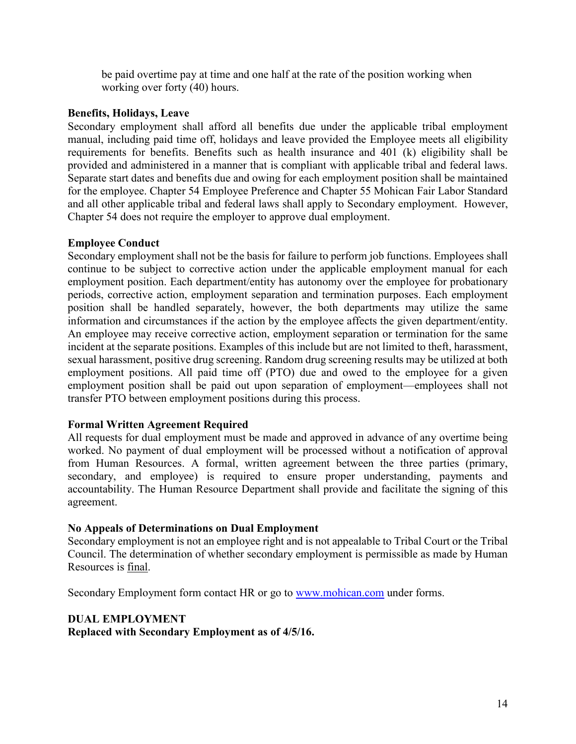be paid overtime pay at time and one half at the rate of the position working when working over forty (40) hours.

## **Benefits, Holidays, Leave**

Secondary employment shall afford all benefits due under the applicable tribal employment manual, including paid time off, holidays and leave provided the Employee meets all eligibility requirements for benefits. Benefits such as health insurance and 401 (k) eligibility shall be provided and administered in a manner that is compliant with applicable tribal and federal laws. Separate start dates and benefits due and owing for each employment position shall be maintained for the employee. Chapter 54 Employee Preference and Chapter 55 Mohican Fair Labor Standard and all other applicable tribal and federal laws shall apply to Secondary employment. However, Chapter 54 does not require the employer to approve dual employment.

# **Employee Conduct**

Secondary employment shall not be the basis for failure to perform job functions. Employees shall continue to be subject to corrective action under the applicable employment manual for each employment position. Each department/entity has autonomy over the employee for probationary periods, corrective action, employment separation and termination purposes. Each employment position shall be handled separately, however, the both departments may utilize the same information and circumstances if the action by the employee affects the given department/entity. An employee may receive corrective action, employment separation or termination for the same incident at the separate positions. Examples of this include but are not limited to theft, harassment, sexual harassment, positive drug screening. Random drug screening results may be utilized at both employment positions. All paid time off (PTO) due and owed to the employee for a given employment position shall be paid out upon separation of employment—employees shall not transfer PTO between employment positions during this process.

# **Formal Written Agreement Required**

All requests for dual employment must be made and approved in advance of any overtime being worked. No payment of dual employment will be processed without a notification of approval from Human Resources. A formal, written agreement between the three parties (primary, secondary, and employee) is required to ensure proper understanding, payments and accountability. The Human Resource Department shall provide and facilitate the signing of this agreement.

### **No Appeals of Determinations on Dual Employment**

Secondary employment is not an employee right and is not appealable to Tribal Court or the Tribal Council. The determination of whether secondary employment is permissible as made by Human Resources is final.

Secondary Employment form contact HR or go to [www.mohican.com](http://www.mohican.com/) under forms.

# **DUAL EMPLOYMENT**

**Replaced with Secondary Employment as of 4/5/16.**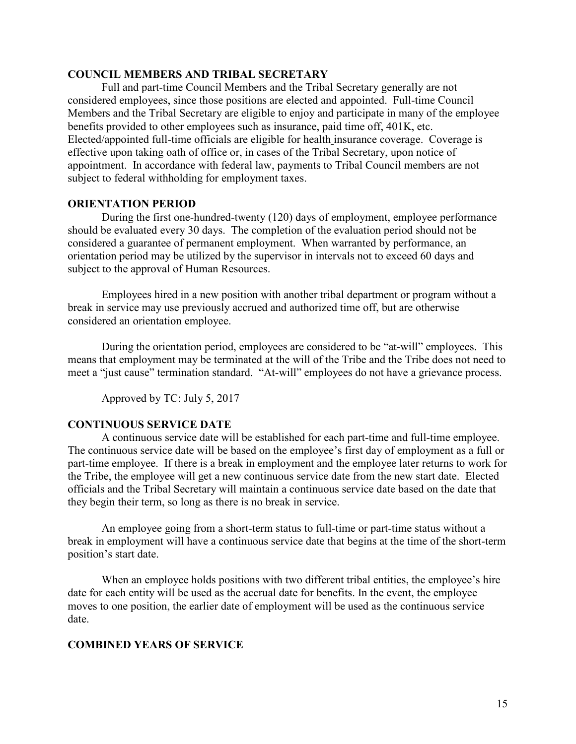#### **COUNCIL MEMBERS AND TRIBAL SECRETARY**

Full and part-time Council Members and the Tribal Secretary generally are not considered employees, since those positions are elected and appointed. Full-time Council Members and the Tribal Secretary are eligible to enjoy and participate in many of the employee benefits provided to other employees such as insurance, paid time off, 401K, etc. Elected/appointed full-time officials are eligible for health insurance coverage. Coverage is effective upon taking oath of office or, in cases of the Tribal Secretary, upon notice of appointment. In accordance with federal law, payments to Tribal Council members are not subject to federal withholding for employment taxes.

#### **ORIENTATION PERIOD**

During the first one-hundred-twenty (120) days of employment, employee performance should be evaluated every 30 days. The completion of the evaluation period should not be considered a guarantee of permanent employment. When warranted by performance, an orientation period may be utilized by the supervisor in intervals not to exceed 60 days and subject to the approval of Human Resources.

Employees hired in a new position with another tribal department or program without a break in service may use previously accrued and authorized time off, but are otherwise considered an orientation employee.

During the orientation period, employees are considered to be "at-will" employees. This means that employment may be terminated at the will of the Tribe and the Tribe does not need to meet a "just cause" termination standard. "At-will" employees do not have a grievance process.

Approved by TC: July 5, 2017

### **CONTINUOUS SERVICE DATE**

A continuous service date will be established for each part-time and full-time employee. The continuous service date will be based on the employee's first day of employment as a full or part-time employee. If there is a break in employment and the employee later returns to work for the Tribe, the employee will get a new continuous service date from the new start date. Elected officials and the Tribal Secretary will maintain a continuous service date based on the date that they begin their term, so long as there is no break in service.

An employee going from a short-term status to full-time or part-time status without a break in employment will have a continuous service date that begins at the time of the short-term position's start date.

When an employee holds positions with two different tribal entities, the employee's hire date for each entity will be used as the accrual date for benefits. In the event, the employee moves to one position, the earlier date of employment will be used as the continuous service date.

#### **COMBINED YEARS OF SERVICE**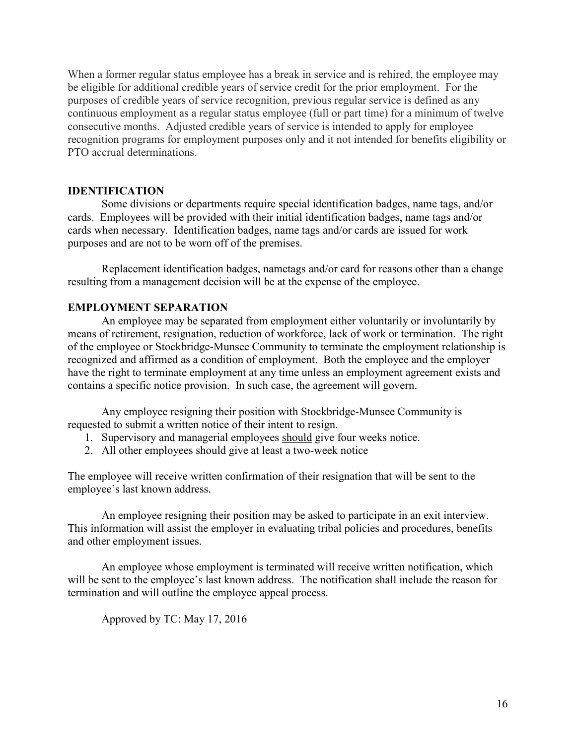When a former regular status employee has a break in service and is rehired, the employee may be eligible for additional credible years of service credit for the prior employment. For the purposes of credible years of service recognition, previous regular service is defined as any continuous employment as a regular status employee (full or part time) for a minimum of twelve consecutive months. Adjusted credible years of service is intended to apply for employee recognition programs for employment purposes only and it not intended for benefits eligibility or PTO accrual determinations.

#### **IDENTIFICATION**

Some divisions or departments require special identification badges, name tags, and/or cards. Employees will be provided with their initial identification badges, name tags and/or cards when necessary. Identification badges, name tags and/or cards are issued for work purposes and are not to be worn off of the premises.

Replacement identification badges, nametags and/or card for reasons other than a change resulting from a management decision will be at the expense of the employee.

#### **EMPLOYMENT SEPARATION**

An employee may be separated from employment either voluntarily or involuntarily by means of retirement, resignation, reduction of workforce, lack of work or termination. The right of the employee or Stockbridge-Munsee Community to terminate the employment relationship is recognized and affirmed as a condition of employment. Both the employee and the employer have the right to terminate employment at any time unless an employment agreement exists and contains a specific notice provision. In such case, the agreement will govern.

Any employee resigning their position with Stockbridge-Munsee Community is requested to submit a written notice of their intent to resign.

- 1. Supervisory and managerial employees should give four weeks notice.
- 2. All other employees should give at least a two-week notice

The employee will receive written confirmation of their resignation that will be sent to the employee's last known address.

An employee resigning their position may be asked to participate in an exit interview. This information will assist the employer in evaluating tribal policies and procedures, benefits and other employment issues.

An employee whose employment is terminated will receive written notification, which will be sent to the employee's last known address. The notification shall include the reason for termination and will outline the employee appeal process.

Approved by TC: May 17, 2016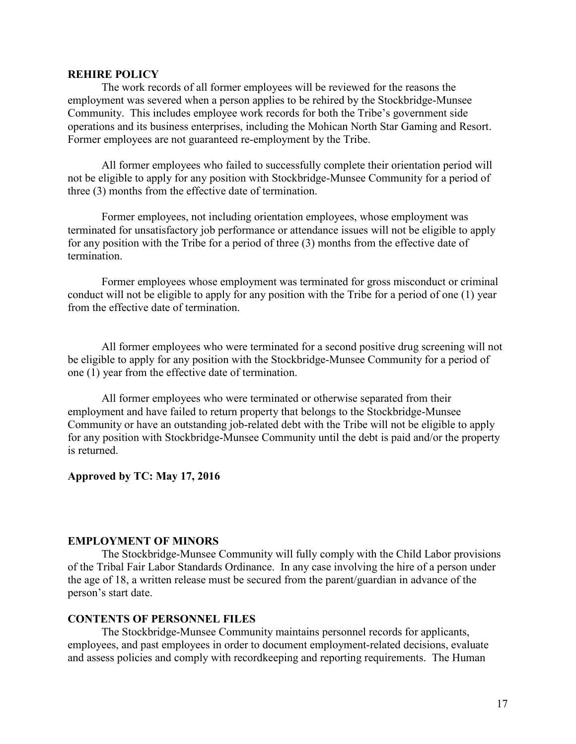#### **REHIRE POLICY**

The work records of all former employees will be reviewed for the reasons the employment was severed when a person applies to be rehired by the Stockbridge-Munsee Community. This includes employee work records for both the Tribe's government side operations and its business enterprises, including the Mohican North Star Gaming and Resort. Former employees are not guaranteed re-employment by the Tribe.

All former employees who failed to successfully complete their orientation period will not be eligible to apply for any position with Stockbridge-Munsee Community for a period of three (3) months from the effective date of termination.

Former employees, not including orientation employees, whose employment was terminated for unsatisfactory job performance or attendance issues will not be eligible to apply for any position with the Tribe for a period of three (3) months from the effective date of termination.

Former employees whose employment was terminated for gross misconduct or criminal conduct will not be eligible to apply for any position with the Tribe for a period of one (1) year from the effective date of termination.

All former employees who were terminated for a second positive drug screening will not be eligible to apply for any position with the Stockbridge-Munsee Community for a period of one (1) year from the effective date of termination.

All former employees who were terminated or otherwise separated from their employment and have failed to return property that belongs to the Stockbridge-Munsee Community or have an outstanding job-related debt with the Tribe will not be eligible to apply for any position with Stockbridge-Munsee Community until the debt is paid and/or the property is returned.

#### **Approved by TC: May 17, 2016**

### **EMPLOYMENT OF MINORS**

The Stockbridge-Munsee Community will fully comply with the Child Labor provisions of the Tribal Fair Labor Standards Ordinance. In any case involving the hire of a person under the age of 18, a written release must be secured from the parent/guardian in advance of the person's start date.

#### **CONTENTS OF PERSONNEL FILES**

The Stockbridge-Munsee Community maintains personnel records for applicants, employees, and past employees in order to document employment-related decisions, evaluate and assess policies and comply with recordkeeping and reporting requirements. The Human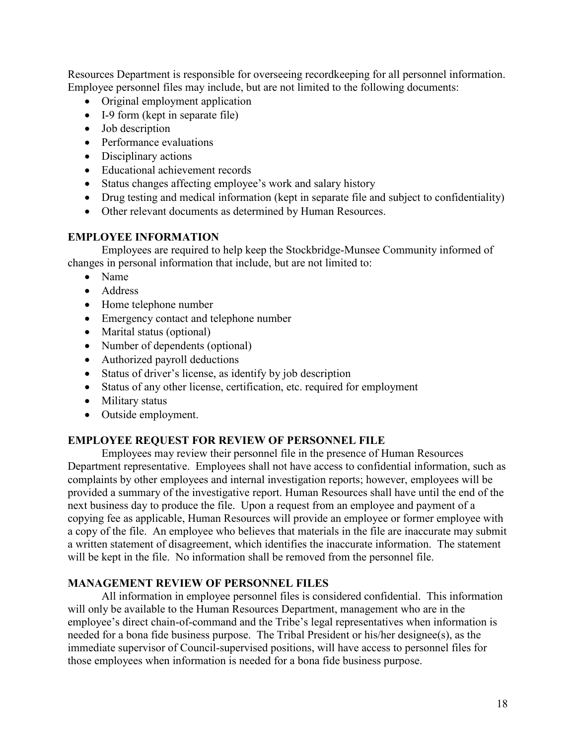Resources Department is responsible for overseeing recordkeeping for all personnel information. Employee personnel files may include, but are not limited to the following documents:

- Original employment application
- I-9 form (kept in separate file)
- Job description
- Performance evaluations
- Disciplinary actions
- Educational achievement records
- Status changes affecting employee's work and salary history
- Drug testing and medical information (kept in separate file and subject to confidentiality)
- Other relevant documents as determined by Human Resources.

### **EMPLOYEE INFORMATION**

Employees are required to help keep the Stockbridge-Munsee Community informed of changes in personal information that include, but are not limited to:

- Name
- Address
- Home telephone number
- Emergency contact and telephone number
- Marital status (optional)
- Number of dependents (optional)
- Authorized payroll deductions
- Status of driver's license, as identify by job description
- Status of any other license, certification, etc. required for employment
- Military status
- Outside employment.

### **EMPLOYEE REQUEST FOR REVIEW OF PERSONNEL FILE**

Employees may review their personnel file in the presence of Human Resources Department representative. Employees shall not have access to confidential information, such as complaints by other employees and internal investigation reports; however, employees will be provided a summary of the investigative report. Human Resources shall have until the end of the next business day to produce the file. Upon a request from an employee and payment of a copying fee as applicable, Human Resources will provide an employee or former employee with a copy of the file. An employee who believes that materials in the file are inaccurate may submit a written statement of disagreement, which identifies the inaccurate information. The statement will be kept in the file. No information shall be removed from the personnel file.

### **MANAGEMENT REVIEW OF PERSONNEL FILES**

All information in employee personnel files is considered confidential. This information will only be available to the Human Resources Department, management who are in the employee's direct chain-of-command and the Tribe's legal representatives when information is needed for a bona fide business purpose. The Tribal President or his/her designee(s), as the immediate supervisor of Council-supervised positions, will have access to personnel files for those employees when information is needed for a bona fide business purpose.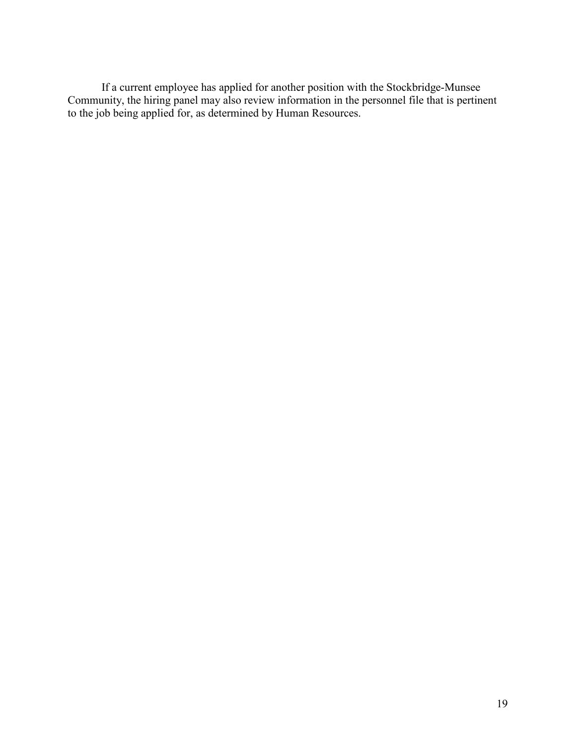If a current employee has applied for another position with the Stockbridge-Munsee Community, the hiring panel may also review information in the personnel file that is pertinent to the job being applied for, as determined by Human Resources.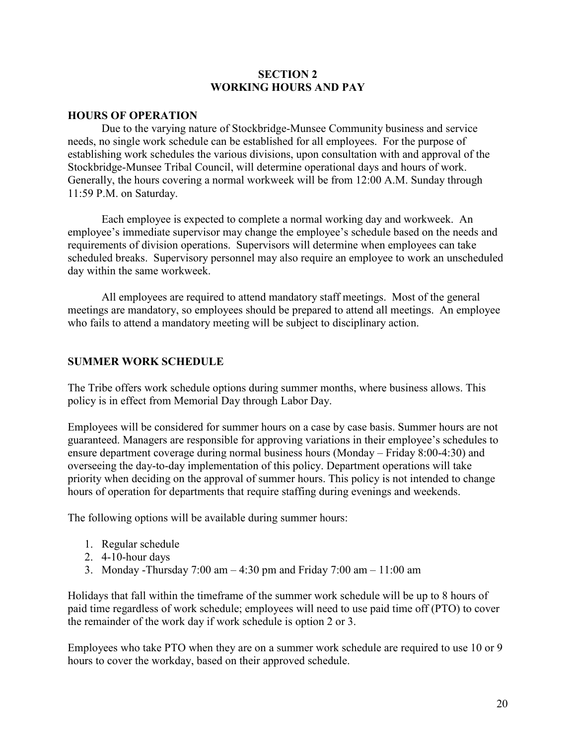### **SECTION 2 WORKING HOURS AND PAY**

### **HOURS OF OPERATION**

Due to the varying nature of Stockbridge-Munsee Community business and service needs, no single work schedule can be established for all employees. For the purpose of establishing work schedules the various divisions, upon consultation with and approval of the Stockbridge-Munsee Tribal Council, will determine operational days and hours of work. Generally, the hours covering a normal workweek will be from 12:00 A.M. Sunday through 11:59 P.M. on Saturday.

Each employee is expected to complete a normal working day and workweek. An employee's immediate supervisor may change the employee's schedule based on the needs and requirements of division operations. Supervisors will determine when employees can take scheduled breaks. Supervisory personnel may also require an employee to work an unscheduled day within the same workweek.

All employees are required to attend mandatory staff meetings. Most of the general meetings are mandatory, so employees should be prepared to attend all meetings. An employee who fails to attend a mandatory meeting will be subject to disciplinary action.

# **SUMMER WORK SCHEDULE**

The Tribe offers work schedule options during summer months, where business allows. This policy is in effect from Memorial Day through Labor Day.

Employees will be considered for summer hours on a case by case basis. Summer hours are not guaranteed. Managers are responsible for approving variations in their employee's schedules to ensure department coverage during normal business hours (Monday – Friday 8:00-4:30) and overseeing the day-to-day implementation of this policy. Department operations will take priority when deciding on the approval of summer hours. This policy is not intended to change hours of operation for departments that require staffing during evenings and weekends.

The following options will be available during summer hours:

- 1. Regular schedule
- 2. 4-10-hour days
- 3. Monday -Thursday 7:00 am 4:30 pm and Friday 7:00 am 11:00 am

Holidays that fall within the timeframe of the summer work schedule will be up to 8 hours of paid time regardless of work schedule; employees will need to use paid time off (PTO) to cover the remainder of the work day if work schedule is option 2 or 3.

Employees who take PTO when they are on a summer work schedule are required to use 10 or 9 hours to cover the workday, based on their approved schedule.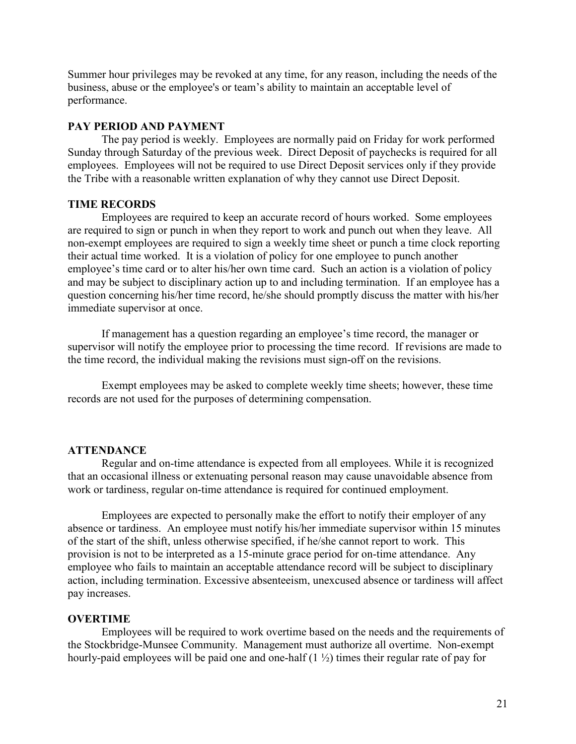Summer hour privileges may be revoked at any time, for any reason, including the needs of the business, abuse or the employee's or team's ability to maintain an acceptable level of performance.

### **PAY PERIOD AND PAYMENT**

The pay period is weekly. Employees are normally paid on Friday for work performed Sunday through Saturday of the previous week. Direct Deposit of paychecks is required for all employees. Employees will not be required to use Direct Deposit services only if they provide the Tribe with a reasonable written explanation of why they cannot use Direct Deposit.

### **TIME RECORDS**

Employees are required to keep an accurate record of hours worked. Some employees are required to sign or punch in when they report to work and punch out when they leave. All non-exempt employees are required to sign a weekly time sheet or punch a time clock reporting their actual time worked. It is a violation of policy for one employee to punch another employee's time card or to alter his/her own time card. Such an action is a violation of policy and may be subject to disciplinary action up to and including termination. If an employee has a question concerning his/her time record, he/she should promptly discuss the matter with his/her immediate supervisor at once.

If management has a question regarding an employee's time record, the manager or supervisor will notify the employee prior to processing the time record. If revisions are made to the time record, the individual making the revisions must sign-off on the revisions.

Exempt employees may be asked to complete weekly time sheets; however, these time records are not used for the purposes of determining compensation.

#### **ATTENDANCE**

Regular and on-time attendance is expected from all employees. While it is recognized that an occasional illness or extenuating personal reason may cause unavoidable absence from work or tardiness, regular on-time attendance is required for continued employment.

Employees are expected to personally make the effort to notify their employer of any absence or tardiness. An employee must notify his/her immediate supervisor within 15 minutes of the start of the shift, unless otherwise specified, if he/she cannot report to work. This provision is not to be interpreted as a 15-minute grace period for on-time attendance. Any employee who fails to maintain an acceptable attendance record will be subject to disciplinary action, including termination. Excessive absenteeism, unexcused absence or tardiness will affect pay increases.

#### **OVERTIME**

Employees will be required to work overtime based on the needs and the requirements of the Stockbridge-Munsee Community. Management must authorize all overtime. Non-exempt hourly-paid employees will be paid one and one-half (1 ½) times their regular rate of pay for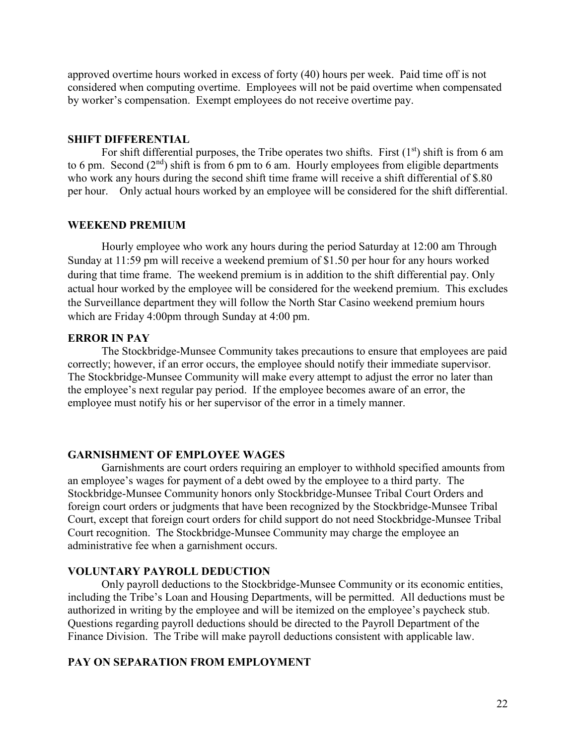approved overtime hours worked in excess of forty (40) hours per week. Paid time off is not considered when computing overtime. Employees will not be paid overtime when compensated by worker's compensation. Exempt employees do not receive overtime pay.

#### **SHIFT DIFFERENTIAL**

For shift differential purposes, the Tribe operates two shifts. First  $(1<sup>st</sup>)$  shift is from 6 am to 6 pm. Second  $(2<sup>nd</sup>)$  shift is from 6 pm to 6 am. Hourly employees from eligible departments who work any hours during the second shift time frame will receive a shift differential of \$.80 per hour. Only actual hours worked by an employee will be considered for the shift differential.

### **WEEKEND PREMIUM**

Hourly employee who work any hours during the period Saturday at 12:00 am Through Sunday at 11:59 pm will receive a weekend premium of \$1.50 per hour for any hours worked during that time frame. The weekend premium is in addition to the shift differential pay. Only actual hour worked by the employee will be considered for the weekend premium. This excludes the Surveillance department they will follow the North Star Casino weekend premium hours which are Friday 4:00pm through Sunday at 4:00 pm.

### **ERROR IN PAY**

The Stockbridge-Munsee Community takes precautions to ensure that employees are paid correctly; however, if an error occurs, the employee should notify their immediate supervisor. The Stockbridge-Munsee Community will make every attempt to adjust the error no later than the employee's next regular pay period. If the employee becomes aware of an error, the employee must notify his or her supervisor of the error in a timely manner.

### **GARNISHMENT OF EMPLOYEE WAGES**

Garnishments are court orders requiring an employer to withhold specified amounts from an employee's wages for payment of a debt owed by the employee to a third party. The Stockbridge-Munsee Community honors only Stockbridge-Munsee Tribal Court Orders and foreign court orders or judgments that have been recognized by the Stockbridge-Munsee Tribal Court, except that foreign court orders for child support do not need Stockbridge-Munsee Tribal Court recognition. The Stockbridge-Munsee Community may charge the employee an administrative fee when a garnishment occurs.

### **VOLUNTARY PAYROLL DEDUCTION**

Only payroll deductions to the Stockbridge-Munsee Community or its economic entities, including the Tribe's Loan and Housing Departments, will be permitted. All deductions must be authorized in writing by the employee and will be itemized on the employee's paycheck stub. Questions regarding payroll deductions should be directed to the Payroll Department of the Finance Division. The Tribe will make payroll deductions consistent with applicable law.

## **PAY ON SEPARATION FROM EMPLOYMENT**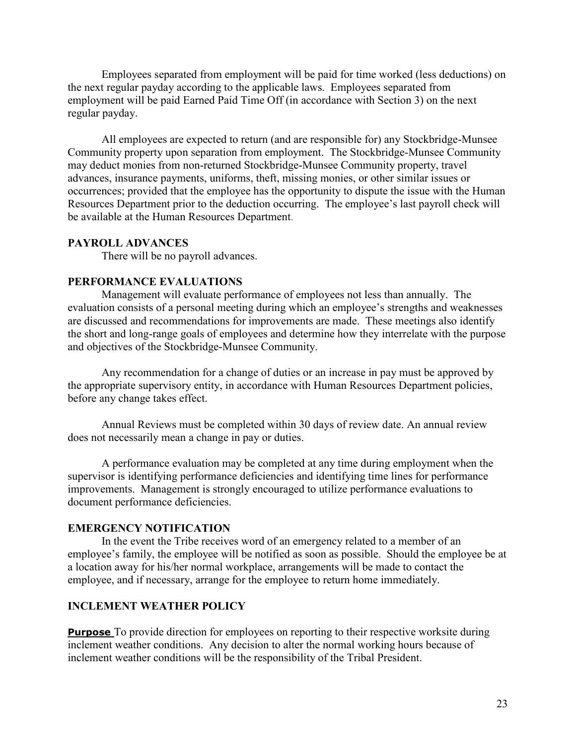Employees separated from employment will be paid for time worked (less deductions) on the next regular payday according to the applicable laws. Employees separated from employment will be paid Earned Paid Time Off (in accordance with Section 3) on the next regular payday.

All employees are expected to return (and are responsible for) any Stockbridge-Munsee Community property upon separation from employment. The Stockbridge-Munsee Community may deduct monies from non-returned Stockbridge-Munsee Community property, travel advances, insurance payments, uniforms, theft, missing monies, or other similar issues or occurrences; provided that the employee has the opportunity to dispute the issue with the Human Resources Department prior to the deduction occurring. The employee's last payroll check will be available at the Human Resources Department.

### **PAYROLL ADVANCES**

There will be no payroll advances.

### **PERFORMANCE EVALUATIONS**

Management will evaluate performance of employees not less than annually. The evaluation consists of a personal meeting during which an employee's strengths and weaknesses are discussed and recommendations for improvements are made. These meetings also identify the short and long-range goals of employees and determine how they interrelate with the purpose and objectives of the Stockbridge-Munsee Community.

Any recommendation for a change of duties or an increase in pay must be approved by the appropriate supervisory entity, in accordance with Human Resources Department policies, before any change takes effect.

Annual Reviews must be completed within 30 days of review date. An annual review does not necessarily mean a change in pay or duties.

A performance evaluation may be completed at any time during employment when the supervisor is identifying performance deficiencies and identifying time lines for performance improvements. Management is strongly encouraged to utilize performance evaluations to document performance deficiencies.

### **EMERGENCY NOTIFICATION**

In the event the Tribe receives word of an emergency related to a member of an employee's family, the employee will be notified as soon as possible. Should the employee be at a location away for his/her normal workplace, arrangements will be made to contact the employee, and if necessary, arrange for the employee to return home immediately.

### **INCLEMENT WEATHER POLICY**

**Purpose** To provide direction for employees on reporting to their respective worksite during inclement weather conditions. Any decision to alter the normal working hours because of inclement weather conditions will be the responsibility of the Tribal President.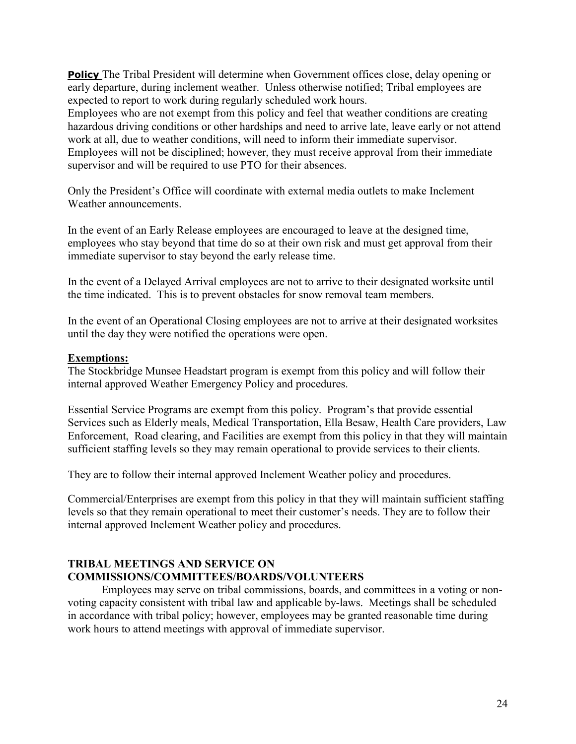**Policy** The Tribal President will determine when Government offices close, delay opening or early departure, during inclement weather. Unless otherwise notified; Tribal employees are expected to report to work during regularly scheduled work hours.

Employees who are not exempt from this policy and feel that weather conditions are creating hazardous driving conditions or other hardships and need to arrive late, leave early or not attend work at all, due to weather conditions, will need to inform their immediate supervisor. Employees will not be disciplined; however, they must receive approval from their immediate supervisor and will be required to use PTO for their absences.

Only the President's Office will coordinate with external media outlets to make Inclement Weather announcements.

In the event of an Early Release employees are encouraged to leave at the designed time, employees who stay beyond that time do so at their own risk and must get approval from their immediate supervisor to stay beyond the early release time.

In the event of a Delayed Arrival employees are not to arrive to their designated worksite until the time indicated. This is to prevent obstacles for snow removal team members.

In the event of an Operational Closing employees are not to arrive at their designated worksites until the day they were notified the operations were open.

### **Exemptions:**

The Stockbridge Munsee Headstart program is exempt from this policy and will follow their internal approved Weather Emergency Policy and procedures.

Essential Service Programs are exempt from this policy. Program's that provide essential Services such as Elderly meals, Medical Transportation, Ella Besaw, Health Care providers, Law Enforcement, Road clearing, and Facilities are exempt from this policy in that they will maintain sufficient staffing levels so they may remain operational to provide services to their clients.

They are to follow their internal approved Inclement Weather policy and procedures.

Commercial/Enterprises are exempt from this policy in that they will maintain sufficient staffing levels so that they remain operational to meet their customer's needs. They are to follow their internal approved Inclement Weather policy and procedures.

# **TRIBAL MEETINGS AND SERVICE ON COMMISSIONS/COMMITTEES/BOARDS/VOLUNTEERS**

Employees may serve on tribal commissions, boards, and committees in a voting or nonvoting capacity consistent with tribal law and applicable by-laws. Meetings shall be scheduled in accordance with tribal policy; however, employees may be granted reasonable time during work hours to attend meetings with approval of immediate supervisor.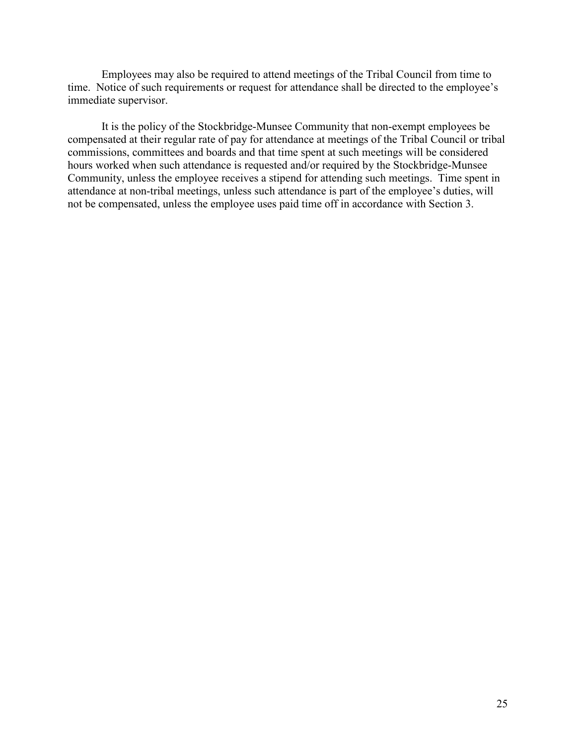Employees may also be required to attend meetings of the Tribal Council from time to time. Notice of such requirements or request for attendance shall be directed to the employee's immediate supervisor.

It is the policy of the Stockbridge-Munsee Community that non-exempt employees be compensated at their regular rate of pay for attendance at meetings of the Tribal Council or tribal commissions, committees and boards and that time spent at such meetings will be considered hours worked when such attendance is requested and/or required by the Stockbridge-Munsee Community, unless the employee receives a stipend for attending such meetings. Time spent in attendance at non-tribal meetings, unless such attendance is part of the employee's duties, will not be compensated, unless the employee uses paid time off in accordance with Section 3.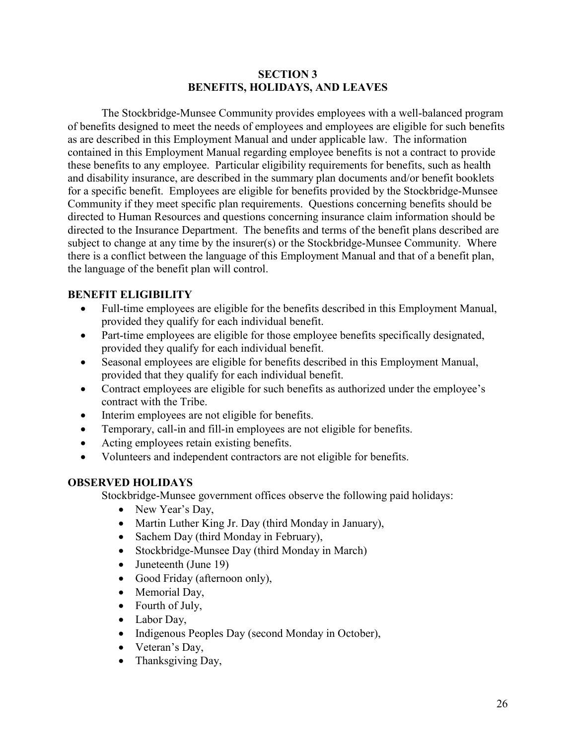# **SECTION 3 BENEFITS, HOLIDAYS, AND LEAVES**

The Stockbridge-Munsee Community provides employees with a well-balanced program of benefits designed to meet the needs of employees and employees are eligible for such benefits as are described in this Employment Manual and under applicable law. The information contained in this Employment Manual regarding employee benefits is not a contract to provide these benefits to any employee. Particular eligibility requirements for benefits, such as health and disability insurance, are described in the summary plan documents and/or benefit booklets for a specific benefit. Employees are eligible for benefits provided by the Stockbridge-Munsee Community if they meet specific plan requirements. Questions concerning benefits should be directed to Human Resources and questions concerning insurance claim information should be directed to the Insurance Department. The benefits and terms of the benefit plans described are subject to change at any time by the insurer(s) or the Stockbridge-Munsee Community. Where there is a conflict between the language of this Employment Manual and that of a benefit plan, the language of the benefit plan will control.

# **BENEFIT ELIGIBILITY**

- Full-time employees are eligible for the benefits described in this Employment Manual, provided they qualify for each individual benefit.
- Part-time employees are eligible for those employee benefits specifically designated, provided they qualify for each individual benefit.
- Seasonal employees are eligible for benefits described in this Employment Manual, provided that they qualify for each individual benefit.
- Contract employees are eligible for such benefits as authorized under the employee's contract with the Tribe.
- Interim employees are not eligible for benefits.
- Temporary, call-in and fill-in employees are not eligible for benefits.
- Acting employees retain existing benefits.
- Volunteers and independent contractors are not eligible for benefits.

# **OBSERVED HOLIDAYS**

Stockbridge-Munsee government offices observe the following paid holidays:

- New Year's Day,
- Martin Luther King Jr. Day (third Monday in January),
- Sachem Day (third Monday in February),
- Stockbridge-Munsee Day (third Monday in March)
- Juneteenth (June 19)
- Good Friday (afternoon only),
- Memorial Day,
- Fourth of July,
- Labor Day,
- Indigenous Peoples Day (second Monday in October),
- Veteran's Day,
- Thanksgiving Day,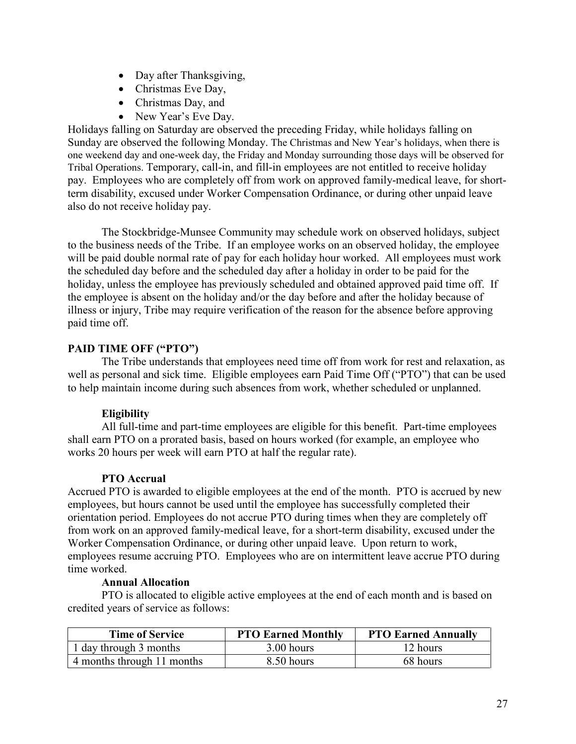- Day after Thanksgiving,
- Christmas Eve Day,
- Christmas Day, and
- New Year's Eve Day.

Holidays falling on Saturday are observed the preceding Friday, while holidays falling on Sunday are observed the following Monday. The Christmas and New Year's holidays, when there is one weekend day and one-week day, the Friday and Monday surrounding those days will be observed for Tribal Operations. Temporary, call-in, and fill-in employees are not entitled to receive holiday pay. Employees who are completely off from work on approved family-medical leave, for shortterm disability, excused under Worker Compensation Ordinance, or during other unpaid leave also do not receive holiday pay.

The Stockbridge-Munsee Community may schedule work on observed holidays, subject to the business needs of the Tribe. If an employee works on an observed holiday, the employee will be paid double normal rate of pay for each holiday hour worked. All employees must work the scheduled day before and the scheduled day after a holiday in order to be paid for the holiday, unless the employee has previously scheduled and obtained approved paid time off. If the employee is absent on the holiday and/or the day before and after the holiday because of illness or injury, Tribe may require verification of the reason for the absence before approving paid time off.

# **PAID TIME OFF ("PTO")**

The Tribe understands that employees need time off from work for rest and relaxation, as well as personal and sick time. Eligible employees earn Paid Time Off ("PTO") that can be used to help maintain income during such absences from work, whether scheduled or unplanned.

# **Eligibility**

All full-time and part-time employees are eligible for this benefit. Part-time employees shall earn PTO on a prorated basis, based on hours worked (for example, an employee who works 20 hours per week will earn PTO at half the regular rate).

### **PTO Accrual**

Accrued PTO is awarded to eligible employees at the end of the month. PTO is accrued by new employees, but hours cannot be used until the employee has successfully completed their orientation period. Employees do not accrue PTO during times when they are completely off from work on an approved family-medical leave, for a short-term disability, excused under the Worker Compensation Ordinance, or during other unpaid leave. Upon return to work, employees resume accruing PTO. Employees who are on intermittent leave accrue PTO during time worked.

### **Annual Allocation**

PTO is allocated to eligible active employees at the end of each month and is based on credited years of service as follows:

| <b>Time of Service</b>     | <b>PTO Earned Monthly</b> | <b>PTO Earned Annually</b> |
|----------------------------|---------------------------|----------------------------|
| 1 day through 3 months     | 3.00 hours                | 12 hours                   |
| 4 months through 11 months | 8.50 hours                | 68 hours                   |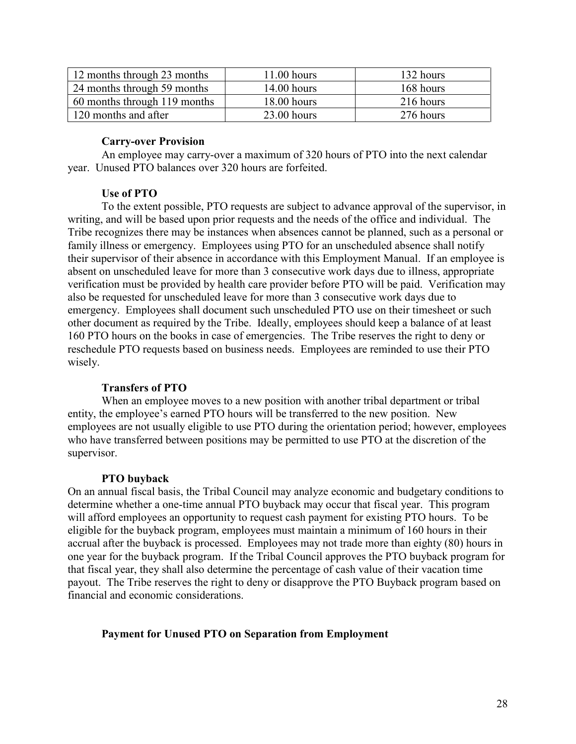| 12 months through 23 months  | 11.00 hours   | 132 hours |
|------------------------------|---------------|-----------|
| 24 months through 59 months  | $14.00$ hours | 168 hours |
| 60 months through 119 months | $18.00$ hours | 216 hours |
| 120 months and after         | $23.00$ hours | 276 hours |

## **Carry-over Provision**

An employee may carry-over a maximum of 320 hours of PTO into the next calendar year. Unused PTO balances over 320 hours are forfeited.

# **Use of PTO**

To the extent possible, PTO requests are subject to advance approval of the supervisor, in writing, and will be based upon prior requests and the needs of the office and individual. The Tribe recognizes there may be instances when absences cannot be planned, such as a personal or family illness or emergency. Employees using PTO for an unscheduled absence shall notify their supervisor of their absence in accordance with this Employment Manual. If an employee is absent on unscheduled leave for more than 3 consecutive work days due to illness, appropriate verification must be provided by health care provider before PTO will be paid. Verification may also be requested for unscheduled leave for more than 3 consecutive work days due to emergency. Employees shall document such unscheduled PTO use on their timesheet or such other document as required by the Tribe. Ideally, employees should keep a balance of at least 160 PTO hours on the books in case of emergencies. The Tribe reserves the right to deny or reschedule PTO requests based on business needs. Employees are reminded to use their PTO wisely.

# **Transfers of PTO**

When an employee moves to a new position with another tribal department or tribal entity, the employee's earned PTO hours will be transferred to the new position. New employees are not usually eligible to use PTO during the orientation period; however, employees who have transferred between positions may be permitted to use PTO at the discretion of the supervisor.

# **PTO buyback**

On an annual fiscal basis, the Tribal Council may analyze economic and budgetary conditions to determine whether a one-time annual PTO buyback may occur that fiscal year. This program will afford employees an opportunity to request cash payment for existing PTO hours. To be eligible for the buyback program, employees must maintain a minimum of 160 hours in their accrual after the buyback is processed. Employees may not trade more than eighty (80) hours in one year for the buyback program. If the Tribal Council approves the PTO buyback program for that fiscal year, they shall also determine the percentage of cash value of their vacation time payout. The Tribe reserves the right to deny or disapprove the PTO Buyback program based on financial and economic considerations.

### **Payment for Unused PTO on Separation from Employment**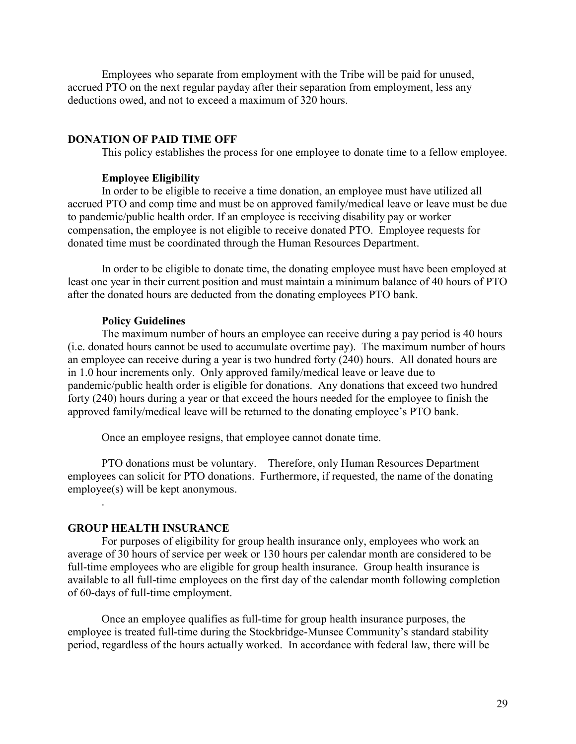Employees who separate from employment with the Tribe will be paid for unused, accrued PTO on the next regular payday after their separation from employment, less any deductions owed, and not to exceed a maximum of 320 hours.

#### **DONATION OF PAID TIME OFF**

This policy establishes the process for one employee to donate time to a fellow employee.

#### **Employee Eligibility**

In order to be eligible to receive a time donation, an employee must have utilized all accrued PTO and comp time and must be on approved family/medical leave or leave must be due to pandemic/public health order. If an employee is receiving disability pay or worker compensation, the employee is not eligible to receive donated PTO. Employee requests for donated time must be coordinated through the Human Resources Department.

In order to be eligible to donate time, the donating employee must have been employed at least one year in their current position and must maintain a minimum balance of 40 hours of PTO after the donated hours are deducted from the donating employees PTO bank.

#### **Policy Guidelines**

The maximum number of hours an employee can receive during a pay period is 40 hours (i.e. donated hours cannot be used to accumulate overtime pay). The maximum number of hours an employee can receive during a year is two hundred forty (240) hours. All donated hours are in 1.0 hour increments only. Only approved family/medical leave or leave due to pandemic/public health order is eligible for donations. Any donations that exceed two hundred forty (240) hours during a year or that exceed the hours needed for the employee to finish the approved family/medical leave will be returned to the donating employee's PTO bank.

Once an employee resigns, that employee cannot donate time.

PTO donations must be voluntary. Therefore, only Human Resources Department employees can solicit for PTO donations. Furthermore, if requested, the name of the donating employee(s) will be kept anonymous.

#### **GROUP HEALTH INSURANCE**

.

For purposes of eligibility for group health insurance only, employees who work an average of 30 hours of service per week or 130 hours per calendar month are considered to be full-time employees who are eligible for group health insurance. Group health insurance is available to all full-time employees on the first day of the calendar month following completion of 60-days of full-time employment.

Once an employee qualifies as full-time for group health insurance purposes, the employee is treated full-time during the Stockbridge-Munsee Community's standard stability period, regardless of the hours actually worked. In accordance with federal law, there will be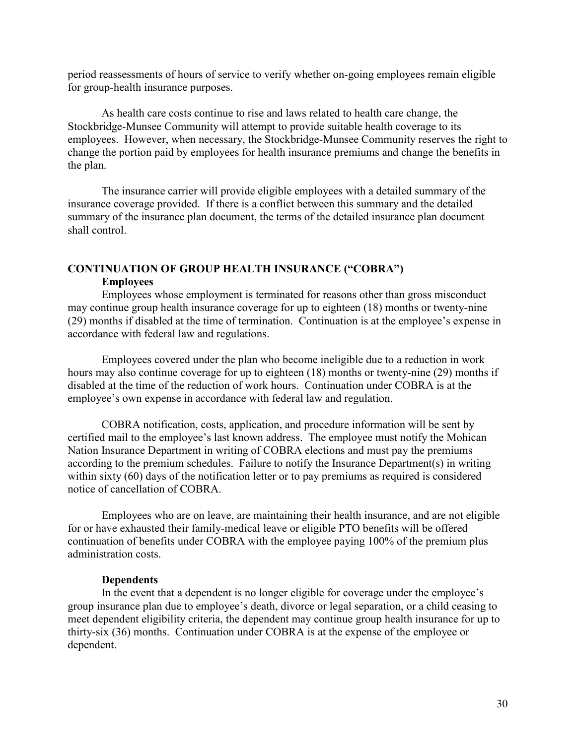period reassessments of hours of service to verify whether on-going employees remain eligible for group-health insurance purposes.

As health care costs continue to rise and laws related to health care change, the Stockbridge-Munsee Community will attempt to provide suitable health coverage to its employees. However, when necessary, the Stockbridge-Munsee Community reserves the right to change the portion paid by employees for health insurance premiums and change the benefits in the plan.

The insurance carrier will provide eligible employees with a detailed summary of the insurance coverage provided. If there is a conflict between this summary and the detailed summary of the insurance plan document, the terms of the detailed insurance plan document shall control.

# **CONTINUATION OF GROUP HEALTH INSURANCE ("COBRA") Employees**

Employees whose employment is terminated for reasons other than gross misconduct may continue group health insurance coverage for up to eighteen (18) months or twenty-nine (29) months if disabled at the time of termination. Continuation is at the employee's expense in accordance with federal law and regulations.

Employees covered under the plan who become ineligible due to a reduction in work hours may also continue coverage for up to eighteen (18) months or twenty-nine (29) months if disabled at the time of the reduction of work hours. Continuation under COBRA is at the employee's own expense in accordance with federal law and regulation.

COBRA notification, costs, application, and procedure information will be sent by certified mail to the employee's last known address. The employee must notify the Mohican Nation Insurance Department in writing of COBRA elections and must pay the premiums according to the premium schedules. Failure to notify the Insurance Department(s) in writing within sixty (60) days of the notification letter or to pay premiums as required is considered notice of cancellation of COBRA.

Employees who are on leave, are maintaining their health insurance, and are not eligible for or have exhausted their family-medical leave or eligible PTO benefits will be offered continuation of benefits under COBRA with the employee paying 100% of the premium plus administration costs.

#### **Dependents**

In the event that a dependent is no longer eligible for coverage under the employee's group insurance plan due to employee's death, divorce or legal separation, or a child ceasing to meet dependent eligibility criteria, the dependent may continue group health insurance for up to thirty-six (36) months. Continuation under COBRA is at the expense of the employee or dependent.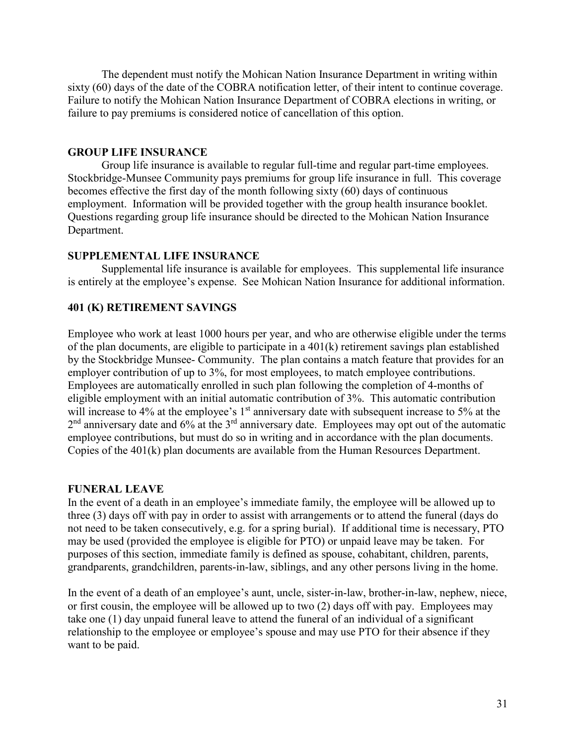The dependent must notify the Mohican Nation Insurance Department in writing within sixty (60) days of the date of the COBRA notification letter, of their intent to continue coverage. Failure to notify the Mohican Nation Insurance Department of COBRA elections in writing, or failure to pay premiums is considered notice of cancellation of this option.

### **GROUP LIFE INSURANCE**

Group life insurance is available to regular full-time and regular part-time employees. Stockbridge-Munsee Community pays premiums for group life insurance in full. This coverage becomes effective the first day of the month following sixty (60) days of continuous employment. Information will be provided together with the group health insurance booklet. Questions regarding group life insurance should be directed to the Mohican Nation Insurance Department.

#### **SUPPLEMENTAL LIFE INSURANCE**

Supplemental life insurance is available for employees. This supplemental life insurance is entirely at the employee's expense. See Mohican Nation Insurance for additional information.

### **401 (K) RETIREMENT SAVINGS**

Employee who work at least 1000 hours per year, and who are otherwise eligible under the terms of the plan documents, are eligible to participate in a 401(k) retirement savings plan established by the Stockbridge Munsee- Community. The plan contains a match feature that provides for an employer contribution of up to 3%, for most employees, to match employee contributions. Employees are automatically enrolled in such plan following the completion of 4-months of eligible employment with an initial automatic contribution of 3%. This automatic contribution will increase to 4% at the employee's 1<sup>st</sup> anniversary date with subsequent increase to 5% at the  $2<sup>nd</sup>$  anniversary date and 6% at the  $3<sup>rd</sup>$  anniversary date. Employees may opt out of the automatic employee contributions, but must do so in writing and in accordance with the plan documents. Copies of the 401(k) plan documents are available from the Human Resources Department.

#### **FUNERAL LEAVE**

In the event of a death in an employee's immediate family, the employee will be allowed up to three (3) days off with pay in order to assist with arrangements or to attend the funeral (days do not need to be taken consecutively, e.g. for a spring burial). If additional time is necessary, PTO may be used (provided the employee is eligible for PTO) or unpaid leave may be taken. For purposes of this section, immediate family is defined as spouse, cohabitant, children, parents, grandparents, grandchildren, parents-in-law, siblings, and any other persons living in the home.

In the event of a death of an employee's aunt, uncle, sister-in-law, brother-in-law, nephew, niece, or first cousin, the employee will be allowed up to two (2) days off with pay. Employees may take one (1) day unpaid funeral leave to attend the funeral of an individual of a significant relationship to the employee or employee's spouse and may use PTO for their absence if they want to be paid.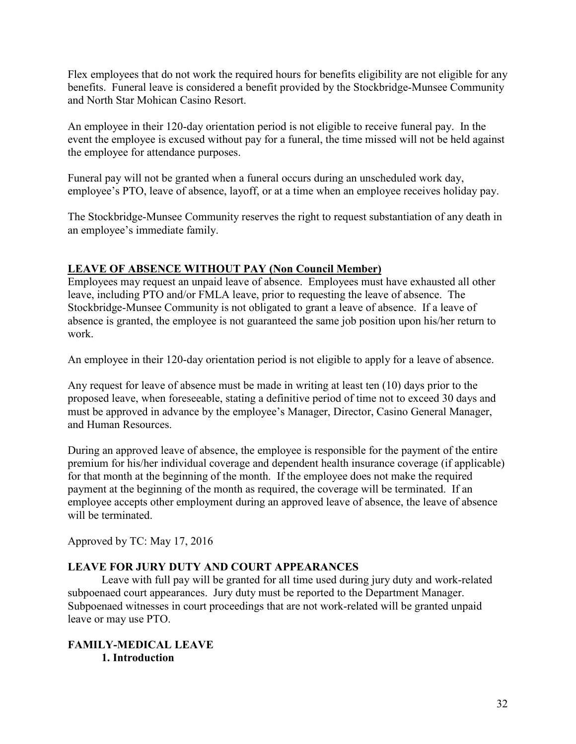Flex employees that do not work the required hours for benefits eligibility are not eligible for any benefits. Funeral leave is considered a benefit provided by the Stockbridge-Munsee Community and North Star Mohican Casino Resort.

An employee in their 120-day orientation period is not eligible to receive funeral pay. In the event the employee is excused without pay for a funeral, the time missed will not be held against the employee for attendance purposes.

Funeral pay will not be granted when a funeral occurs during an unscheduled work day, employee's PTO, leave of absence, layoff, or at a time when an employee receives holiday pay.

The Stockbridge-Munsee Community reserves the right to request substantiation of any death in an employee's immediate family.

# **LEAVE OF ABSENCE WITHOUT PAY (Non Council Member)**

Employees may request an unpaid leave of absence. Employees must have exhausted all other leave, including PTO and/or FMLA leave, prior to requesting the leave of absence. The Stockbridge-Munsee Community is not obligated to grant a leave of absence. If a leave of absence is granted, the employee is not guaranteed the same job position upon his/her return to work.

An employee in their 120-day orientation period is not eligible to apply for a leave of absence.

Any request for leave of absence must be made in writing at least ten (10) days prior to the proposed leave, when foreseeable, stating a definitive period of time not to exceed 30 days and must be approved in advance by the employee's Manager, Director, Casino General Manager, and Human Resources.

During an approved leave of absence, the employee is responsible for the payment of the entire premium for his/her individual coverage and dependent health insurance coverage (if applicable) for that month at the beginning of the month. If the employee does not make the required payment at the beginning of the month as required, the coverage will be terminated. If an employee accepts other employment during an approved leave of absence, the leave of absence will be terminated.

Approved by TC: May 17, 2016

# **LEAVE FOR JURY DUTY AND COURT APPEARANCES**

Leave with full pay will be granted for all time used during jury duty and work-related subpoenaed court appearances. Jury duty must be reported to the Department Manager. Subpoenaed witnesses in court proceedings that are not work-related will be granted unpaid leave or may use PTO.

# **FAMILY-MEDICAL LEAVE 1. Introduction**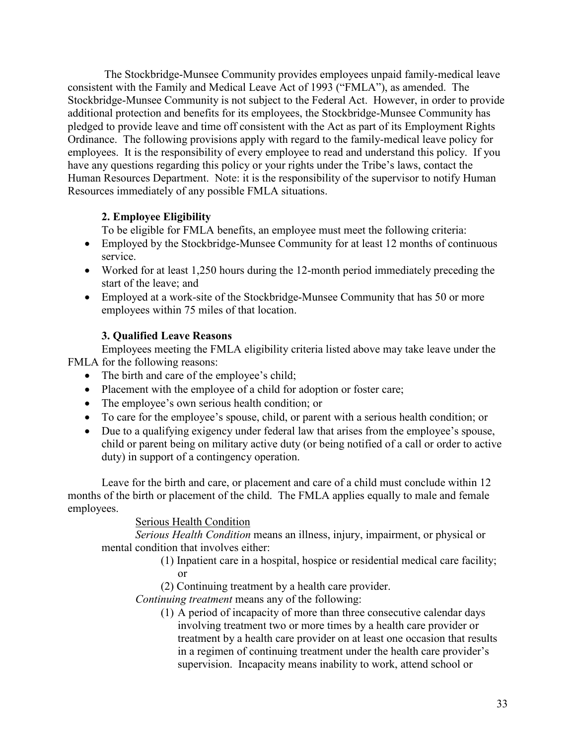The Stockbridge-Munsee Community provides employees unpaid family-medical leave consistent with the Family and Medical Leave Act of 1993 ("FMLA"), as amended. The Stockbridge-Munsee Community is not subject to the Federal Act. However, in order to provide additional protection and benefits for its employees, the Stockbridge-Munsee Community has pledged to provide leave and time off consistent with the Act as part of its Employment Rights Ordinance. The following provisions apply with regard to the family-medical leave policy for employees. It is the responsibility of every employee to read and understand this policy. If you have any questions regarding this policy or your rights under the Tribe's laws, contact the Human Resources Department. Note: it is the responsibility of the supervisor to notify Human Resources immediately of any possible FMLA situations.

# **2. Employee Eligibility**

To be eligible for FMLA benefits, an employee must meet the following criteria:

- Employed by the Stockbridge-Munsee Community for at least 12 months of continuous service.
- Worked for at least 1,250 hours during the 12-month period immediately preceding the start of the leave; and
- Employed at a work-site of the Stockbridge-Munsee Community that has 50 or more employees within 75 miles of that location.

# **3. Qualified Leave Reasons**

Employees meeting the FMLA eligibility criteria listed above may take leave under the FMLA for the following reasons:

- The birth and care of the employee's child;
- Placement with the employee of a child for adoption or foster care;
- The employee's own serious health condition; or
- To care for the employee's spouse, child, or parent with a serious health condition; or
- Due to a qualifying exigency under federal law that arises from the employee's spouse, child or parent being on military active duty (or being notified of a call or order to active duty) in support of a contingency operation.

Leave for the birth and care, or placement and care of a child must conclude within 12 months of the birth or placement of the child. The FMLA applies equally to male and female employees.

# Serious Health Condition

*Serious Health Condition* means an illness, injury, impairment, or physical or mental condition that involves either:

- (1) Inpatient care in a hospital, hospice or residential medical care facility; or
- (2) Continuing treatment by a health care provider.

*Continuing treatment* means any of the following:

(1) A period of incapacity of more than three consecutive calendar days involving treatment two or more times by a health care provider or treatment by a health care provider on at least one occasion that results in a regimen of continuing treatment under the health care provider's supervision. Incapacity means inability to work, attend school or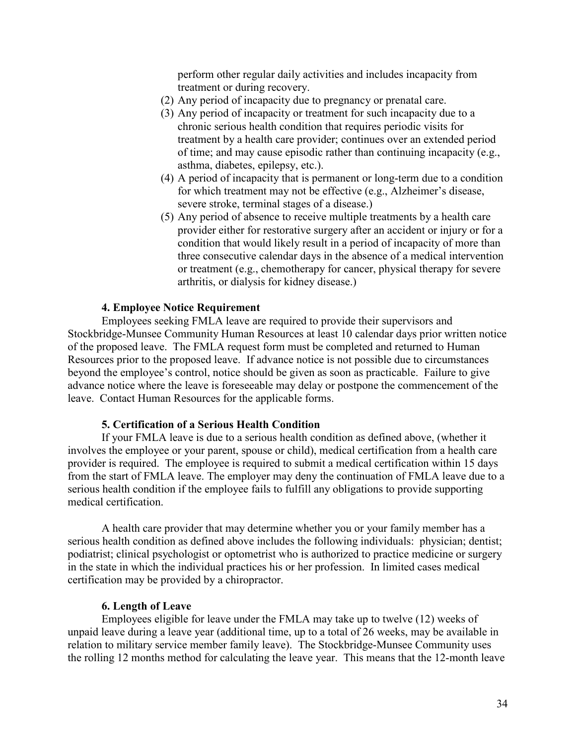perform other regular daily activities and includes incapacity from treatment or during recovery.

- (2) Any period of incapacity due to pregnancy or prenatal care.
- (3) Any period of incapacity or treatment for such incapacity due to a chronic serious health condition that requires periodic visits for treatment by a health care provider; continues over an extended period of time; and may cause episodic rather than continuing incapacity (e.g., asthma, diabetes, epilepsy, etc.).
- (4) A period of incapacity that is permanent or long-term due to a condition for which treatment may not be effective (e.g., Alzheimer's disease, severe stroke, terminal stages of a disease.)
- (5) Any period of absence to receive multiple treatments by a health care provider either for restorative surgery after an accident or injury or for a condition that would likely result in a period of incapacity of more than three consecutive calendar days in the absence of a medical intervention or treatment (e.g., chemotherapy for cancer, physical therapy for severe arthritis, or dialysis for kidney disease.)

#### **4. Employee Notice Requirement**

Employees seeking FMLA leave are required to provide their supervisors and Stockbridge-Munsee Community Human Resources at least 10 calendar days prior written notice of the proposed leave. The FMLA request form must be completed and returned to Human Resources prior to the proposed leave. If advance notice is not possible due to circumstances beyond the employee's control, notice should be given as soon as practicable. Failure to give advance notice where the leave is foreseeable may delay or postpone the commencement of the leave. Contact Human Resources for the applicable forms.

#### **5. Certification of a Serious Health Condition**

If your FMLA leave is due to a serious health condition as defined above, (whether it involves the employee or your parent, spouse or child), medical certification from a health care provider is required. The employee is required to submit a medical certification within 15 days from the start of FMLA leave. The employer may deny the continuation of FMLA leave due to a serious health condition if the employee fails to fulfill any obligations to provide supporting medical certification.

A health care provider that may determine whether you or your family member has a serious health condition as defined above includes the following individuals: physician; dentist; podiatrist; clinical psychologist or optometrist who is authorized to practice medicine or surgery in the state in which the individual practices his or her profession. In limited cases medical certification may be provided by a chiropractor.

#### **6. Length of Leave**

Employees eligible for leave under the FMLA may take up to twelve (12) weeks of unpaid leave during a leave year (additional time, up to a total of 26 weeks, may be available in relation to military service member family leave). The Stockbridge-Munsee Community uses the rolling 12 months method for calculating the leave year. This means that the 12-month leave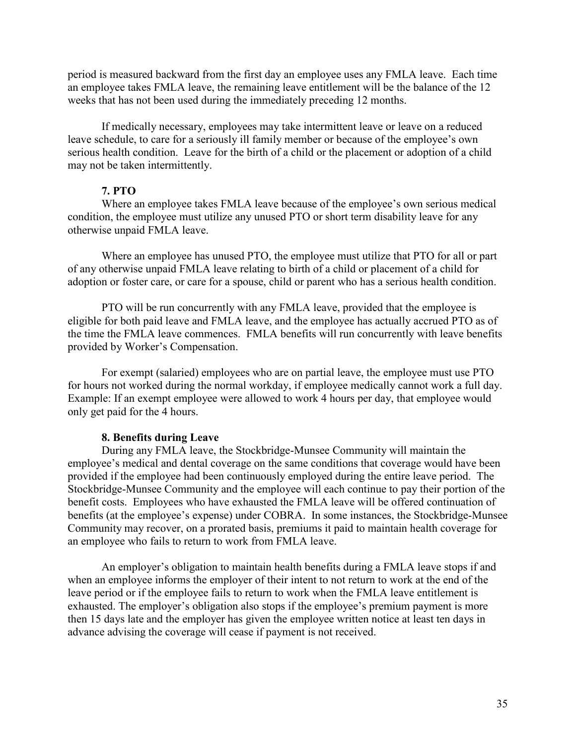period is measured backward from the first day an employee uses any FMLA leave. Each time an employee takes FMLA leave, the remaining leave entitlement will be the balance of the 12 weeks that has not been used during the immediately preceding 12 months.

If medically necessary, employees may take intermittent leave or leave on a reduced leave schedule, to care for a seriously ill family member or because of the employee's own serious health condition. Leave for the birth of a child or the placement or adoption of a child may not be taken intermittently.

#### **7. PTO**

Where an employee takes FMLA leave because of the employee's own serious medical condition, the employee must utilize any unused PTO or short term disability leave for any otherwise unpaid FMLA leave.

Where an employee has unused PTO, the employee must utilize that PTO for all or part of any otherwise unpaid FMLA leave relating to birth of a child or placement of a child for adoption or foster care, or care for a spouse, child or parent who has a serious health condition.

PTO will be run concurrently with any FMLA leave, provided that the employee is eligible for both paid leave and FMLA leave, and the employee has actually accrued PTO as of the time the FMLA leave commences. FMLA benefits will run concurrently with leave benefits provided by Worker's Compensation.

For exempt (salaried) employees who are on partial leave, the employee must use PTO for hours not worked during the normal workday, if employee medically cannot work a full day. Example: If an exempt employee were allowed to work 4 hours per day, that employee would only get paid for the 4 hours.

#### **8. Benefits during Leave**

During any FMLA leave, the Stockbridge-Munsee Community will maintain the employee's medical and dental coverage on the same conditions that coverage would have been provided if the employee had been continuously employed during the entire leave period. The Stockbridge-Munsee Community and the employee will each continue to pay their portion of the benefit costs. Employees who have exhausted the FMLA leave will be offered continuation of benefits (at the employee's expense) under COBRA. In some instances, the Stockbridge-Munsee Community may recover, on a prorated basis, premiums it paid to maintain health coverage for an employee who fails to return to work from FMLA leave.

An employer's obligation to maintain health benefits during a FMLA leave stops if and when an employee informs the employer of their intent to not return to work at the end of the leave period or if the employee fails to return to work when the FMLA leave entitlement is exhausted. The employer's obligation also stops if the employee's premium payment is more then 15 days late and the employer has given the employee written notice at least ten days in advance advising the coverage will cease if payment is not received.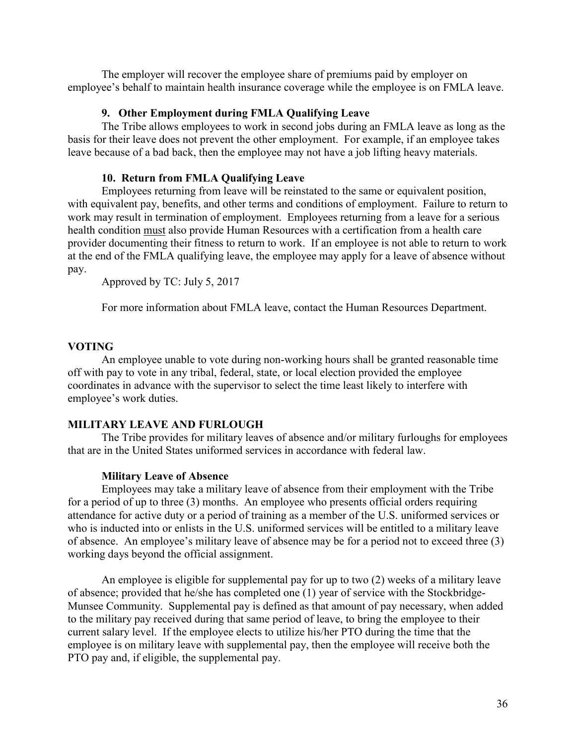The employer will recover the employee share of premiums paid by employer on employee's behalf to maintain health insurance coverage while the employee is on FMLA leave.

### **9. Other Employment during FMLA Qualifying Leave**

The Tribe allows employees to work in second jobs during an FMLA leave as long as the basis for their leave does not prevent the other employment. For example, if an employee takes leave because of a bad back, then the employee may not have a job lifting heavy materials.

# **10. Return from FMLA Qualifying Leave**

Employees returning from leave will be reinstated to the same or equivalent position, with equivalent pay, benefits, and other terms and conditions of employment. Failure to return to work may result in termination of employment. Employees returning from a leave for a serious health condition must also provide Human Resources with a certification from a health care provider documenting their fitness to return to work. If an employee is not able to return to work at the end of the FMLA qualifying leave, the employee may apply for a leave of absence without pay.

Approved by TC: July 5, 2017

For more information about FMLA leave, contact the Human Resources Department.

# **VOTING**

An employee unable to vote during non-working hours shall be granted reasonable time off with pay to vote in any tribal, federal, state, or local election provided the employee coordinates in advance with the supervisor to select the time least likely to interfere with employee's work duties.

# **MILITARY LEAVE AND FURLOUGH**

The Tribe provides for military leaves of absence and/or military furloughs for employees that are in the United States uniformed services in accordance with federal law.

# **Military Leave of Absence**

Employees may take a military leave of absence from their employment with the Tribe for a period of up to three (3) months. An employee who presents official orders requiring attendance for active duty or a period of training as a member of the U.S. uniformed services or who is inducted into or enlists in the U.S. uniformed services will be entitled to a military leave of absence. An employee's military leave of absence may be for a period not to exceed three (3) working days beyond the official assignment.

An employee is eligible for supplemental pay for up to two (2) weeks of a military leave of absence; provided that he/she has completed one (1) year of service with the Stockbridge-Munsee Community. Supplemental pay is defined as that amount of pay necessary, when added to the military pay received during that same period of leave, to bring the employee to their current salary level. If the employee elects to utilize his/her PTO during the time that the employee is on military leave with supplemental pay, then the employee will receive both the PTO pay and, if eligible, the supplemental pay.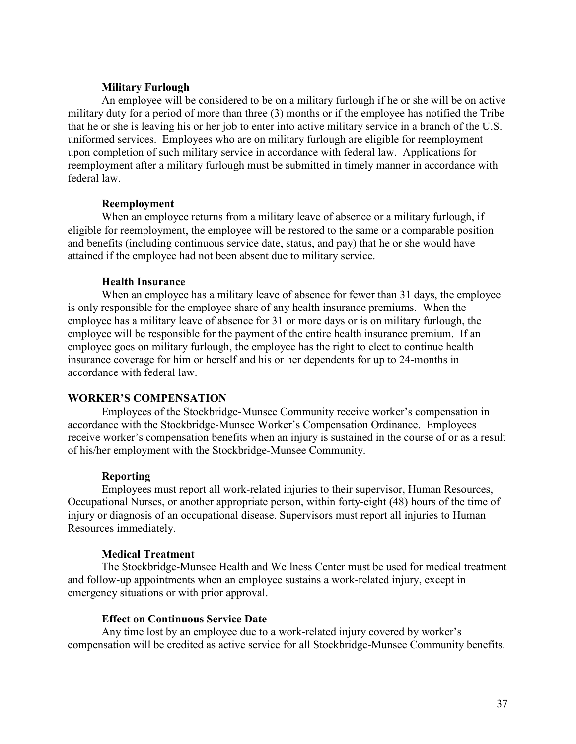#### **Military Furlough**

An employee will be considered to be on a military furlough if he or she will be on active military duty for a period of more than three (3) months or if the employee has notified the Tribe that he or she is leaving his or her job to enter into active military service in a branch of the U.S. uniformed services. Employees who are on military furlough are eligible for reemployment upon completion of such military service in accordance with federal law. Applications for reemployment after a military furlough must be submitted in timely manner in accordance with federal law.

#### **Reemployment**

When an employee returns from a military leave of absence or a military furlough, if eligible for reemployment, the employee will be restored to the same or a comparable position and benefits (including continuous service date, status, and pay) that he or she would have attained if the employee had not been absent due to military service.

#### **Health Insurance**

When an employee has a military leave of absence for fewer than 31 days, the employee is only responsible for the employee share of any health insurance premiums. When the employee has a military leave of absence for 31 or more days or is on military furlough, the employee will be responsible for the payment of the entire health insurance premium. If an employee goes on military furlough, the employee has the right to elect to continue health insurance coverage for him or herself and his or her dependents for up to 24-months in accordance with federal law.

## **WORKER'S COMPENSATION**

Employees of the Stockbridge-Munsee Community receive worker's compensation in accordance with the Stockbridge-Munsee Worker's Compensation Ordinance. Employees receive worker's compensation benefits when an injury is sustained in the course of or as a result of his/her employment with the Stockbridge-Munsee Community.

#### **Reporting**

Employees must report all work-related injuries to their supervisor, Human Resources, Occupational Nurses, or another appropriate person, within forty-eight (48) hours of the time of injury or diagnosis of an occupational disease. Supervisors must report all injuries to Human Resources immediately.

#### **Medical Treatment**

The Stockbridge-Munsee Health and Wellness Center must be used for medical treatment and follow-up appointments when an employee sustains a work-related injury, except in emergency situations or with prior approval.

#### **Effect on Continuous Service Date**

Any time lost by an employee due to a work-related injury covered by worker's compensation will be credited as active service for all Stockbridge-Munsee Community benefits.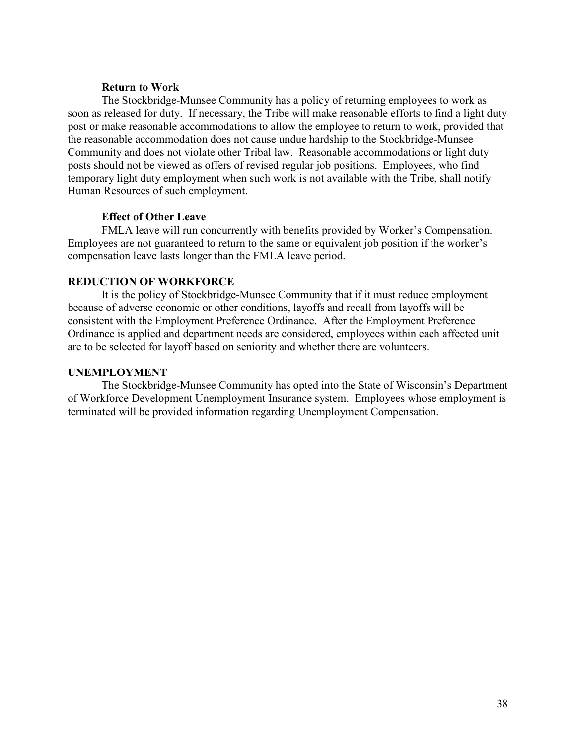#### **Return to Work**

The Stockbridge-Munsee Community has a policy of returning employees to work as soon as released for duty. If necessary, the Tribe will make reasonable efforts to find a light duty post or make reasonable accommodations to allow the employee to return to work, provided that the reasonable accommodation does not cause undue hardship to the Stockbridge-Munsee Community and does not violate other Tribal law. Reasonable accommodations or light duty posts should not be viewed as offers of revised regular job positions. Employees, who find temporary light duty employment when such work is not available with the Tribe, shall notify Human Resources of such employment.

## **Effect of Other Leave**

FMLA leave will run concurrently with benefits provided by Worker's Compensation. Employees are not guaranteed to return to the same or equivalent job position if the worker's compensation leave lasts longer than the FMLA leave period.

## **REDUCTION OF WORKFORCE**

It is the policy of Stockbridge-Munsee Community that if it must reduce employment because of adverse economic or other conditions, layoffs and recall from layoffs will be consistent with the Employment Preference Ordinance. After the Employment Preference Ordinance is applied and department needs are considered, employees within each affected unit are to be selected for layoff based on seniority and whether there are volunteers.

#### **UNEMPLOYMENT**

The Stockbridge-Munsee Community has opted into the State of Wisconsin's Department of Workforce Development Unemployment Insurance system. Employees whose employment is terminated will be provided information regarding Unemployment Compensation.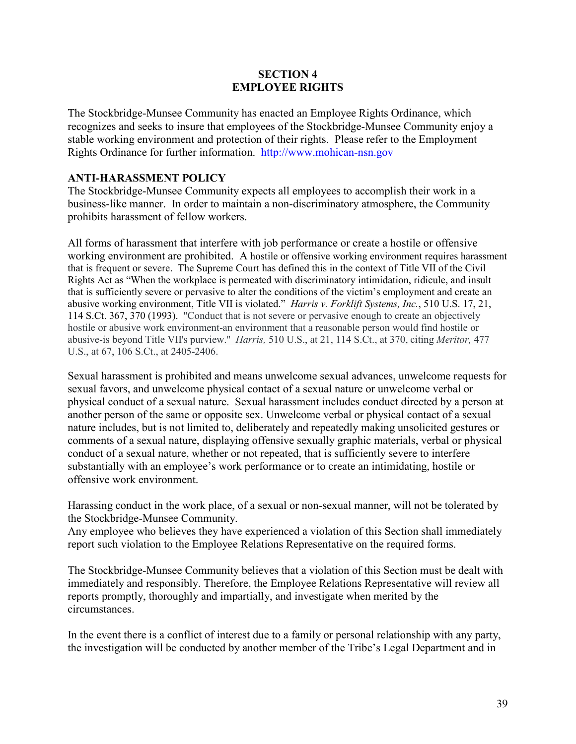## **SECTION 4 EMPLOYEE RIGHTS**

The Stockbridge-Munsee Community has enacted an Employee Rights Ordinance, which recognizes and seeks to insure that employees of the Stockbridge-Munsee Community enjoy a stable working environment and protection of their rights. Please refer to the Employment Rights Ordinance for further information. http://www.mohican-nsn.gov

## **ANTI-HARASSMENT POLICY**

The Stockbridge-Munsee Community expects all employees to accomplish their work in a business-like manner. In order to maintain a non-discriminatory atmosphere, the Community prohibits harassment of fellow workers.

All forms of harassment that interfere with job performance or create a hostile or offensive working environment are prohibited. A hostile or offensive working environment requires harassment that is frequent or severe. The Supreme Court has defined this in the context of Title VII of the Civil Rights Act as "When the workplace is permeated with discriminatory intimidation, ridicule, and insult that is sufficiently severe or pervasive to alter the conditions of the victim's employment and create an abusive working environment, Title VII is violated." *Harris v. Forklift Systems, Inc.*, 510 U.S. 17, 21, 114 S.Ct. 367, 370 (1993). "Conduct that is not severe or pervasive enough to create an objectively hostile or abusive work environment-an environment that a reasonable person would find hostile or abusive-is beyond Title VII's purview.'' *Harris,* 510 U.S., at 21, 114 S.Ct., at 370, citing *Meritor,* 477 U.S., at 67, 106 S.Ct., at 2405-2406.

Sexual harassment is prohibited and means unwelcome sexual advances, unwelcome requests for sexual favors, and unwelcome physical contact of a sexual nature or unwelcome verbal or physical conduct of a sexual nature. Sexual harassment includes conduct directed by a person at another person of the same or opposite sex. Unwelcome verbal or physical contact of a sexual nature includes, but is not limited to, deliberately and repeatedly making unsolicited gestures or comments of a sexual nature, displaying offensive sexually graphic materials, verbal or physical conduct of a sexual nature, whether or not repeated, that is sufficiently severe to interfere substantially with an employee's work performance or to create an intimidating, hostile or offensive work environment.

Harassing conduct in the work place, of a sexual or non-sexual manner, will not be tolerated by the Stockbridge-Munsee Community.

Any employee who believes they have experienced a violation of this Section shall immediately report such violation to the Employee Relations Representative on the required forms.

The Stockbridge-Munsee Community believes that a violation of this Section must be dealt with immediately and responsibly. Therefore, the Employee Relations Representative will review all reports promptly, thoroughly and impartially, and investigate when merited by the circumstances.

In the event there is a conflict of interest due to a family or personal relationship with any party, the investigation will be conducted by another member of the Tribe's Legal Department and in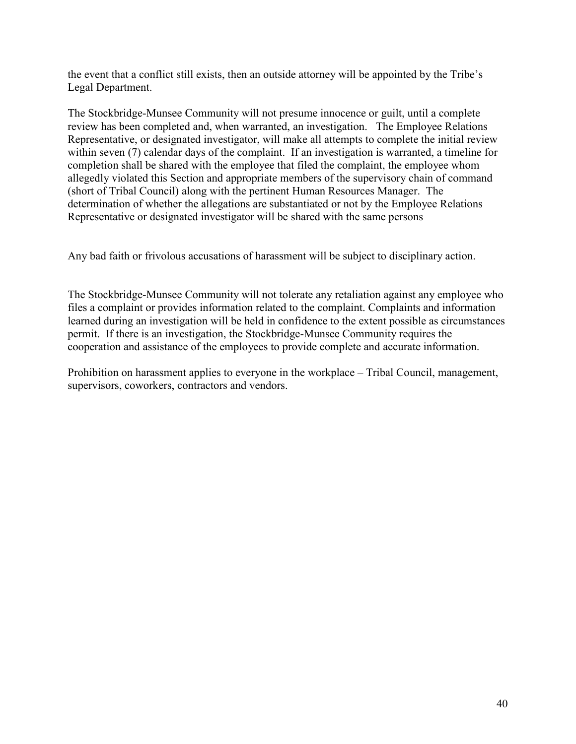the event that a conflict still exists, then an outside attorney will be appointed by the Tribe's Legal Department.

The Stockbridge-Munsee Community will not presume innocence or guilt, until a complete review has been completed and, when warranted, an investigation. The Employee Relations Representative, or designated investigator, will make all attempts to complete the initial review within seven (7) calendar days of the complaint. If an investigation is warranted, a timeline for completion shall be shared with the employee that filed the complaint, the employee whom allegedly violated this Section and appropriate members of the supervisory chain of command (short of Tribal Council) along with the pertinent Human Resources Manager. The determination of whether the allegations are substantiated or not by the Employee Relations Representative or designated investigator will be shared with the same persons

Any bad faith or frivolous accusations of harassment will be subject to disciplinary action.

The Stockbridge-Munsee Community will not tolerate any retaliation against any employee who files a complaint or provides information related to the complaint. Complaints and information learned during an investigation will be held in confidence to the extent possible as circumstances permit. If there is an investigation, the Stockbridge-Munsee Community requires the cooperation and assistance of the employees to provide complete and accurate information.

Prohibition on harassment applies to everyone in the workplace – Tribal Council, management, supervisors, coworkers, contractors and vendors.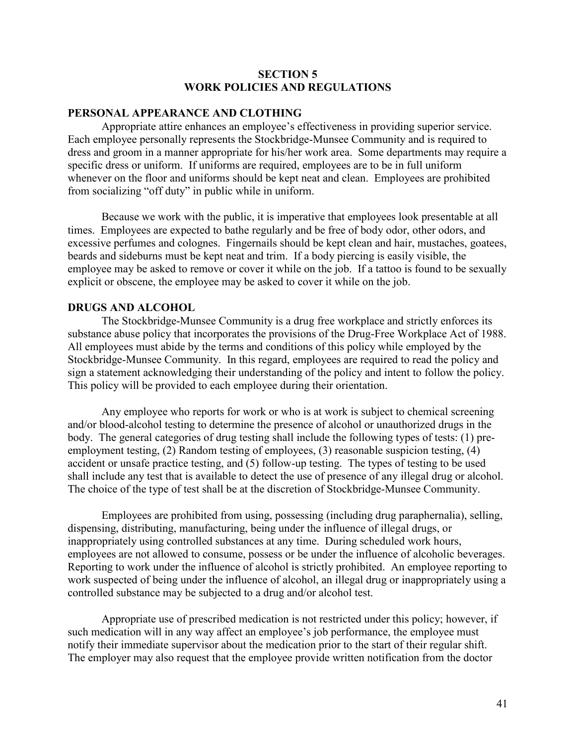## **SECTION 5 WORK POLICIES AND REGULATIONS**

## **PERSONAL APPEARANCE AND CLOTHING**

Appropriate attire enhances an employee's effectiveness in providing superior service. Each employee personally represents the Stockbridge-Munsee Community and is required to dress and groom in a manner appropriate for his/her work area. Some departments may require a specific dress or uniform. If uniforms are required, employees are to be in full uniform whenever on the floor and uniforms should be kept neat and clean. Employees are prohibited from socializing "off duty" in public while in uniform.

Because we work with the public, it is imperative that employees look presentable at all times. Employees are expected to bathe regularly and be free of body odor, other odors, and excessive perfumes and colognes. Fingernails should be kept clean and hair, mustaches, goatees, beards and sideburns must be kept neat and trim. If a body piercing is easily visible, the employee may be asked to remove or cover it while on the job. If a tattoo is found to be sexually explicit or obscene, the employee may be asked to cover it while on the job.

#### **DRUGS AND ALCOHOL**

The Stockbridge-Munsee Community is a drug free workplace and strictly enforces its substance abuse policy that incorporates the provisions of the Drug-Free Workplace Act of 1988. All employees must abide by the terms and conditions of this policy while employed by the Stockbridge-Munsee Community. In this regard, employees are required to read the policy and sign a statement acknowledging their understanding of the policy and intent to follow the policy. This policy will be provided to each employee during their orientation.

Any employee who reports for work or who is at work is subject to chemical screening and/or blood-alcohol testing to determine the presence of alcohol or unauthorized drugs in the body. The general categories of drug testing shall include the following types of tests: (1) preemployment testing, (2) Random testing of employees, (3) reasonable suspicion testing, (4) accident or unsafe practice testing, and (5) follow-up testing. The types of testing to be used shall include any test that is available to detect the use of presence of any illegal drug or alcohol. The choice of the type of test shall be at the discretion of Stockbridge-Munsee Community.

Employees are prohibited from using, possessing (including drug paraphernalia), selling, dispensing, distributing, manufacturing, being under the influence of illegal drugs, or inappropriately using controlled substances at any time. During scheduled work hours, employees are not allowed to consume, possess or be under the influence of alcoholic beverages. Reporting to work under the influence of alcohol is strictly prohibited. An employee reporting to work suspected of being under the influence of alcohol, an illegal drug or inappropriately using a controlled substance may be subjected to a drug and/or alcohol test.

Appropriate use of prescribed medication is not restricted under this policy; however, if such medication will in any way affect an employee's job performance, the employee must notify their immediate supervisor about the medication prior to the start of their regular shift. The employer may also request that the employee provide written notification from the doctor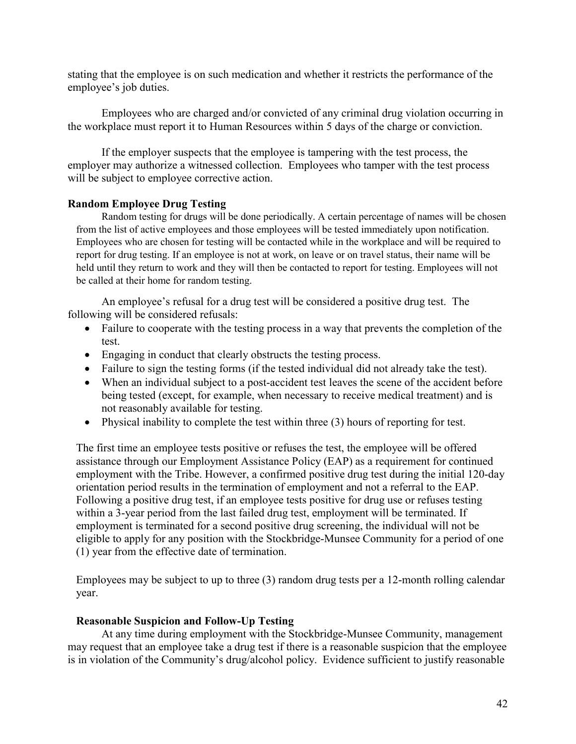stating that the employee is on such medication and whether it restricts the performance of the employee's job duties.

Employees who are charged and/or convicted of any criminal drug violation occurring in the workplace must report it to Human Resources within 5 days of the charge or conviction.

If the employer suspects that the employee is tampering with the test process, the employer may authorize a witnessed collection. Employees who tamper with the test process will be subject to employee corrective action.

## **Random Employee Drug Testing**

Random testing for drugs will be done periodically. A certain percentage of names will be chosen from the list of active employees and those employees will be tested immediately upon notification. Employees who are chosen for testing will be contacted while in the workplace and will be required to report for drug testing. If an employee is not at work, on leave or on travel status, their name will be held until they return to work and they will then be contacted to report for testing. Employees will not be called at their home for random testing.

An employee's refusal for a drug test will be considered a positive drug test. The following will be considered refusals:

- Failure to cooperate with the testing process in a way that prevents the completion of the test.
- Engaging in conduct that clearly obstructs the testing process.
- Failure to sign the testing forms (if the tested individual did not already take the test).
- When an individual subject to a post-accident test leaves the scene of the accident before being tested (except, for example, when necessary to receive medical treatment) and is not reasonably available for testing.
- Physical inability to complete the test within three (3) hours of reporting for test.

The first time an employee tests positive or refuses the test, the employee will be offered assistance through our Employment Assistance Policy (EAP) as a requirement for continued employment with the Tribe. However, a confirmed positive drug test during the initial 120-day orientation period results in the termination of employment and not a referral to the EAP. Following a positive drug test, if an employee tests positive for drug use or refuses testing within a 3-year period from the last failed drug test, employment will be terminated. If employment is terminated for a second positive drug screening, the individual will not be eligible to apply for any position with the Stockbridge-Munsee Community for a period of one (1) year from the effective date of termination.

Employees may be subject to up to three (3) random drug tests per a 12-month rolling calendar year.

## **Reasonable Suspicion and Follow-Up Testing**

At any time during employment with the Stockbridge-Munsee Community, management may request that an employee take a drug test if there is a reasonable suspicion that the employee is in violation of the Community's drug/alcohol policy. Evidence sufficient to justify reasonable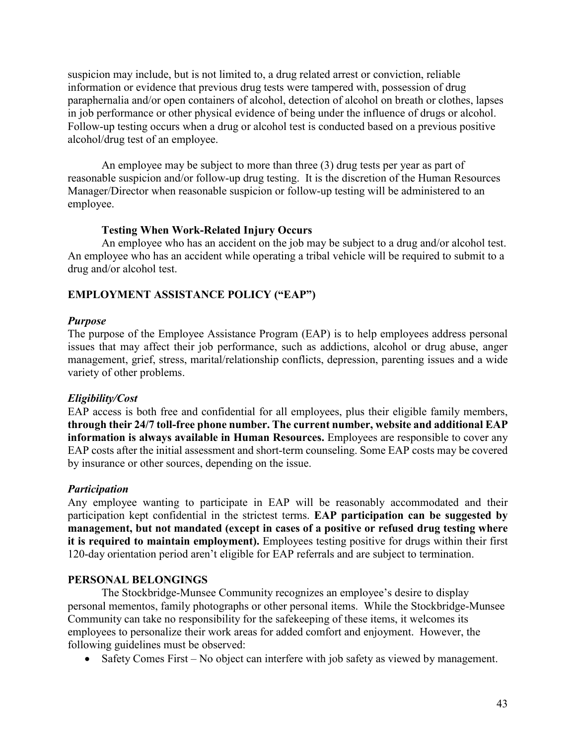suspicion may include, but is not limited to, a drug related arrest or conviction, reliable information or evidence that previous drug tests were tampered with, possession of drug paraphernalia and/or open containers of alcohol, detection of alcohol on breath or clothes, lapses in job performance or other physical evidence of being under the influence of drugs or alcohol. Follow-up testing occurs when a drug or alcohol test is conducted based on a previous positive alcohol/drug test of an employee.

An employee may be subject to more than three (3) drug tests per year as part of reasonable suspicion and/or follow-up drug testing. It is the discretion of the Human Resources Manager/Director when reasonable suspicion or follow-up testing will be administered to an employee.

## **Testing When Work-Related Injury Occurs**

An employee who has an accident on the job may be subject to a drug and/or alcohol test. An employee who has an accident while operating a tribal vehicle will be required to submit to a drug and/or alcohol test.

# **EMPLOYMENT ASSISTANCE POLICY ("EAP")**

## *Purpose*

The purpose of the Employee Assistance Program (EAP) is to help employees address personal issues that may affect their job performance, such as addictions, alcohol or drug abuse, anger management, grief, stress, marital/relationship conflicts, depression, parenting issues and a wide variety of other problems.

## *Eligibility/Cost*

EAP access is both free and confidential for all employees, plus their eligible family members, **through their 24/7 toll-free phone number. The current number, website and additional EAP information is always available in Human Resources.** Employees are responsible to cover any EAP costs after the initial assessment and short-term counseling. Some EAP costs may be covered by insurance or other sources, depending on the issue.

## *Participation*

Any employee wanting to participate in EAP will be reasonably accommodated and their participation kept confidential in the strictest terms. **EAP participation can be suggested by management, but not mandated (except in cases of a positive or refused drug testing where it is required to maintain employment).** Employees testing positive for drugs within their first 120-day orientation period aren't eligible for EAP referrals and are subject to termination.

## **PERSONAL BELONGINGS**

The Stockbridge-Munsee Community recognizes an employee's desire to display personal mementos, family photographs or other personal items. While the Stockbridge-Munsee Community can take no responsibility for the safekeeping of these items, it welcomes its employees to personalize their work areas for added comfort and enjoyment. However, the following guidelines must be observed:

• Safety Comes First – No object can interfere with job safety as viewed by management.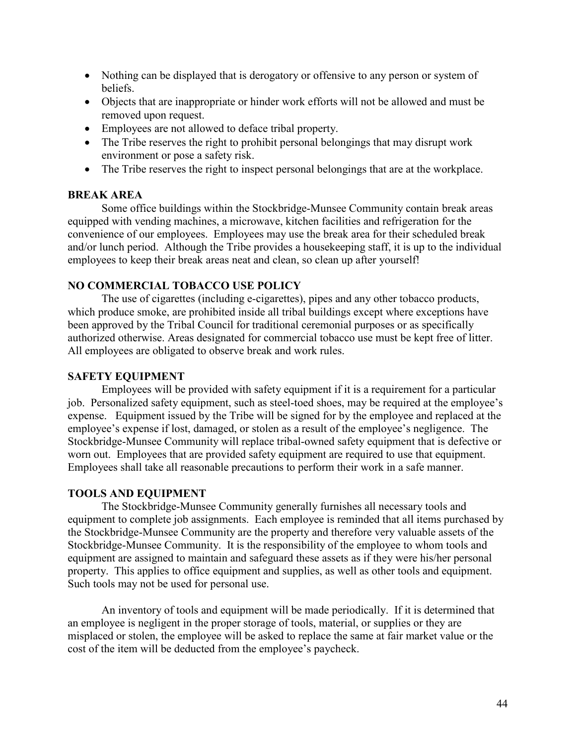- Nothing can be displayed that is derogatory or offensive to any person or system of beliefs.
- Objects that are inappropriate or hinder work efforts will not be allowed and must be removed upon request.
- Employees are not allowed to deface tribal property.
- The Tribe reserves the right to prohibit personal belongings that may disrupt work environment or pose a safety risk.
- The Tribe reserves the right to inspect personal belongings that are at the workplace.

## **BREAK AREA**

Some office buildings within the Stockbridge-Munsee Community contain break areas equipped with vending machines, a microwave, kitchen facilities and refrigeration for the convenience of our employees. Employees may use the break area for their scheduled break and/or lunch period. Although the Tribe provides a housekeeping staff, it is up to the individual employees to keep their break areas neat and clean, so clean up after yourself!

## **NO COMMERCIAL TOBACCO USE POLICY**

The use of cigarettes (including e-cigarettes), pipes and any other tobacco products, which produce smoke, are prohibited inside all tribal buildings except where exceptions have been approved by the Tribal Council for traditional ceremonial purposes or as specifically authorized otherwise. Areas designated for commercial tobacco use must be kept free of litter. All employees are obligated to observe break and work rules.

## **SAFETY EQUIPMENT**

Employees will be provided with safety equipment if it is a requirement for a particular job. Personalized safety equipment, such as steel-toed shoes, may be required at the employee's expense. Equipment issued by the Tribe will be signed for by the employee and replaced at the employee's expense if lost, damaged, or stolen as a result of the employee's negligence. The Stockbridge-Munsee Community will replace tribal-owned safety equipment that is defective or worn out. Employees that are provided safety equipment are required to use that equipment. Employees shall take all reasonable precautions to perform their work in a safe manner.

## **TOOLS AND EQUIPMENT**

The Stockbridge-Munsee Community generally furnishes all necessary tools and equipment to complete job assignments. Each employee is reminded that all items purchased by the Stockbridge-Munsee Community are the property and therefore very valuable assets of the Stockbridge-Munsee Community. It is the responsibility of the employee to whom tools and equipment are assigned to maintain and safeguard these assets as if they were his/her personal property. This applies to office equipment and supplies, as well as other tools and equipment. Such tools may not be used for personal use.

An inventory of tools and equipment will be made periodically. If it is determined that an employee is negligent in the proper storage of tools, material, or supplies or they are misplaced or stolen, the employee will be asked to replace the same at fair market value or the cost of the item will be deducted from the employee's paycheck.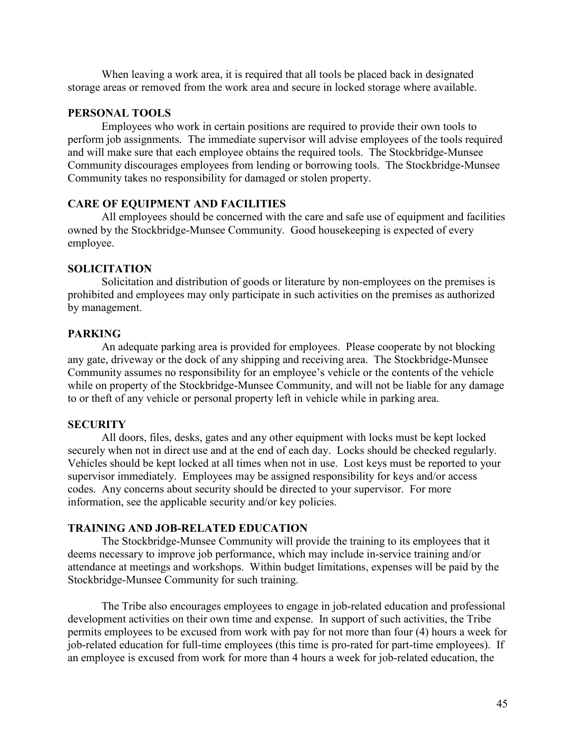When leaving a work area, it is required that all tools be placed back in designated storage areas or removed from the work area and secure in locked storage where available.

#### **PERSONAL TOOLS**

Employees who work in certain positions are required to provide their own tools to perform job assignments. The immediate supervisor will advise employees of the tools required and will make sure that each employee obtains the required tools. The Stockbridge-Munsee Community discourages employees from lending or borrowing tools. The Stockbridge-Munsee Community takes no responsibility for damaged or stolen property.

#### **CARE OF EQUIPMENT AND FACILITIES**

All employees should be concerned with the care and safe use of equipment and facilities owned by the Stockbridge-Munsee Community. Good housekeeping is expected of every employee.

#### **SOLICITATION**

Solicitation and distribution of goods or literature by non-employees on the premises is prohibited and employees may only participate in such activities on the premises as authorized by management.

#### **PARKING**

An adequate parking area is provided for employees. Please cooperate by not blocking any gate, driveway or the dock of any shipping and receiving area. The Stockbridge-Munsee Community assumes no responsibility for an employee's vehicle or the contents of the vehicle while on property of the Stockbridge-Munsee Community, and will not be liable for any damage to or theft of any vehicle or personal property left in vehicle while in parking area.

#### **SECURITY**

All doors, files, desks, gates and any other equipment with locks must be kept locked securely when not in direct use and at the end of each day. Locks should be checked regularly. Vehicles should be kept locked at all times when not in use. Lost keys must be reported to your supervisor immediately. Employees may be assigned responsibility for keys and/or access codes. Any concerns about security should be directed to your supervisor. For more information, see the applicable security and/or key policies.

#### **TRAINING AND JOB-RELATED EDUCATION**

The Stockbridge-Munsee Community will provide the training to its employees that it deems necessary to improve job performance, which may include in-service training and/or attendance at meetings and workshops. Within budget limitations, expenses will be paid by the Stockbridge-Munsee Community for such training.

The Tribe also encourages employees to engage in job-related education and professional development activities on their own time and expense. In support of such activities, the Tribe permits employees to be excused from work with pay for not more than four (4) hours a week for job-related education for full-time employees (this time is pro-rated for part-time employees). If an employee is excused from work for more than 4 hours a week for job-related education, the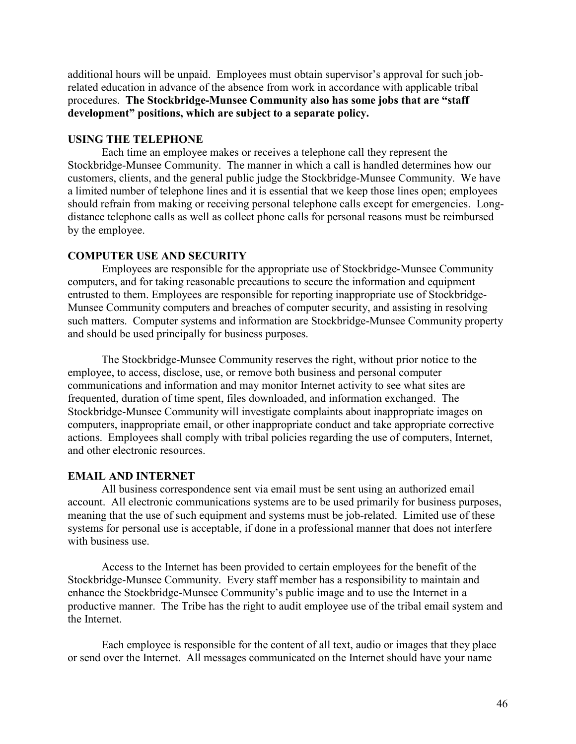additional hours will be unpaid. Employees must obtain supervisor's approval for such jobrelated education in advance of the absence from work in accordance with applicable tribal procedures. **The Stockbridge-Munsee Community also has some jobs that are "staff development" positions, which are subject to a separate policy.** 

## **USING THE TELEPHONE**

Each time an employee makes or receives a telephone call they represent the Stockbridge-Munsee Community. The manner in which a call is handled determines how our customers, clients, and the general public judge the Stockbridge-Munsee Community. We have a limited number of telephone lines and it is essential that we keep those lines open; employees should refrain from making or receiving personal telephone calls except for emergencies. Longdistance telephone calls as well as collect phone calls for personal reasons must be reimbursed by the employee.

#### **COMPUTER USE AND SECURITY**

Employees are responsible for the appropriate use of Stockbridge-Munsee Community computers, and for taking reasonable precautions to secure the information and equipment entrusted to them. Employees are responsible for reporting inappropriate use of Stockbridge-Munsee Community computers and breaches of computer security, and assisting in resolving such matters. Computer systems and information are Stockbridge-Munsee Community property and should be used principally for business purposes.

The Stockbridge-Munsee Community reserves the right, without prior notice to the employee, to access, disclose, use, or remove both business and personal computer communications and information and may monitor Internet activity to see what sites are frequented, duration of time spent, files downloaded, and information exchanged. The Stockbridge-Munsee Community will investigate complaints about inappropriate images on computers, inappropriate email, or other inappropriate conduct and take appropriate corrective actions. Employees shall comply with tribal policies regarding the use of computers, Internet, and other electronic resources.

## **EMAIL AND INTERNET**

All business correspondence sent via email must be sent using an authorized email account. All electronic communications systems are to be used primarily for business purposes, meaning that the use of such equipment and systems must be job-related. Limited use of these systems for personal use is acceptable, if done in a professional manner that does not interfere with business use.

Access to the Internet has been provided to certain employees for the benefit of the Stockbridge-Munsee Community. Every staff member has a responsibility to maintain and enhance the Stockbridge-Munsee Community's public image and to use the Internet in a productive manner. The Tribe has the right to audit employee use of the tribal email system and the Internet.

Each employee is responsible for the content of all text, audio or images that they place or send over the Internet. All messages communicated on the Internet should have your name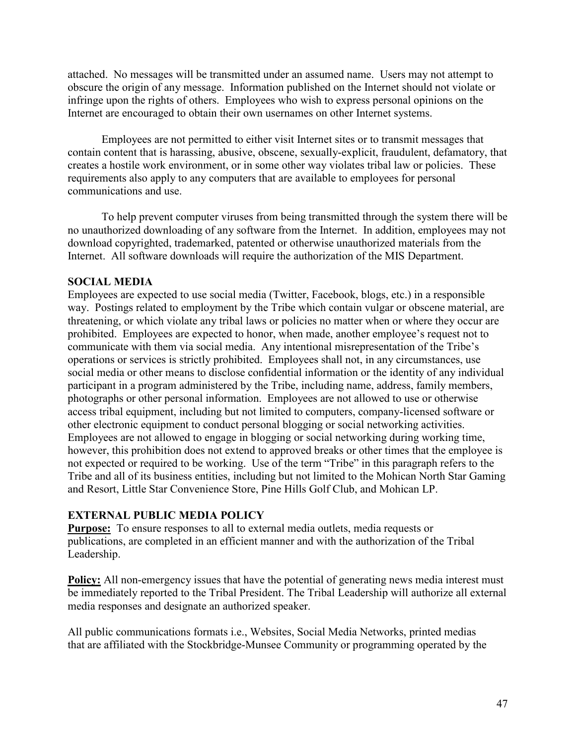attached. No messages will be transmitted under an assumed name. Users may not attempt to obscure the origin of any message. Information published on the Internet should not violate or infringe upon the rights of others. Employees who wish to express personal opinions on the Internet are encouraged to obtain their own usernames on other Internet systems.

Employees are not permitted to either visit Internet sites or to transmit messages that contain content that is harassing, abusive, obscene, sexually-explicit, fraudulent, defamatory, that creates a hostile work environment, or in some other way violates tribal law or policies. These requirements also apply to any computers that are available to employees for personal communications and use.

To help prevent computer viruses from being transmitted through the system there will be no unauthorized downloading of any software from the Internet. In addition, employees may not download copyrighted, trademarked, patented or otherwise unauthorized materials from the Internet. All software downloads will require the authorization of the MIS Department.

## **SOCIAL MEDIA**

Employees are expected to use social media (Twitter, Facebook, blogs, etc.) in a responsible way. Postings related to employment by the Tribe which contain vulgar or obscene material, are threatening, or which violate any tribal laws or policies no matter when or where they occur are prohibited. Employees are expected to honor, when made, another employee's request not to communicate with them via social media. Any intentional misrepresentation of the Tribe's operations or services is strictly prohibited. Employees shall not, in any circumstances, use social media or other means to disclose confidential information or the identity of any individual participant in a program administered by the Tribe, including name, address, family members, photographs or other personal information. Employees are not allowed to use or otherwise access tribal equipment, including but not limited to computers, company-licensed software or other electronic equipment to conduct personal blogging or social networking activities. Employees are not allowed to engage in blogging or social networking during working time, however, this prohibition does not extend to approved breaks or other times that the employee is not expected or required to be working. Use of the term "Tribe" in this paragraph refers to the Tribe and all of its business entities, including but not limited to the Mohican North Star Gaming and Resort, Little Star Convenience Store, Pine Hills Golf Club, and Mohican LP.

## **EXTERNAL PUBLIC MEDIA POLICY**

**Purpose:** To ensure responses to all to external media outlets, media requests or publications, are completed in an efficient manner and with the authorization of the Tribal Leadership.

**Policy:** All non-emergency issues that have the potential of generating news media interest must be immediately reported to the Tribal President. The Tribal Leadership will authorize all external media responses and designate an authorized speaker.

All public communications formats i.e., Websites, Social Media Networks, printed medias that are affiliated with the Stockbridge-Munsee Community or programming operated by the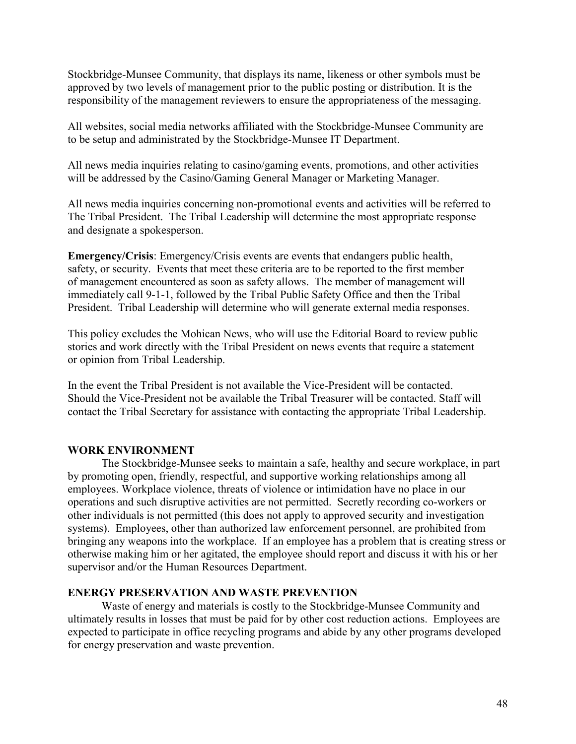Stockbridge-Munsee Community, that displays its name, likeness or other symbols must be approved by two levels of management prior to the public posting or distribution. It is the responsibility of the management reviewers to ensure the appropriateness of the messaging.

All websites, social media networks affiliated with the Stockbridge-Munsee Community are to be setup and administrated by the Stockbridge-Munsee IT Department.

All news media inquiries relating to casino/gaming events, promotions, and other activities will be addressed by the Casino/Gaming General Manager or Marketing Manager.

All news media inquiries concerning non-promotional events and activities will be referred to The Tribal President. The Tribal Leadership will determine the most appropriate response and designate a spokesperson.

**Emergency/Crisis**: Emergency/Crisis events are events that endangers public health, safety, or security. Events that meet these criteria are to be reported to the first member of management encountered as soon as safety allows. The member of management will immediately call 9-1-1, followed by the Tribal Public Safety Office and then the Tribal President. Tribal Leadership will determine who will generate external media responses.

This policy excludes the Mohican News, who will use the Editorial Board to review public stories and work directly with the Tribal President on news events that require a statement or opinion from Tribal Leadership.

In the event the Tribal President is not available the Vice-President will be contacted. Should the Vice-President not be available the Tribal Treasurer will be contacted. Staff will contact the Tribal Secretary for assistance with contacting the appropriate Tribal Leadership.

## **WORK ENVIRONMENT**

The Stockbridge-Munsee seeks to maintain a safe, healthy and secure workplace, in part by promoting open, friendly, respectful, and supportive working relationships among all employees. Workplace violence, threats of violence or intimidation have no place in our operations and such disruptive activities are not permitted. Secretly recording co-workers or other individuals is not permitted (this does not apply to approved security and investigation systems). Employees, other than authorized law enforcement personnel, are prohibited from bringing any weapons into the workplace. If an employee has a problem that is creating stress or otherwise making him or her agitated, the employee should report and discuss it with his or her supervisor and/or the Human Resources Department.

## **ENERGY PRESERVATION AND WASTE PREVENTION**

Waste of energy and materials is costly to the Stockbridge-Munsee Community and ultimately results in losses that must be paid for by other cost reduction actions. Employees are expected to participate in office recycling programs and abide by any other programs developed for energy preservation and waste prevention.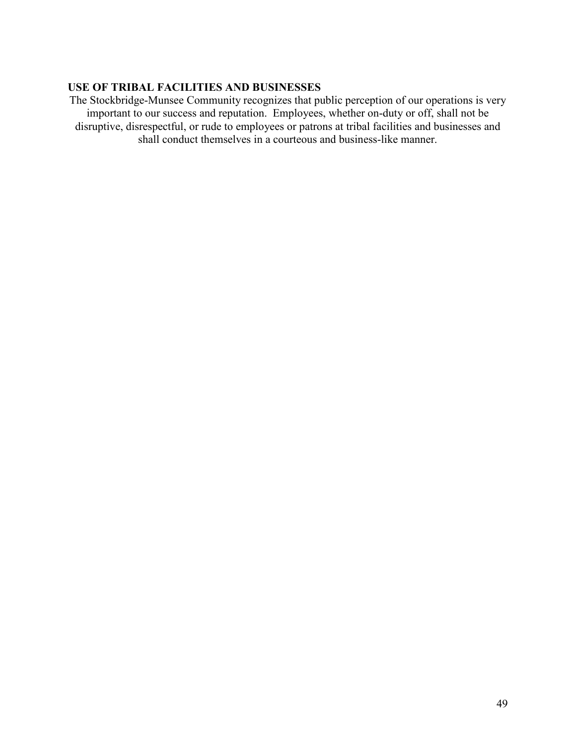## **USE OF TRIBAL FACILITIES AND BUSINESSES**

The Stockbridge-Munsee Community recognizes that public perception of our operations is very important to our success and reputation. Employees, whether on-duty or off, shall not be disruptive, disrespectful, or rude to employees or patrons at tribal facilities and businesses and shall conduct themselves in a courteous and business-like manner.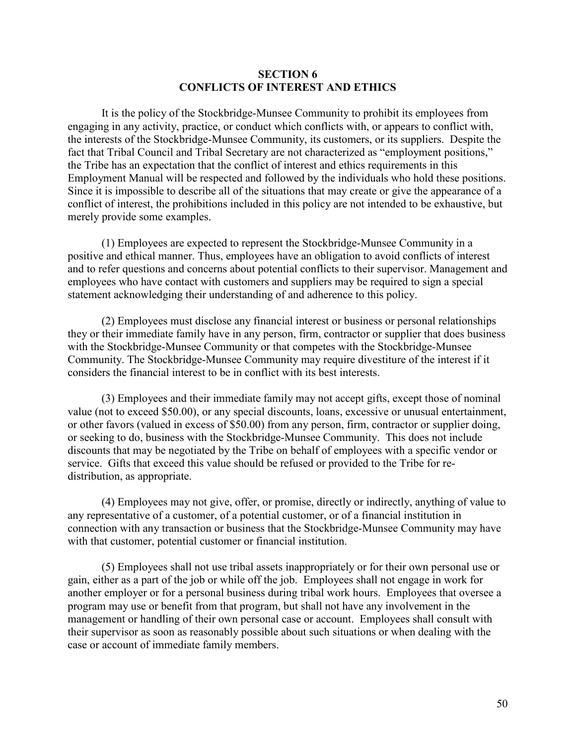#### **SECTION 6 CONFLICTS OF INTEREST AND ETHICS**

It is the policy of the Stockbridge-Munsee Community to prohibit its employees from engaging in any activity, practice, or conduct which conflicts with, or appears to conflict with, the interests of the Stockbridge-Munsee Community, its customers, or its suppliers. Despite the fact that Tribal Council and Tribal Secretary are not characterized as "employment positions," the Tribe has an expectation that the conflict of interest and ethics requirements in this Employment Manual will be respected and followed by the individuals who hold these positions. Since it is impossible to describe all of the situations that may create or give the appearance of a conflict of interest, the prohibitions included in this policy are not intended to be exhaustive, but merely provide some examples.

(1) Employees are expected to represent the Stockbridge-Munsee Community in a positive and ethical manner. Thus, employees have an obligation to avoid conflicts of interest and to refer questions and concerns about potential conflicts to their supervisor. Management and employees who have contact with customers and suppliers may be required to sign a special statement acknowledging their understanding of and adherence to this policy.

(2) Employees must disclose any financial interest or business or personal relationships they or their immediate family have in any person, firm, contractor or supplier that does business with the Stockbridge-Munsee Community or that competes with the Stockbridge-Munsee Community. The Stockbridge-Munsee Community may require divestiture of the interest if it considers the financial interest to be in conflict with its best interests.

(3) Employees and their immediate family may not accept gifts, except those of nominal value (not to exceed \$50.00), or any special discounts, loans, excessive or unusual entertainment, or other favors (valued in excess of \$50.00) from any person, firm, contractor or supplier doing, or seeking to do, business with the Stockbridge-Munsee Community. This does not include discounts that may be negotiated by the Tribe on behalf of employees with a specific vendor or service. Gifts that exceed this value should be refused or provided to the Tribe for redistribution, as appropriate.

(4) Employees may not give, offer, or promise, directly or indirectly, anything of value to any representative of a customer, of a potential customer, or of a financial institution in connection with any transaction or business that the Stockbridge-Munsee Community may have with that customer, potential customer or financial institution.

(5) Employees shall not use tribal assets inappropriately or for their own personal use or gain, either as a part of the job or while off the job. Employees shall not engage in work for another employer or for a personal business during tribal work hours. Employees that oversee a program may use or benefit from that program, but shall not have any involvement in the management or handling of their own personal case or account. Employees shall consult with their supervisor as soon as reasonably possible about such situations or when dealing with the case or account of immediate family members.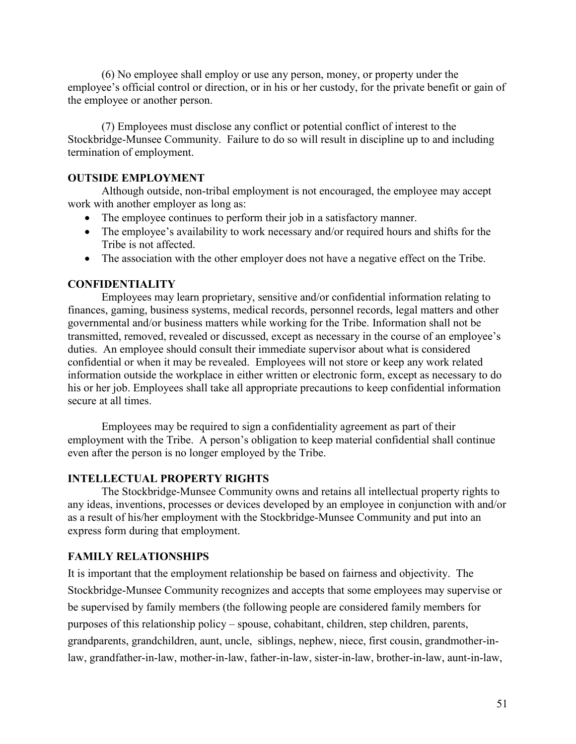(6) No employee shall employ or use any person, money, or property under the employee's official control or direction, or in his or her custody, for the private benefit or gain of the employee or another person.

(7) Employees must disclose any conflict or potential conflict of interest to the Stockbridge-Munsee Community. Failure to do so will result in discipline up to and including termination of employment.

## **OUTSIDE EMPLOYMENT**

Although outside, non-tribal employment is not encouraged, the employee may accept work with another employer as long as:

- The employee continues to perform their job in a satisfactory manner.
- The employee's availability to work necessary and/or required hours and shifts for the Tribe is not affected.
- The association with the other employer does not have a negative effect on the Tribe.

## **CONFIDENTIALITY**

Employees may learn proprietary, sensitive and/or confidential information relating to finances, gaming, business systems, medical records, personnel records, legal matters and other governmental and/or business matters while working for the Tribe. Information shall not be transmitted, removed, revealed or discussed, except as necessary in the course of an employee's duties. An employee should consult their immediate supervisor about what is considered confidential or when it may be revealed. Employees will not store or keep any work related information outside the workplace in either written or electronic form, except as necessary to do his or her job. Employees shall take all appropriate precautions to keep confidential information secure at all times.

Employees may be required to sign a confidentiality agreement as part of their employment with the Tribe. A person's obligation to keep material confidential shall continue even after the person is no longer employed by the Tribe.

## **INTELLECTUAL PROPERTY RIGHTS**

The Stockbridge-Munsee Community owns and retains all intellectual property rights to any ideas, inventions, processes or devices developed by an employee in conjunction with and/or as a result of his/her employment with the Stockbridge-Munsee Community and put into an express form during that employment.

## **FAMILY RELATIONSHIPS**

It is important that the employment relationship be based on fairness and objectivity. The Stockbridge-Munsee Community recognizes and accepts that some employees may supervise or be supervised by family members (the following people are considered family members for purposes of this relationship policy – spouse, cohabitant, children, step children, parents, grandparents, grandchildren, aunt, uncle, siblings, nephew, niece, first cousin, grandmother-inlaw, grandfather-in-law, mother-in-law, father-in-law, sister-in-law, brother-in-law, aunt-in-law,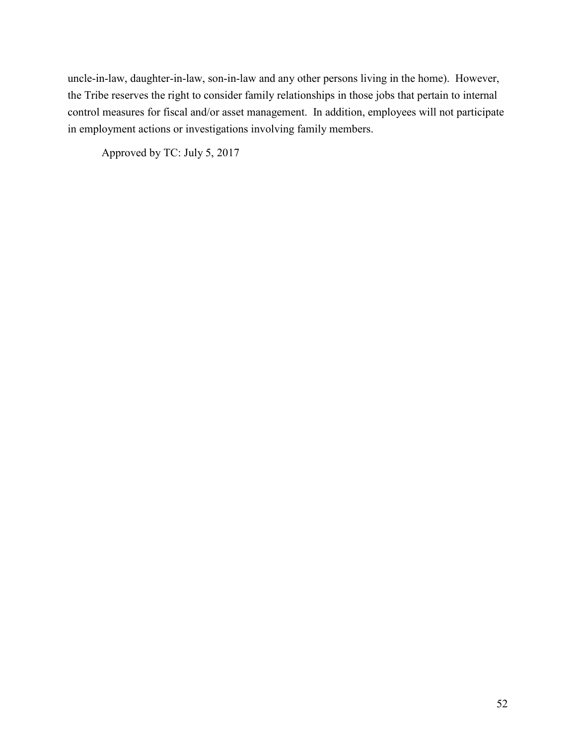uncle-in-law, daughter-in-law, son-in-law and any other persons living in the home). However, the Tribe reserves the right to consider family relationships in those jobs that pertain to internal control measures for fiscal and/or asset management. In addition, employees will not participate in employment actions or investigations involving family members.

Approved by TC: July 5, 2017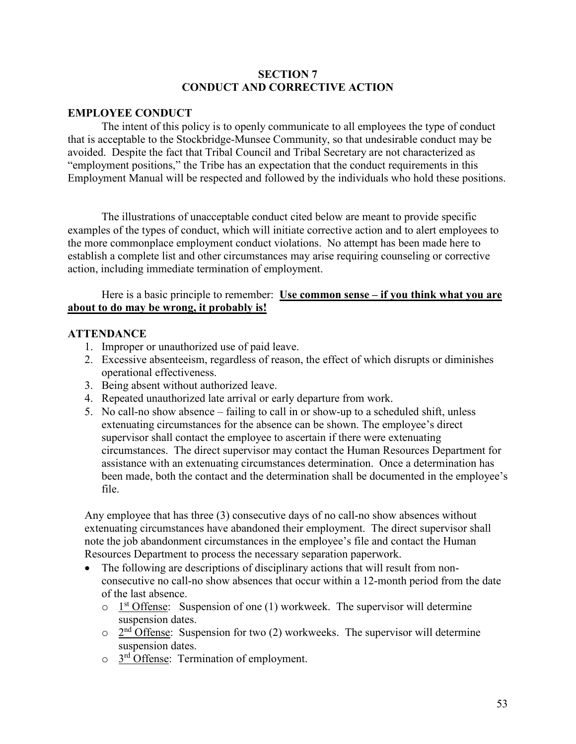## **SECTION 7 CONDUCT AND CORRECTIVE ACTION**

## **EMPLOYEE CONDUCT**

The intent of this policy is to openly communicate to all employees the type of conduct that is acceptable to the Stockbridge-Munsee Community, so that undesirable conduct may be avoided. Despite the fact that Tribal Council and Tribal Secretary are not characterized as "employment positions," the Tribe has an expectation that the conduct requirements in this Employment Manual will be respected and followed by the individuals who hold these positions.

The illustrations of unacceptable conduct cited below are meant to provide specific examples of the types of conduct, which will initiate corrective action and to alert employees to the more commonplace employment conduct violations. No attempt has been made here to establish a complete list and other circumstances may arise requiring counseling or corrective action, including immediate termination of employment.

## Here is a basic principle to remember: **Use common sense – if you think what you are about to do may be wrong, it probably is!**

## **ATTENDANCE**

- 1. Improper or unauthorized use of paid leave.
- 2. Excessive absenteeism, regardless of reason, the effect of which disrupts or diminishes operational effectiveness.
- 3. Being absent without authorized leave.
- 4. Repeated unauthorized late arrival or early departure from work.
- 5. No call-no show absence failing to call in or show-up to a scheduled shift, unless extenuating circumstances for the absence can be shown. The employee's direct supervisor shall contact the employee to ascertain if there were extenuating circumstances. The direct supervisor may contact the Human Resources Department for assistance with an extenuating circumstances determination. Once a determination has been made, both the contact and the determination shall be documented in the employee's file.

Any employee that has three (3) consecutive days of no call-no show absences without extenuating circumstances have abandoned their employment. The direct supervisor shall note the job abandonment circumstances in the employee's file and contact the Human Resources Department to process the necessary separation paperwork.

- The following are descriptions of disciplinary actions that will result from nonconsecutive no call-no show absences that occur within a 12-month period from the date of the last absence.
	- $\circ$  1<sup>st</sup> Offense: Suspension of one (1) workweek. The supervisor will determine suspension dates.
	- $\circ$  2<sup>nd</sup> Offense: Suspension for two (2) workweeks. The supervisor will determine suspension dates.
	- $\circ$  3<sup>rd</sup> Offense: Termination of employment.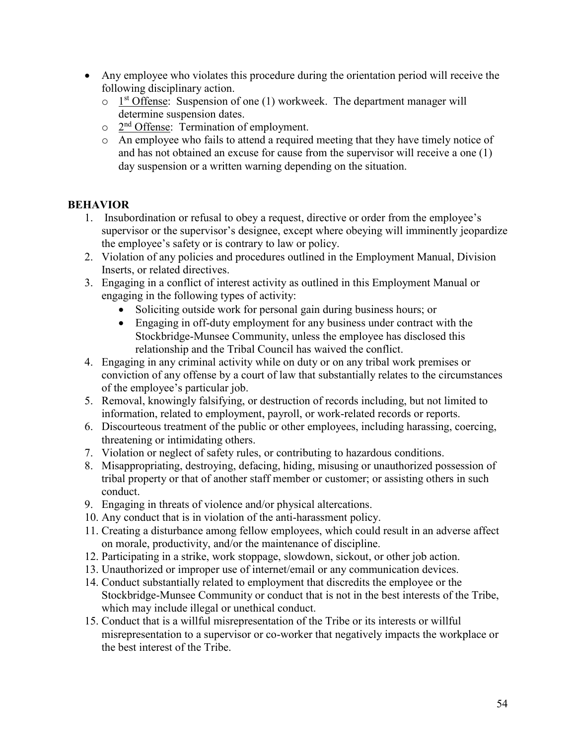- Any employee who violates this procedure during the orientation period will receive the following disciplinary action.
	- $\circ$  1<sup>st</sup> Offense: Suspension of one (1) workweek. The department manager will determine suspension dates.
	- o 2nd Offense: Termination of employment.
	- o An employee who fails to attend a required meeting that they have timely notice of and has not obtained an excuse for cause from the supervisor will receive a one (1) day suspension or a written warning depending on the situation.

# **BEHAVIOR**

- 1. Insubordination or refusal to obey a request, directive or order from the employee's supervisor or the supervisor's designee, except where obeying will imminently jeopardize the employee's safety or is contrary to law or policy.
- 2. Violation of any policies and procedures outlined in the Employment Manual, Division Inserts, or related directives.
- 3. Engaging in a conflict of interest activity as outlined in this Employment Manual or engaging in the following types of activity:
	- Soliciting outside work for personal gain during business hours; or
	- Engaging in off-duty employment for any business under contract with the Stockbridge-Munsee Community, unless the employee has disclosed this relationship and the Tribal Council has waived the conflict.
- 4. Engaging in any criminal activity while on duty or on any tribal work premises or conviction of any offense by a court of law that substantially relates to the circumstances of the employee's particular job.
- 5. Removal, knowingly falsifying, or destruction of records including, but not limited to information, related to employment, payroll, or work-related records or reports.
- 6. Discourteous treatment of the public or other employees, including harassing, coercing, threatening or intimidating others.
- 7. Violation or neglect of safety rules, or contributing to hazardous conditions.
- 8. Misappropriating, destroying, defacing, hiding, misusing or unauthorized possession of tribal property or that of another staff member or customer; or assisting others in such conduct.
- 9. Engaging in threats of violence and/or physical altercations.
- 10. Any conduct that is in violation of the anti-harassment policy.
- 11. Creating a disturbance among fellow employees, which could result in an adverse affect on morale, productivity, and/or the maintenance of discipline.
- 12. Participating in a strike, work stoppage, slowdown, sickout, or other job action.
- 13. Unauthorized or improper use of internet/email or any communication devices.
- 14. Conduct substantially related to employment that discredits the employee or the Stockbridge-Munsee Community or conduct that is not in the best interests of the Tribe, which may include illegal or unethical conduct.
- 15. Conduct that is a willful misrepresentation of the Tribe or its interests or willful misrepresentation to a supervisor or co-worker that negatively impacts the workplace or the best interest of the Tribe.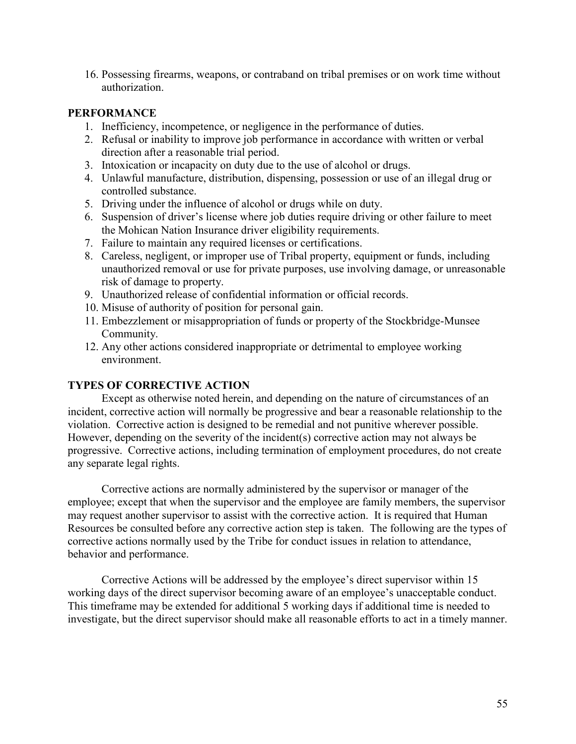16. Possessing firearms, weapons, or contraband on tribal premises or on work time without authorization.

## **PERFORMANCE**

- 1. Inefficiency, incompetence, or negligence in the performance of duties.
- 2. Refusal or inability to improve job performance in accordance with written or verbal direction after a reasonable trial period.
- 3. Intoxication or incapacity on duty due to the use of alcohol or drugs.
- 4. Unlawful manufacture, distribution, dispensing, possession or use of an illegal drug or controlled substance.
- 5. Driving under the influence of alcohol or drugs while on duty.
- 6. Suspension of driver's license where job duties require driving or other failure to meet the Mohican Nation Insurance driver eligibility requirements.
- 7. Failure to maintain any required licenses or certifications.
- 8. Careless, negligent, or improper use of Tribal property, equipment or funds, including unauthorized removal or use for private purposes, use involving damage, or unreasonable risk of damage to property.
- 9. Unauthorized release of confidential information or official records.
- 10. Misuse of authority of position for personal gain.
- 11. Embezzlement or misappropriation of funds or property of the Stockbridge-Munsee Community.
- 12. Any other actions considered inappropriate or detrimental to employee working environment.

## **TYPES OF CORRECTIVE ACTION**

Except as otherwise noted herein, and depending on the nature of circumstances of an incident, corrective action will normally be progressive and bear a reasonable relationship to the violation. Corrective action is designed to be remedial and not punitive wherever possible. However, depending on the severity of the incident(s) corrective action may not always be progressive. Corrective actions, including termination of employment procedures, do not create any separate legal rights.

Corrective actions are normally administered by the supervisor or manager of the employee; except that when the supervisor and the employee are family members, the supervisor may request another supervisor to assist with the corrective action. It is required that Human Resources be consulted before any corrective action step is taken. The following are the types of corrective actions normally used by the Tribe for conduct issues in relation to attendance, behavior and performance.

Corrective Actions will be addressed by the employee's direct supervisor within 15 working days of the direct supervisor becoming aware of an employee's unacceptable conduct. This timeframe may be extended for additional 5 working days if additional time is needed to investigate, but the direct supervisor should make all reasonable efforts to act in a timely manner.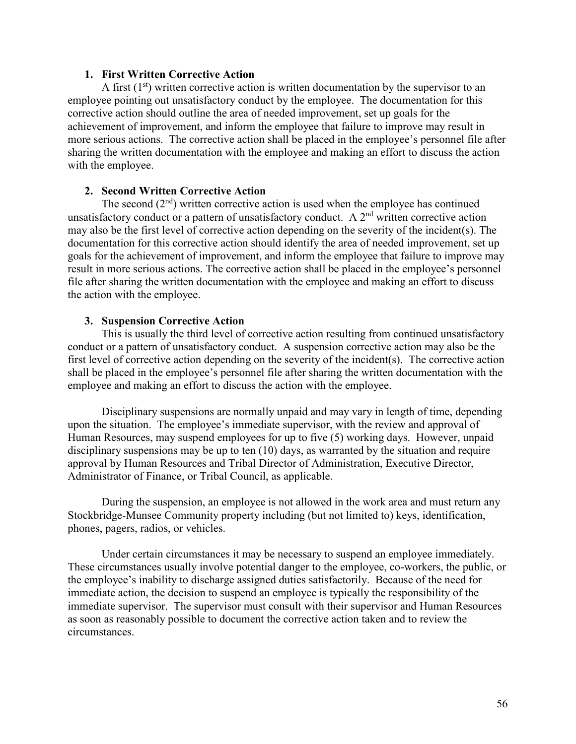## **1. First Written Corrective Action**

A first  $(1<sup>st</sup>)$  written corrective action is written documentation by the supervisor to an employee pointing out unsatisfactory conduct by the employee. The documentation for this corrective action should outline the area of needed improvement, set up goals for the achievement of improvement, and inform the employee that failure to improve may result in more serious actions. The corrective action shall be placed in the employee's personnel file after sharing the written documentation with the employee and making an effort to discuss the action with the employee.

#### **2. Second Written Corrective Action**

The second  $(2<sup>nd</sup>)$  written corrective action is used when the employee has continued unsatisfactory conduct or a pattern of unsatisfactory conduct. A  $2<sup>nd</sup>$  written corrective action may also be the first level of corrective action depending on the severity of the incident(s). The documentation for this corrective action should identify the area of needed improvement, set up goals for the achievement of improvement, and inform the employee that failure to improve may result in more serious actions. The corrective action shall be placed in the employee's personnel file after sharing the written documentation with the employee and making an effort to discuss the action with the employee.

#### **3. Suspension Corrective Action**

This is usually the third level of corrective action resulting from continued unsatisfactory conduct or a pattern of unsatisfactory conduct. A suspension corrective action may also be the first level of corrective action depending on the severity of the incident(s). The corrective action shall be placed in the employee's personnel file after sharing the written documentation with the employee and making an effort to discuss the action with the employee.

Disciplinary suspensions are normally unpaid and may vary in length of time, depending upon the situation. The employee's immediate supervisor, with the review and approval of Human Resources, may suspend employees for up to five (5) working days. However, unpaid disciplinary suspensions may be up to ten (10) days, as warranted by the situation and require approval by Human Resources and Tribal Director of Administration, Executive Director, Administrator of Finance, or Tribal Council, as applicable.

During the suspension, an employee is not allowed in the work area and must return any Stockbridge-Munsee Community property including (but not limited to) keys, identification, phones, pagers, radios, or vehicles.

Under certain circumstances it may be necessary to suspend an employee immediately. These circumstances usually involve potential danger to the employee, co-workers, the public, or the employee's inability to discharge assigned duties satisfactorily. Because of the need for immediate action, the decision to suspend an employee is typically the responsibility of the immediate supervisor. The supervisor must consult with their supervisor and Human Resources as soon as reasonably possible to document the corrective action taken and to review the circumstances.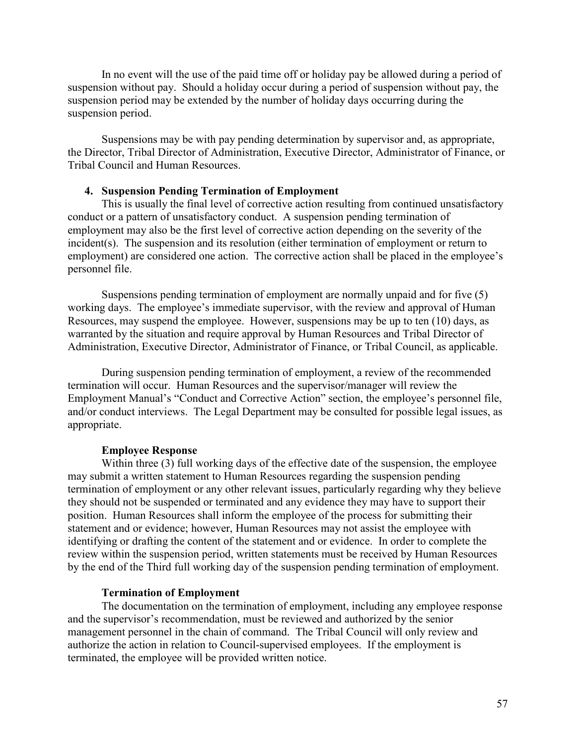In no event will the use of the paid time off or holiday pay be allowed during a period of suspension without pay. Should a holiday occur during a period of suspension without pay, the suspension period may be extended by the number of holiday days occurring during the suspension period.

Suspensions may be with pay pending determination by supervisor and, as appropriate, the Director, Tribal Director of Administration, Executive Director, Administrator of Finance, or Tribal Council and Human Resources.

#### **4. Suspension Pending Termination of Employment**

This is usually the final level of corrective action resulting from continued unsatisfactory conduct or a pattern of unsatisfactory conduct. A suspension pending termination of employment may also be the first level of corrective action depending on the severity of the incident(s). The suspension and its resolution (either termination of employment or return to employment) are considered one action. The corrective action shall be placed in the employee's personnel file.

Suspensions pending termination of employment are normally unpaid and for five (5) working days. The employee's immediate supervisor, with the review and approval of Human Resources, may suspend the employee. However, suspensions may be up to ten (10) days, as warranted by the situation and require approval by Human Resources and Tribal Director of Administration, Executive Director, Administrator of Finance, or Tribal Council, as applicable.

During suspension pending termination of employment, a review of the recommended termination will occur. Human Resources and the supervisor/manager will review the Employment Manual's "Conduct and Corrective Action" section, the employee's personnel file, and/or conduct interviews. The Legal Department may be consulted for possible legal issues, as appropriate.

#### **Employee Response**

Within three (3) full working days of the effective date of the suspension, the employee may submit a written statement to Human Resources regarding the suspension pending termination of employment or any other relevant issues, particularly regarding why they believe they should not be suspended or terminated and any evidence they may have to support their position. Human Resources shall inform the employee of the process for submitting their statement and or evidence; however, Human Resources may not assist the employee with identifying or drafting the content of the statement and or evidence. In order to complete the review within the suspension period, written statements must be received by Human Resources by the end of the Third full working day of the suspension pending termination of employment.

#### **Termination of Employment**

The documentation on the termination of employment, including any employee response and the supervisor's recommendation, must be reviewed and authorized by the senior management personnel in the chain of command. The Tribal Council will only review and authorize the action in relation to Council-supervised employees. If the employment is terminated, the employee will be provided written notice.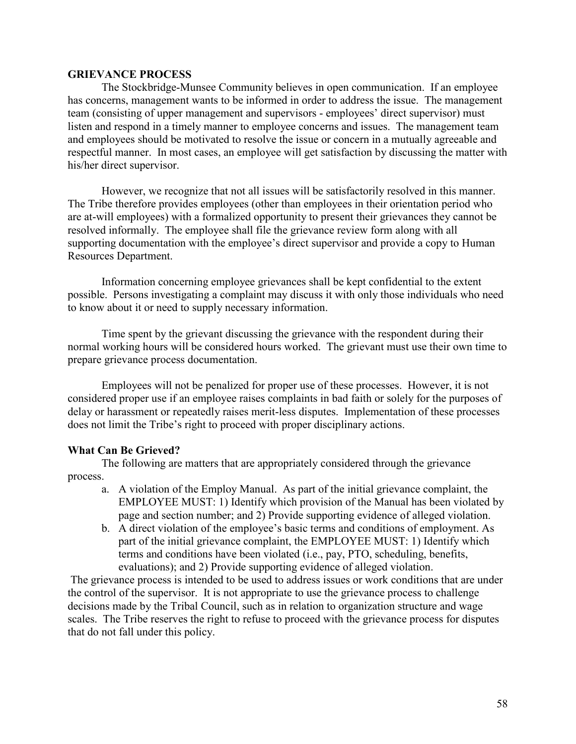#### **GRIEVANCE PROCESS**

The Stockbridge-Munsee Community believes in open communication. If an employee has concerns, management wants to be informed in order to address the issue. The management team (consisting of upper management and supervisors - employees' direct supervisor) must listen and respond in a timely manner to employee concerns and issues. The management team and employees should be motivated to resolve the issue or concern in a mutually agreeable and respectful manner. In most cases, an employee will get satisfaction by discussing the matter with his/her direct supervisor.

However, we recognize that not all issues will be satisfactorily resolved in this manner. The Tribe therefore provides employees (other than employees in their orientation period who are at-will employees) with a formalized opportunity to present their grievances they cannot be resolved informally. The employee shall file the grievance review form along with all supporting documentation with the employee's direct supervisor and provide a copy to Human Resources Department.

Information concerning employee grievances shall be kept confidential to the extent possible. Persons investigating a complaint may discuss it with only those individuals who need to know about it or need to supply necessary information.

Time spent by the grievant discussing the grievance with the respondent during their normal working hours will be considered hours worked. The grievant must use their own time to prepare grievance process documentation.

Employees will not be penalized for proper use of these processes. However, it is not considered proper use if an employee raises complaints in bad faith or solely for the purposes of delay or harassment or repeatedly raises merit-less disputes. Implementation of these processes does not limit the Tribe's right to proceed with proper disciplinary actions.

## **What Can Be Grieved?**

The following are matters that are appropriately considered through the grievance process.

- a. A violation of the Employ Manual. As part of the initial grievance complaint, the EMPLOYEE MUST: 1) Identify which provision of the Manual has been violated by page and section number; and 2) Provide supporting evidence of alleged violation.
- b. A direct violation of the employee's basic terms and conditions of employment. As part of the initial grievance complaint, the EMPLOYEE MUST: 1) Identify which terms and conditions have been violated (i.e., pay, PTO, scheduling, benefits, evaluations); and 2) Provide supporting evidence of alleged violation.

The grievance process is intended to be used to address issues or work conditions that are under the control of the supervisor. It is not appropriate to use the grievance process to challenge decisions made by the Tribal Council, such as in relation to organization structure and wage scales. The Tribe reserves the right to refuse to proceed with the grievance process for disputes that do not fall under this policy.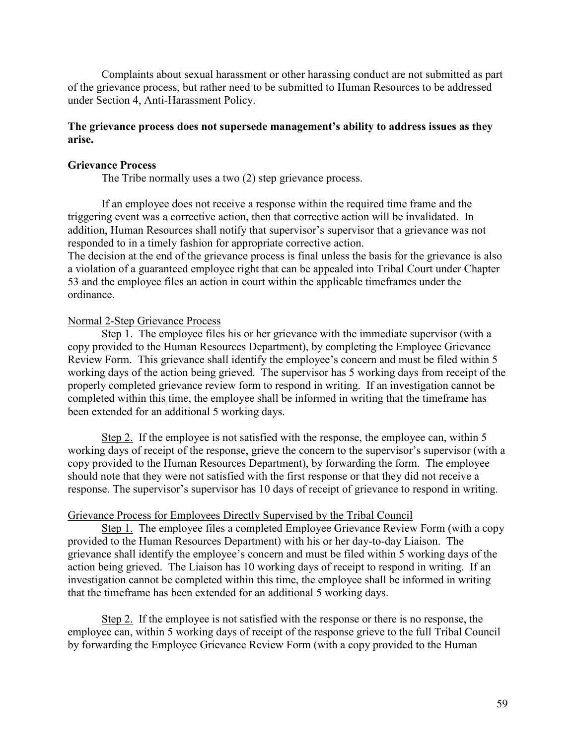Complaints about sexual harassment or other harassing conduct are not submitted as part of the grievance process, but rather need to be submitted to Human Resources to be addressed under Section 4, Anti-Harassment Policy.

## **The grievance process does not supersede management's ability to address issues as they arise.**

#### **Grievance Process**

The Tribe normally uses a two (2) step grievance process.

 If an employee does not receive a response within the required time frame and the triggering event was a corrective action, then that corrective action will be invalidated. In addition, Human Resources shall notify that supervisor's supervisor that a grievance was not responded to in a timely fashion for appropriate corrective action.

The decision at the end of the grievance process is final unless the basis for the grievance is also a violation of a guaranteed employee right that can be appealed into Tribal Court under Chapter 53 and the employee files an action in court within the applicable timeframes under the ordinance.

#### Normal 2-Step Grievance Process

Step 1. The employee files his or her grievance with the immediate supervisor (with a copy provided to the Human Resources Department), by completing the Employee Grievance Review Form. This grievance shall identify the employee's concern and must be filed within 5 working days of the action being grieved. The supervisor has 5 working days from receipt of the properly completed grievance review form to respond in writing. If an investigation cannot be completed within this time, the employee shall be informed in writing that the timeframe has been extended for an additional 5 working days.

Step 2. If the employee is not satisfied with the response, the employee can, within 5 working days of receipt of the response, grieve the concern to the supervisor's supervisor (with a copy provided to the Human Resources Department), by forwarding the form. The employee should note that they were not satisfied with the first response or that they did not receive a response. The supervisor's supervisor has 10 days of receipt of grievance to respond in writing.

#### Grievance Process for Employees Directly Supervised by the Tribal Council

 Step 1. The employee files a completed Employee Grievance Review Form (with a copy provided to the Human Resources Department) with his or her day-to-day Liaison. The grievance shall identify the employee's concern and must be filed within 5 working days of the action being grieved. The Liaison has 10 working days of receipt to respond in writing. If an investigation cannot be completed within this time, the employee shall be informed in writing that the timeframe has been extended for an additional 5 working days.

 Step 2. If the employee is not satisfied with the response or there is no response, the employee can, within 5 working days of receipt of the response grieve to the full Tribal Council by forwarding the Employee Grievance Review Form (with a copy provided to the Human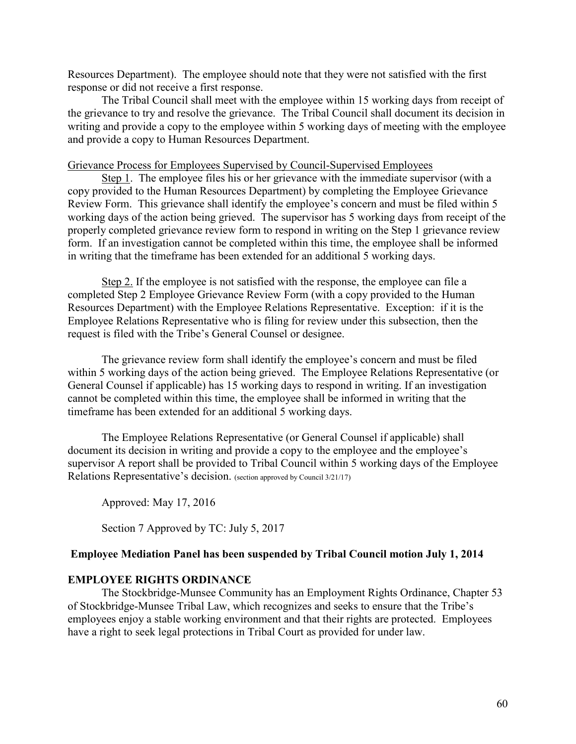Resources Department). The employee should note that they were not satisfied with the first response or did not receive a first response.

 The Tribal Council shall meet with the employee within 15 working days from receipt of the grievance to try and resolve the grievance. The Tribal Council shall document its decision in writing and provide a copy to the employee within 5 working days of meeting with the employee and provide a copy to Human Resources Department.

#### Grievance Process for Employees Supervised by Council-Supervised Employees

Step 1. The employee files his or her grievance with the immediate supervisor (with a copy provided to the Human Resources Department) by completing the Employee Grievance Review Form. This grievance shall identify the employee's concern and must be filed within 5 working days of the action being grieved. The supervisor has 5 working days from receipt of the properly completed grievance review form to respond in writing on the Step 1 grievance review form. If an investigation cannot be completed within this time, the employee shall be informed in writing that the timeframe has been extended for an additional 5 working days.

Step 2. If the employee is not satisfied with the response, the employee can file a completed Step 2 Employee Grievance Review Form (with a copy provided to the Human Resources Department) with the Employee Relations Representative. Exception: if it is the Employee Relations Representative who is filing for review under this subsection, then the request is filed with the Tribe's General Counsel or designee.

The grievance review form shall identify the employee's concern and must be filed within 5 working days of the action being grieved. The Employee Relations Representative (or General Counsel if applicable) has 15 working days to respond in writing. If an investigation cannot be completed within this time, the employee shall be informed in writing that the timeframe has been extended for an additional 5 working days.

The Employee Relations Representative (or General Counsel if applicable) shall document its decision in writing and provide a copy to the employee and the employee's supervisor A report shall be provided to Tribal Council within 5 working days of the Employee Relations Representative's decision. (section approved by Council 3/21/17)

Approved: May 17, 2016

Section 7 Approved by TC: July 5, 2017

#### **Employee Mediation Panel has been suspended by Tribal Council motion July 1, 2014**

### **EMPLOYEE RIGHTS ORDINANCE**

 The Stockbridge-Munsee Community has an Employment Rights Ordinance, Chapter 53 of Stockbridge-Munsee Tribal Law, which recognizes and seeks to ensure that the Tribe's employees enjoy a stable working environment and that their rights are protected. Employees have a right to seek legal protections in Tribal Court as provided for under law.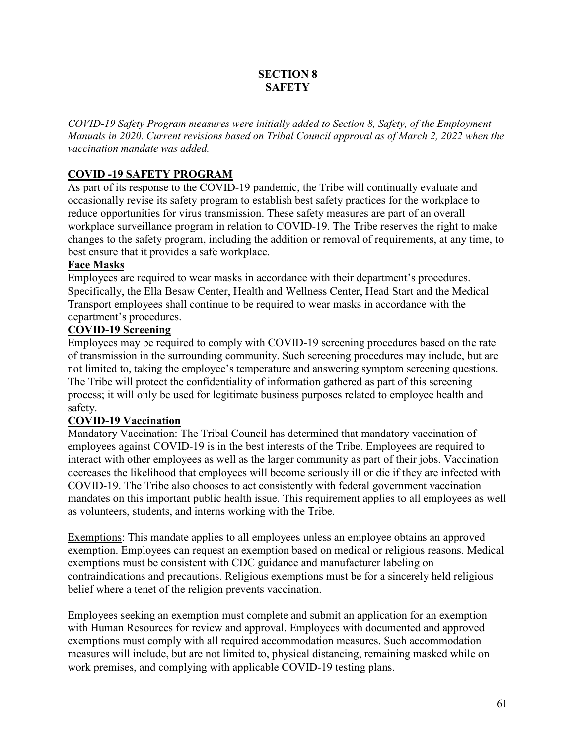## **SECTION 8 SAFETY**

*COVID-19 Safety Program measures were initially added to Section 8, Safety, of the Employment Manuals in 2020. Current revisions based on Tribal Council approval as of March 2, 2022 when the vaccination mandate was added.* 

# **COVID -19 SAFETY PROGRAM**

As part of its response to the COVID-19 pandemic, the Tribe will continually evaluate and occasionally revise its safety program to establish best safety practices for the workplace to reduce opportunities for virus transmission. These safety measures are part of an overall workplace surveillance program in relation to COVID-19. The Tribe reserves the right to make changes to the safety program, including the addition or removal of requirements, at any time, to best ensure that it provides a safe workplace.

# **Face Masks**

Employees are required to wear masks in accordance with their department's procedures. Specifically, the Ella Besaw Center, Health and Wellness Center, Head Start and the Medical Transport employees shall continue to be required to wear masks in accordance with the department's procedures.

# **COVID-19 Screening**

Employees may be required to comply with COVID-19 screening procedures based on the rate of transmission in the surrounding community. Such screening procedures may include, but are not limited to, taking the employee's temperature and answering symptom screening questions. The Tribe will protect the confidentiality of information gathered as part of this screening process; it will only be used for legitimate business purposes related to employee health and safety.

# **COVID-19 Vaccination**

Mandatory Vaccination: The Tribal Council has determined that mandatory vaccination of employees against COVID-19 is in the best interests of the Tribe. Employees are required to interact with other employees as well as the larger community as part of their jobs. Vaccination decreases the likelihood that employees will become seriously ill or die if they are infected with COVID-19. The Tribe also chooses to act consistently with federal government vaccination mandates on this important public health issue. This requirement applies to all employees as well as volunteers, students, and interns working with the Tribe.

Exemptions: This mandate applies to all employees unless an employee obtains an approved exemption. Employees can request an exemption based on medical or religious reasons. Medical exemptions must be consistent with CDC guidance and manufacturer labeling on contraindications and precautions. Religious exemptions must be for a sincerely held religious belief where a tenet of the religion prevents vaccination.

Employees seeking an exemption must complete and submit an application for an exemption with Human Resources for review and approval. Employees with documented and approved exemptions must comply with all required accommodation measures. Such accommodation measures will include, but are not limited to, physical distancing, remaining masked while on work premises, and complying with applicable COVID-19 testing plans.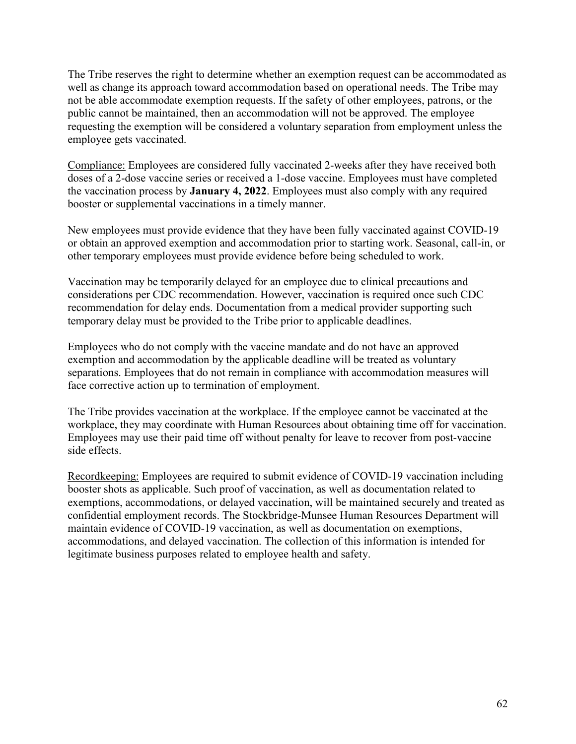The Tribe reserves the right to determine whether an exemption request can be accommodated as well as change its approach toward accommodation based on operational needs. The Tribe may not be able accommodate exemption requests. If the safety of other employees, patrons, or the public cannot be maintained, then an accommodation will not be approved. The employee requesting the exemption will be considered a voluntary separation from employment unless the employee gets vaccinated.

Compliance: Employees are considered fully vaccinated 2-weeks after they have received both doses of a 2-dose vaccine series or received a 1-dose vaccine. Employees must have completed the vaccination process by **January 4, 2022**. Employees must also comply with any required booster or supplemental vaccinations in a timely manner.

New employees must provide evidence that they have been fully vaccinated against COVID-19 or obtain an approved exemption and accommodation prior to starting work. Seasonal, call-in, or other temporary employees must provide evidence before being scheduled to work.

Vaccination may be temporarily delayed for an employee due to clinical precautions and considerations per CDC recommendation. However, vaccination is required once such CDC recommendation for delay ends. Documentation from a medical provider supporting such temporary delay must be provided to the Tribe prior to applicable deadlines.

Employees who do not comply with the vaccine mandate and do not have an approved exemption and accommodation by the applicable deadline will be treated as voluntary separations. Employees that do not remain in compliance with accommodation measures will face corrective action up to termination of employment.

The Tribe provides vaccination at the workplace. If the employee cannot be vaccinated at the workplace, they may coordinate with Human Resources about obtaining time off for vaccination. Employees may use their paid time off without penalty for leave to recover from post-vaccine side effects.

Recordkeeping: Employees are required to submit evidence of COVID-19 vaccination including booster shots as applicable. Such proof of vaccination, as well as documentation related to exemptions, accommodations, or delayed vaccination, will be maintained securely and treated as confidential employment records. The Stockbridge-Munsee Human Resources Department will maintain evidence of COVID-19 vaccination, as well as documentation on exemptions, accommodations, and delayed vaccination. The collection of this information is intended for legitimate business purposes related to employee health and safety.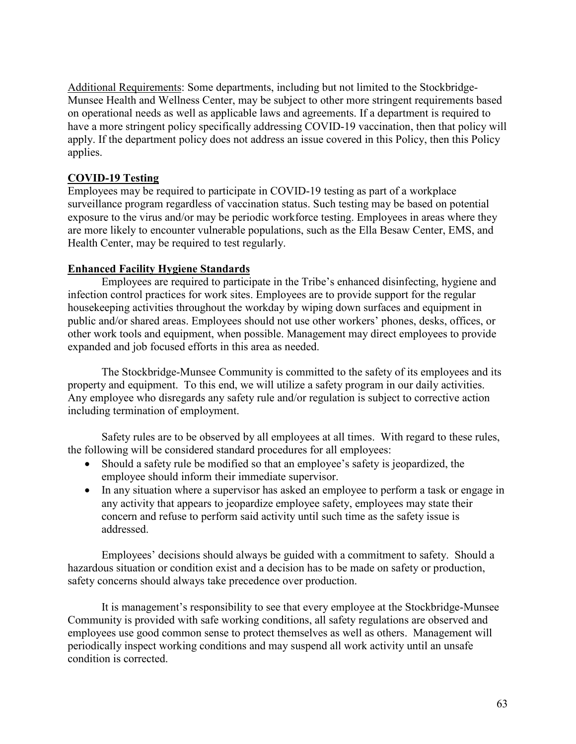Additional Requirements: Some departments, including but not limited to the Stockbridge-Munsee Health and Wellness Center, may be subject to other more stringent requirements based on operational needs as well as applicable laws and agreements. If a department is required to have a more stringent policy specifically addressing COVID-19 vaccination, then that policy will apply. If the department policy does not address an issue covered in this Policy, then this Policy applies.

# **COVID-19 Testing**

Employees may be required to participate in COVID-19 testing as part of a workplace surveillance program regardless of vaccination status. Such testing may be based on potential exposure to the virus and/or may be periodic workforce testing. Employees in areas where they are more likely to encounter vulnerable populations, such as the Ella Besaw Center, EMS, and Health Center, may be required to test regularly.

## **Enhanced Facility Hygiene Standards**

Employees are required to participate in the Tribe's enhanced disinfecting, hygiene and infection control practices for work sites. Employees are to provide support for the regular housekeeping activities throughout the workday by wiping down surfaces and equipment in public and/or shared areas. Employees should not use other workers' phones, desks, offices, or other work tools and equipment, when possible. Management may direct employees to provide expanded and job focused efforts in this area as needed.

The Stockbridge-Munsee Community is committed to the safety of its employees and its property and equipment. To this end, we will utilize a safety program in our daily activities. Any employee who disregards any safety rule and/or regulation is subject to corrective action including termination of employment.

Safety rules are to be observed by all employees at all times. With regard to these rules, the following will be considered standard procedures for all employees:

- Should a safety rule be modified so that an employee's safety is jeopardized, the employee should inform their immediate supervisor.
- In any situation where a supervisor has asked an employee to perform a task or engage in any activity that appears to jeopardize employee safety, employees may state their concern and refuse to perform said activity until such time as the safety issue is addressed.

Employees' decisions should always be guided with a commitment to safety. Should a hazardous situation or condition exist and a decision has to be made on safety or production, safety concerns should always take precedence over production.

It is management's responsibility to see that every employee at the Stockbridge-Munsee Community is provided with safe working conditions, all safety regulations are observed and employees use good common sense to protect themselves as well as others. Management will periodically inspect working conditions and may suspend all work activity until an unsafe condition is corrected.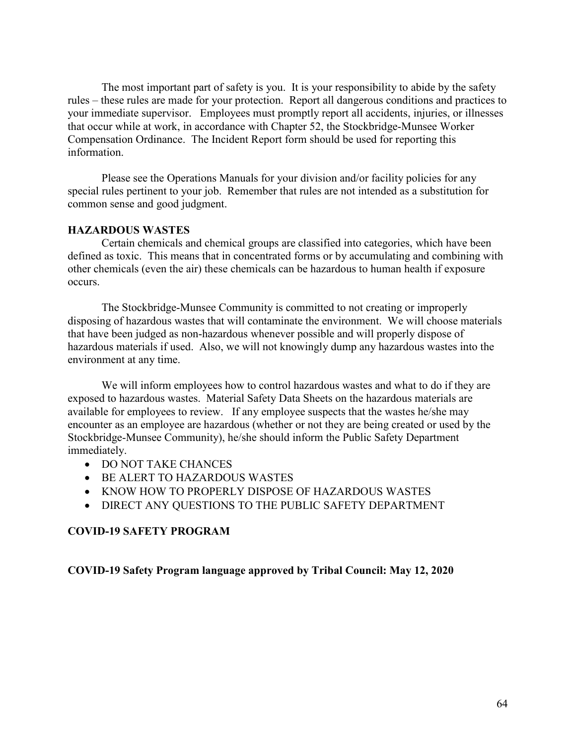The most important part of safety is you. It is your responsibility to abide by the safety rules – these rules are made for your protection. Report all dangerous conditions and practices to your immediate supervisor. Employees must promptly report all accidents, injuries, or illnesses that occur while at work, in accordance with Chapter 52, the Stockbridge-Munsee Worker Compensation Ordinance. The Incident Report form should be used for reporting this information.

Please see the Operations Manuals for your division and/or facility policies for any special rules pertinent to your job. Remember that rules are not intended as a substitution for common sense and good judgment.

## **HAZARDOUS WASTES**

Certain chemicals and chemical groups are classified into categories, which have been defined as toxic. This means that in concentrated forms or by accumulating and combining with other chemicals (even the air) these chemicals can be hazardous to human health if exposure occurs.

The Stockbridge-Munsee Community is committed to not creating or improperly disposing of hazardous wastes that will contaminate the environment. We will choose materials that have been judged as non-hazardous whenever possible and will properly dispose of hazardous materials if used. Also, we will not knowingly dump any hazardous wastes into the environment at any time.

We will inform employees how to control hazardous wastes and what to do if they are exposed to hazardous wastes. Material Safety Data Sheets on the hazardous materials are available for employees to review. If any employee suspects that the wastes he/she may encounter as an employee are hazardous (whether or not they are being created or used by the Stockbridge-Munsee Community), he/she should inform the Public Safety Department immediately.

- DO NOT TAKE CHANCES
- BE ALERT TO HAZARDOUS WASTES
- KNOW HOW TO PROPERLY DISPOSE OF HAZARDOUS WASTES
- DIRECT ANY QUESTIONS TO THE PUBLIC SAFETY DEPARTMENT

#### **COVID-19 SAFETY PROGRAM**

#### **COVID-19 Safety Program language approved by Tribal Council: May 12, 2020**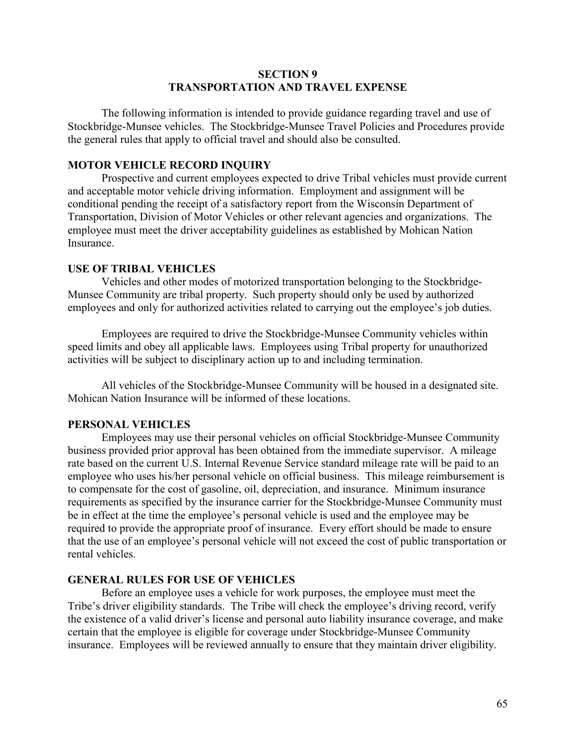## **SECTION 9 TRANSPORTATION AND TRAVEL EXPENSE**

The following information is intended to provide guidance regarding travel and use of Stockbridge-Munsee vehicles. The Stockbridge-Munsee Travel Policies and Procedures provide the general rules that apply to official travel and should also be consulted.

## **MOTOR VEHICLE RECORD INQUIRY**

Prospective and current employees expected to drive Tribal vehicles must provide current and acceptable motor vehicle driving information. Employment and assignment will be conditional pending the receipt of a satisfactory report from the Wisconsin Department of Transportation, Division of Motor Vehicles or other relevant agencies and organizations. The employee must meet the driver acceptability guidelines as established by Mohican Nation Insurance.

#### **USE OF TRIBAL VEHICLES**

Vehicles and other modes of motorized transportation belonging to the Stockbridge-Munsee Community are tribal property. Such property should only be used by authorized employees and only for authorized activities related to carrying out the employee's job duties.

Employees are required to drive the Stockbridge-Munsee Community vehicles within speed limits and obey all applicable laws. Employees using Tribal property for unauthorized activities will be subject to disciplinary action up to and including termination.

All vehicles of the Stockbridge-Munsee Community will be housed in a designated site. Mohican Nation Insurance will be informed of these locations.

#### **PERSONAL VEHICLES**

Employees may use their personal vehicles on official Stockbridge-Munsee Community business provided prior approval has been obtained from the immediate supervisor. A mileage rate based on the current U.S. Internal Revenue Service standard mileage rate will be paid to an employee who uses his/her personal vehicle on official business. This mileage reimbursement is to compensate for the cost of gasoline, oil, depreciation, and insurance. Minimum insurance requirements as specified by the insurance carrier for the Stockbridge-Munsee Community must be in effect at the time the employee's personal vehicle is used and the employee may be required to provide the appropriate proof of insurance. Every effort should be made to ensure that the use of an employee's personal vehicle will not exceed the cost of public transportation or rental vehicles.

### **GENERAL RULES FOR USE OF VEHICLES**

Before an employee uses a vehicle for work purposes, the employee must meet the Tribe's driver eligibility standards. The Tribe will check the employee's driving record, verify the existence of a valid driver's license and personal auto liability insurance coverage, and make certain that the employee is eligible for coverage under Stockbridge-Munsee Community insurance. Employees will be reviewed annually to ensure that they maintain driver eligibility.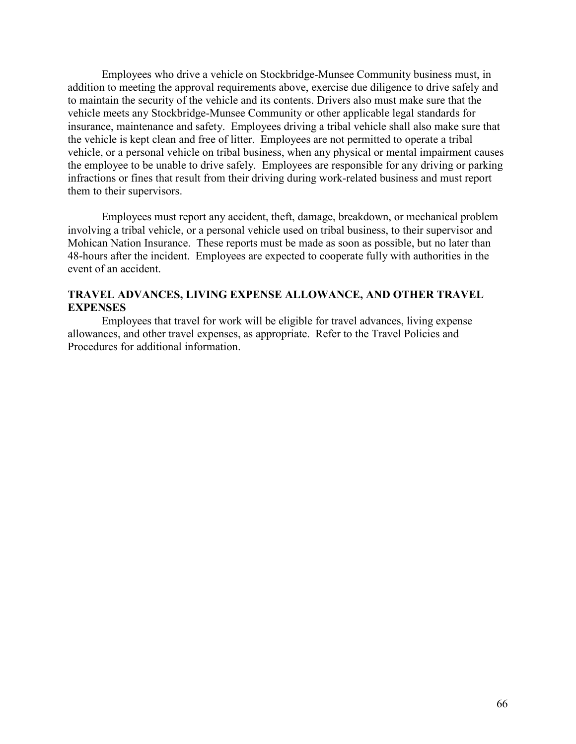Employees who drive a vehicle on Stockbridge-Munsee Community business must, in addition to meeting the approval requirements above, exercise due diligence to drive safely and to maintain the security of the vehicle and its contents. Drivers also must make sure that the vehicle meets any Stockbridge-Munsee Community or other applicable legal standards for insurance, maintenance and safety. Employees driving a tribal vehicle shall also make sure that the vehicle is kept clean and free of litter. Employees are not permitted to operate a tribal vehicle, or a personal vehicle on tribal business, when any physical or mental impairment causes the employee to be unable to drive safely. Employees are responsible for any driving or parking infractions or fines that result from their driving during work-related business and must report them to their supervisors.

Employees must report any accident, theft, damage, breakdown, or mechanical problem involving a tribal vehicle, or a personal vehicle used on tribal business, to their supervisor and Mohican Nation Insurance. These reports must be made as soon as possible, but no later than 48-hours after the incident. Employees are expected to cooperate fully with authorities in the event of an accident.

## **TRAVEL ADVANCES, LIVING EXPENSE ALLOWANCE, AND OTHER TRAVEL EXPENSES**

Employees that travel for work will be eligible for travel advances, living expense allowances, and other travel expenses, as appropriate. Refer to the Travel Policies and Procedures for additional information.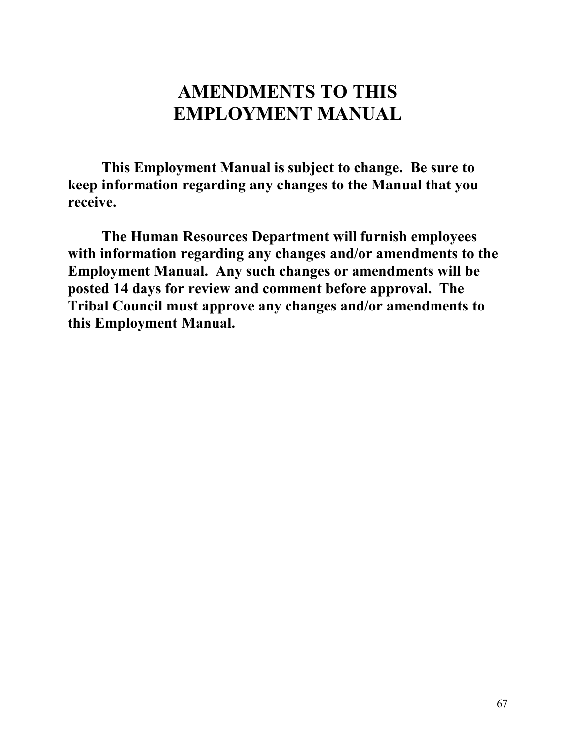# **AMENDMENTS TO THIS EMPLOYMENT MANUAL**

**This Employment Manual is subject to change. Be sure to keep information regarding any changes to the Manual that you receive.** 

**The Human Resources Department will furnish employees with information regarding any changes and/or amendments to the Employment Manual. Any such changes or amendments will be posted 14 days for review and comment before approval. The Tribal Council must approve any changes and/or amendments to this Employment Manual.**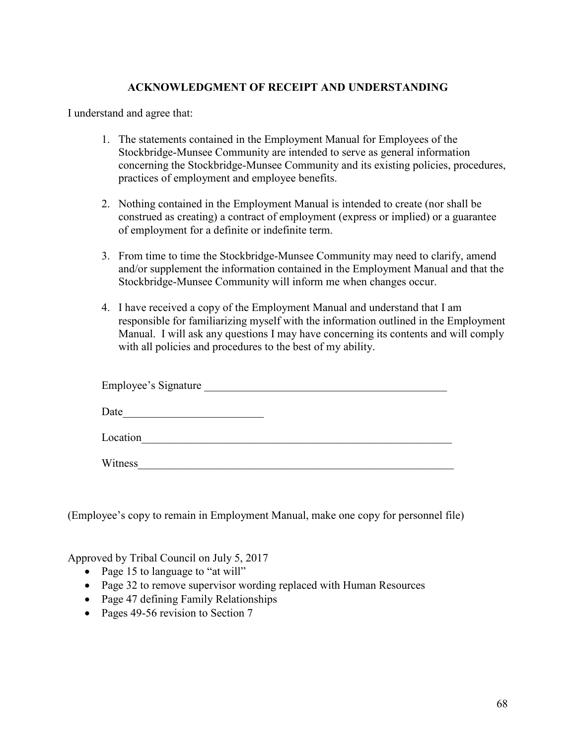## **ACKNOWLEDGMENT OF RECEIPT AND UNDERSTANDING**

I understand and agree that:

- 1. The statements contained in the Employment Manual for Employees of the Stockbridge-Munsee Community are intended to serve as general information concerning the Stockbridge-Munsee Community and its existing policies, procedures, practices of employment and employee benefits.
- 2. Nothing contained in the Employment Manual is intended to create (nor shall be construed as creating) a contract of employment (express or implied) or a guarantee of employment for a definite or indefinite term.
- 3. From time to time the Stockbridge-Munsee Community may need to clarify, amend and/or supplement the information contained in the Employment Manual and that the Stockbridge-Munsee Community will inform me when changes occur.
- 4. I have received a copy of the Employment Manual and understand that I am responsible for familiarizing myself with the information outlined in the Employment Manual. I will ask any questions I may have concerning its contents and will comply with all policies and procedures to the best of my ability.

| Employee's Signature |  |
|----------------------|--|
| Date                 |  |
| Location             |  |
| $Wi$ itness          |  |

(Employee's copy to remain in Employment Manual, make one copy for personnel file)

Approved by Tribal Council on July 5, 2017

- Page 15 to language to "at will"
- Page 32 to remove supervisor wording replaced with Human Resources
- Page 47 defining Family Relationships
- Pages 49-56 revision to Section 7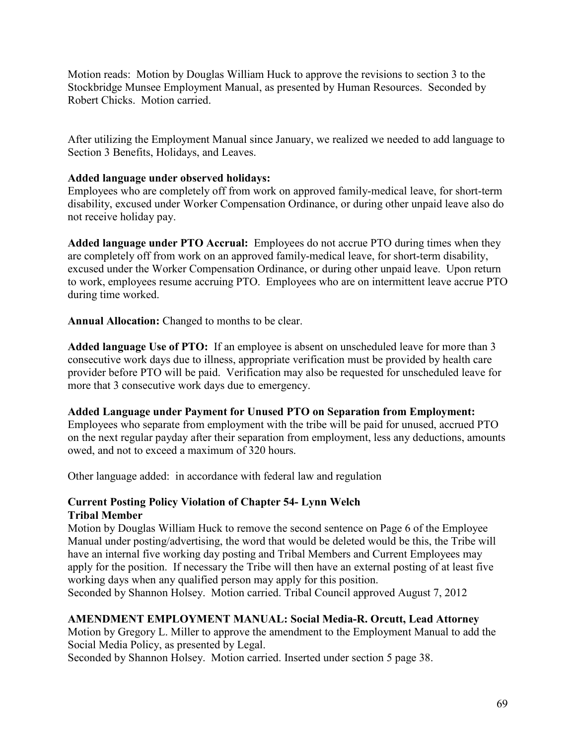Motion reads: Motion by Douglas William Huck to approve the revisions to section 3 to the Stockbridge Munsee Employment Manual, as presented by Human Resources. Seconded by Robert Chicks. Motion carried.

After utilizing the Employment Manual since January, we realized we needed to add language to Section 3 Benefits, Holidays, and Leaves.

## **Added language under observed holidays:**

Employees who are completely off from work on approved family-medical leave, for short-term disability, excused under Worker Compensation Ordinance, or during other unpaid leave also do not receive holiday pay.

**Added language under PTO Accrual:** Employees do not accrue PTO during times when they are completely off from work on an approved family-medical leave, for short-term disability, excused under the Worker Compensation Ordinance, or during other unpaid leave. Upon return to work, employees resume accruing PTO. Employees who are on intermittent leave accrue PTO during time worked.

**Annual Allocation:** Changed to months to be clear.

**Added language Use of PTO:** If an employee is absent on unscheduled leave for more than 3 consecutive work days due to illness, appropriate verification must be provided by health care provider before PTO will be paid. Verification may also be requested for unscheduled leave for more that 3 consecutive work days due to emergency.

## **Added Language under Payment for Unused PTO on Separation from Employment:**

Employees who separate from employment with the tribe will be paid for unused, accrued PTO on the next regular payday after their separation from employment, less any deductions, amounts owed, and not to exceed a maximum of 320 hours.

Other language added: in accordance with federal law and regulation

## **Current Posting Policy Violation of Chapter 54- Lynn Welch Tribal Member**

Motion by Douglas William Huck to remove the second sentence on Page 6 of the Employee Manual under posting/advertising, the word that would be deleted would be this, the Tribe will have an internal five working day posting and Tribal Members and Current Employees may apply for the position. If necessary the Tribe will then have an external posting of at least five working days when any qualified person may apply for this position.

Seconded by Shannon Holsey. Motion carried. Tribal Council approved August 7, 2012

## **AMENDMENT EMPLOYMENT MANUAL: Social Media-R. Orcutt, Lead Attorney**

Motion by Gregory L. Miller to approve the amendment to the Employment Manual to add the Social Media Policy, as presented by Legal.

Seconded by Shannon Holsey. Motion carried. Inserted under section 5 page 38.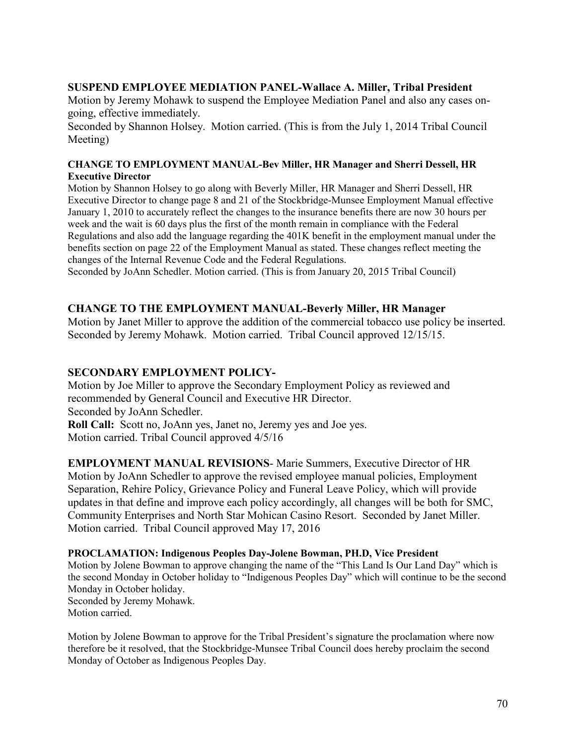## **SUSPEND EMPLOYEE MEDIATION PANEL-Wallace A. Miller, Tribal President**

Motion by Jeremy Mohawk to suspend the Employee Mediation Panel and also any cases ongoing, effective immediately.

Seconded by Shannon Holsey. Motion carried. (This is from the July 1, 2014 Tribal Council Meeting)

#### **CHANGE TO EMPLOYMENT MANUAL-Bev Miller, HR Manager and Sherri Dessell, HR Executive Director**

Motion by Shannon Holsey to go along with Beverly Miller, HR Manager and Sherri Dessell, HR Executive Director to change page 8 and 21 of the Stockbridge-Munsee Employment Manual effective January 1, 2010 to accurately reflect the changes to the insurance benefits there are now 30 hours per week and the wait is 60 days plus the first of the month remain in compliance with the Federal Regulations and also add the language regarding the 401K benefit in the employment manual under the benefits section on page 22 of the Employment Manual as stated. These changes reflect meeting the changes of the Internal Revenue Code and the Federal Regulations.

Seconded by JoAnn Schedler. Motion carried. (This is from January 20, 2015 Tribal Council)

## **CHANGE TO THE EMPLOYMENT MANUAL-Beverly Miller, HR Manager**

Motion by Janet Miller to approve the addition of the commercial tobacco use policy be inserted. Seconded by Jeremy Mohawk. Motion carried. Tribal Council approved 12/15/15.

## **SECONDARY EMPLOYMENT POLICY-**

Motion by Joe Miller to approve the Secondary Employment Policy as reviewed and recommended by General Council and Executive HR Director. Seconded by JoAnn Schedler. **Roll Call:** Scott no, JoAnn yes, Janet no, Jeremy yes and Joe yes.

Motion carried. Tribal Council approved 4/5/16

**EMPLOYMENT MANUAL REVISIONS**- Marie Summers, Executive Director of HR Motion by JoAnn Schedler to approve the revised employee manual policies, Employment Separation, Rehire Policy, Grievance Policy and Funeral Leave Policy, which will provide updates in that define and improve each policy accordingly, all changes will be both for SMC, Community Enterprises and North Star Mohican Casino Resort. Seconded by Janet Miller. Motion carried. Tribal Council approved May 17, 2016

#### **PROCLAMATION: Indigenous Peoples Day-Jolene Bowman, PH.D, Vice President**

Motion by Jolene Bowman to approve changing the name of the "This Land Is Our Land Day" which is the second Monday in October holiday to "Indigenous Peoples Day" which will continue to be the second Monday in October holiday. Seconded by Jeremy Mohawk.

Motion carried.

Motion by Jolene Bowman to approve for the Tribal President's signature the proclamation where now therefore be it resolved, that the Stockbridge-Munsee Tribal Council does hereby proclaim the second Monday of October as Indigenous Peoples Day.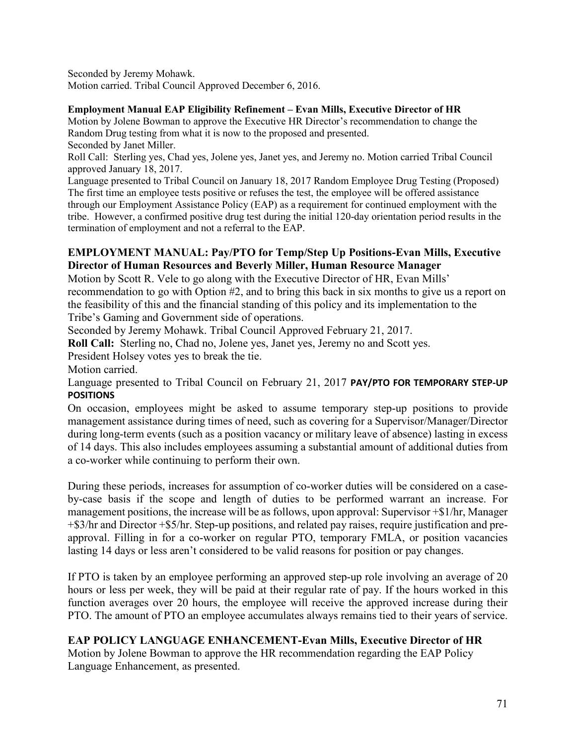Seconded by Jeremy Mohawk. Motion carried. Tribal Council Approved December 6, 2016.

## **Employment Manual EAP Eligibility Refinement – Evan Mills, Executive Director of HR**

Motion by Jolene Bowman to approve the Executive HR Director's recommendation to change the Random Drug testing from what it is now to the proposed and presented. Seconded by Janet Miller.

Roll Call: Sterling yes, Chad yes, Jolene yes, Janet yes, and Jeremy no. Motion carried Tribal Council approved January 18, 2017.

Language presented to Tribal Council on January 18, 2017 Random Employee Drug Testing (Proposed) The first time an employee tests positive or refuses the test, the employee will be offered assistance through our Employment Assistance Policy (EAP) as a requirement for continued employment with the tribe. However, a confirmed positive drug test during the initial 120-day orientation period results in the termination of employment and not a referral to the EAP.

## **EMPLOYMENT MANUAL: Pay/PTO for Temp/Step Up Positions-Evan Mills, Executive Director of Human Resources and Beverly Miller, Human Resource Manager**

Motion by Scott R. Vele to go along with the Executive Director of HR, Evan Mills' recommendation to go with Option #2, and to bring this back in six months to give us a report on the feasibility of this and the financial standing of this policy and its implementation to the Tribe's Gaming and Government side of operations.

Seconded by Jeremy Mohawk. Tribal Council Approved February 21, 2017.

**Roll Call:** Sterling no, Chad no, Jolene yes, Janet yes, Jeremy no and Scott yes.

President Holsey votes yes to break the tie.

Motion carried.

Language presented to Tribal Council on February 21, 2017 **PAY/PTO FOR TEMPORARY STEP-UP POSITIONS**

On occasion, employees might be asked to assume temporary step-up positions to provide management assistance during times of need, such as covering for a Supervisor/Manager/Director during long-term events (such as a position vacancy or military leave of absence) lasting in excess of 14 days. This also includes employees assuming a substantial amount of additional duties from a co-worker while continuing to perform their own.

During these periods, increases for assumption of co-worker duties will be considered on a caseby-case basis if the scope and length of duties to be performed warrant an increase. For management positions, the increase will be as follows, upon approval: Supervisor +\$1/hr, Manager +\$3/hr and Director +\$5/hr. Step-up positions, and related pay raises, require justification and preapproval. Filling in for a co-worker on regular PTO, temporary FMLA, or position vacancies lasting 14 days or less aren't considered to be valid reasons for position or pay changes.

If PTO is taken by an employee performing an approved step-up role involving an average of 20 hours or less per week, they will be paid at their regular rate of pay. If the hours worked in this function averages over 20 hours, the employee will receive the approved increase during their PTO. The amount of PTO an employee accumulates always remains tied to their years of service.

## **EAP POLICY LANGUAGE ENHANCEMENT-Evan Mills, Executive Director of HR**

Motion by Jolene Bowman to approve the HR recommendation regarding the EAP Policy Language Enhancement, as presented.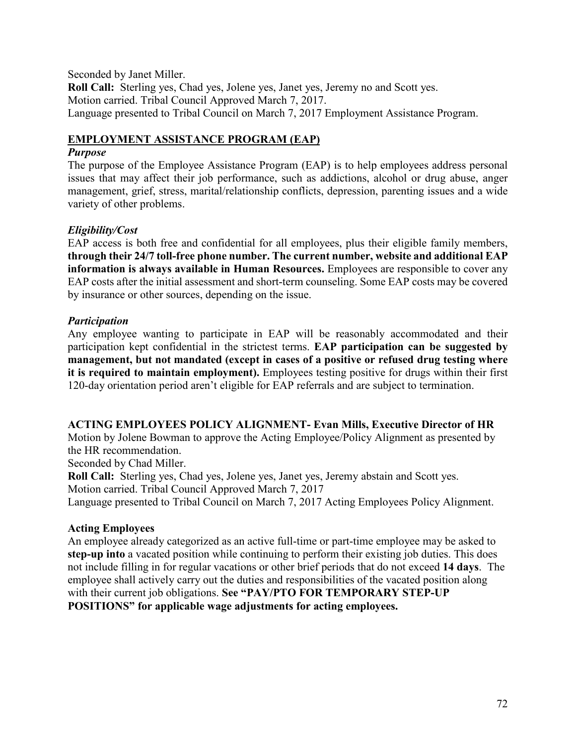Seconded by Janet Miller. **Roll Call:** Sterling yes, Chad yes, Jolene yes, Janet yes, Jeremy no and Scott yes. Motion carried. Tribal Council Approved March 7, 2017. Language presented to Tribal Council on March 7, 2017 Employment Assistance Program.

# **EMPLOYMENT ASSISTANCE PROGRAM (EAP)**

## *Purpose*

The purpose of the Employee Assistance Program (EAP) is to help employees address personal issues that may affect their job performance, such as addictions, alcohol or drug abuse, anger management, grief, stress, marital/relationship conflicts, depression, parenting issues and a wide variety of other problems.

# *Eligibility/Cost*

EAP access is both free and confidential for all employees, plus their eligible family members, **through their 24/7 toll-free phone number. The current number, website and additional EAP information is always available in Human Resources.** Employees are responsible to cover any EAP costs after the initial assessment and short-term counseling. Some EAP costs may be covered by insurance or other sources, depending on the issue.

## *Participation*

Any employee wanting to participate in EAP will be reasonably accommodated and their participation kept confidential in the strictest terms. **EAP participation can be suggested by management, but not mandated (except in cases of a positive or refused drug testing where it is required to maintain employment).** Employees testing positive for drugs within their first 120-day orientation period aren't eligible for EAP referrals and are subject to termination.

## **ACTING EMPLOYEES POLICY ALIGNMENT- Evan Mills, Executive Director of HR**

Motion by Jolene Bowman to approve the Acting Employee/Policy Alignment as presented by the HR recommendation.

Seconded by Chad Miller.

**Roll Call:** Sterling yes, Chad yes, Jolene yes, Janet yes, Jeremy abstain and Scott yes. Motion carried. Tribal Council Approved March 7, 2017 Language presented to Tribal Council on March 7, 2017 Acting Employees Policy Alignment.

## **Acting Employees**

An employee already categorized as an active full-time or part-time employee may be asked to **step-up into** a vacated position while continuing to perform their existing job duties. This does not include filling in for regular vacations or other brief periods that do not exceed **14 days**. The employee shall actively carry out the duties and responsibilities of the vacated position along with their current job obligations. **See "PAY/PTO FOR TEMPORARY STEP-UP POSITIONS" for applicable wage adjustments for acting employees.**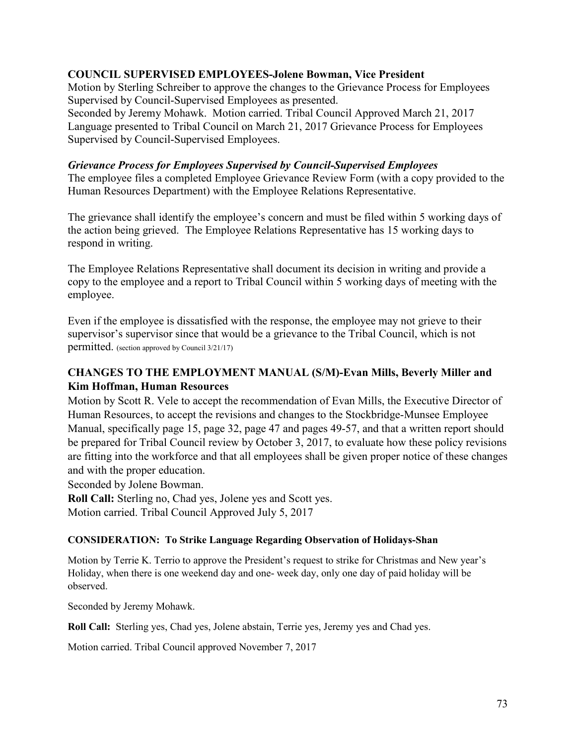## **COUNCIL SUPERVISED EMPLOYEES-Jolene Bowman, Vice President**

Motion by Sterling Schreiber to approve the changes to the Grievance Process for Employees Supervised by Council-Supervised Employees as presented.

Seconded by Jeremy Mohawk. Motion carried. Tribal Council Approved March 21, 2017 Language presented to Tribal Council on March 21, 2017 Grievance Process for Employees Supervised by Council-Supervised Employees.

## *Grievance Process for Employees Supervised by Council-Supervised Employees*

The employee files a completed Employee Grievance Review Form (with a copy provided to the Human Resources Department) with the Employee Relations Representative.

The grievance shall identify the employee's concern and must be filed within 5 working days of the action being grieved. The Employee Relations Representative has 15 working days to respond in writing.

The Employee Relations Representative shall document its decision in writing and provide a copy to the employee and a report to Tribal Council within 5 working days of meeting with the employee.

Even if the employee is dissatisfied with the response, the employee may not grieve to their supervisor's supervisor since that would be a grievance to the Tribal Council, which is not permitted. (section approved by Council 3/21/17)

# **CHANGES TO THE EMPLOYMENT MANUAL (S/M)-Evan Mills, Beverly Miller and Kim Hoffman, Human Resources**

Motion by Scott R. Vele to accept the recommendation of Evan Mills, the Executive Director of Human Resources, to accept the revisions and changes to the Stockbridge-Munsee Employee Manual, specifically page 15, page 32, page 47 and pages 49-57, and that a written report should be prepared for Tribal Council review by October 3, 2017, to evaluate how these policy revisions are fitting into the workforce and that all employees shall be given proper notice of these changes and with the proper education.

Seconded by Jolene Bowman.

**Roll Call:** Sterling no, Chad yes, Jolene yes and Scott yes. Motion carried. Tribal Council Approved July 5, 2017

## **CONSIDERATION: To Strike Language Regarding Observation of Holidays-Shan**

Motion by Terrie K. Terrio to approve the President's request to strike for Christmas and New year's Holiday, when there is one weekend day and one- week day, only one day of paid holiday will be observed.

Seconded by Jeremy Mohawk.

**Roll Call:** Sterling yes, Chad yes, Jolene abstain, Terrie yes, Jeremy yes and Chad yes.

Motion carried. Tribal Council approved November 7, 2017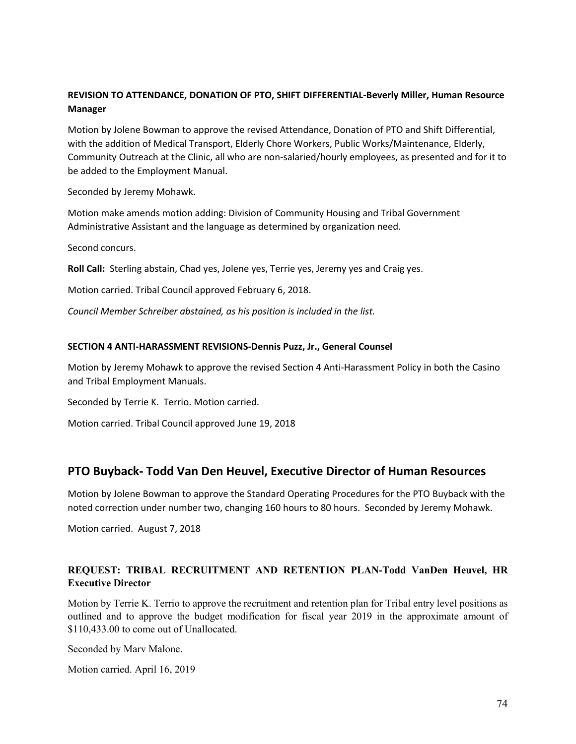## **REVISION TO ATTENDANCE, DONATION OF PTO, SHIFT DIFFERENTIAL-Beverly Miller, Human Resource Manager**

Motion by Jolene Bowman to approve the revised Attendance, Donation of PTO and Shift Differential, with the addition of Medical Transport, Elderly Chore Workers, Public Works/Maintenance, Elderly, Community Outreach at the Clinic, all who are non-salaried/hourly employees, as presented and for it to be added to the Employment Manual.

Seconded by Jeremy Mohawk.

Motion make amends motion adding: Division of Community Housing and Tribal Government Administrative Assistant and the language as determined by organization need.

Second concurs.

**Roll Call:** Sterling abstain, Chad yes, Jolene yes, Terrie yes, Jeremy yes and Craig yes.

Motion carried. Tribal Council approved February 6, 2018.

*Council Member Schreiber abstained, as his position is included in the list.*

#### **SECTION 4 ANTI-HARASSMENT REVISIONS-Dennis Puzz, Jr., General Counsel**

Motion by Jeremy Mohawk to approve the revised Section 4 Anti-Harassment Policy in both the Casino and Tribal Employment Manuals.

Seconded by Terrie K. Terrio. Motion carried.

Motion carried. Tribal Council approved June 19, 2018

## **PTO Buyback- Todd Van Den Heuvel, Executive Director of Human Resources**

Motion by Jolene Bowman to approve the Standard Operating Procedures for the PTO Buyback with the noted correction under number two, changing 160 hours to 80 hours. Seconded by Jeremy Mohawk.

Motion carried. August 7, 2018

## **REQUEST: TRIBAL RECRUITMENT AND RETENTION PLAN-Todd VanDen Heuvel, HR Executive Director**

Motion by Terrie K. Terrio to approve the recruitment and retention plan for Tribal entry level positions as outlined and to approve the budget modification for fiscal year 2019 in the approximate amount of \$110,433.00 to come out of Unallocated.

Seconded by Marv Malone.

Motion carried. April 16, 2019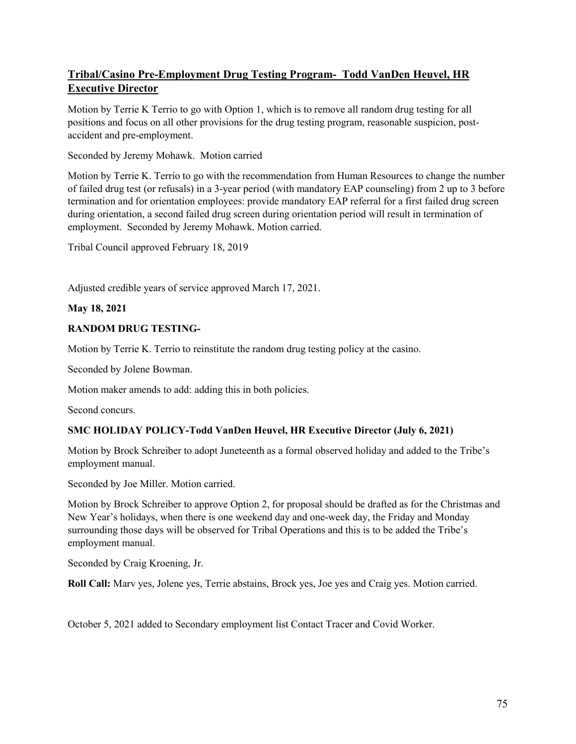# **Tribal/Casino Pre-Employment Drug Testing Program- Todd VanDen Heuvel, HR Executive Director**

Motion by Terrie K Terrio to go with Option 1, which is to remove all random drug testing for all positions and focus on all other provisions for the drug testing program, reasonable suspicion, postaccident and pre-employment.

Seconded by Jeremy Mohawk. Motion carried

Motion by Terrie K. Terrio to go with the recommendation from Human Resources to change the number of failed drug test (or refusals) in a 3-year period (with mandatory EAP counseling) from 2 up to 3 before termination and for orientation employees: provide mandatory EAP referral for a first failed drug screen during orientation, a second failed drug screen during orientation period will result in termination of employment. Seconded by Jeremy Mohawk. Motion carried.

Tribal Council approved February 18, 2019

Adjusted credible years of service approved March 17, 2021.

### **May 18, 2021**

## **RANDOM DRUG TESTING-**

Motion by Terrie K. Terrio to reinstitute the random drug testing policy at the casino.

Seconded by Jolene Bowman.

Motion maker amends to add: adding this in both policies.

Second concurs.

## **SMC HOLIDAY POLICY-Todd VanDen Heuvel, HR Executive Director (July 6, 2021)**

Motion by Brock Schreiber to adopt Juneteenth as a formal observed holiday and added to the Tribe's employment manual.

Seconded by Joe Miller. Motion carried.

Motion by Brock Schreiber to approve Option 2, for proposal should be drafted as for the Christmas and New Year's holidays, when there is one weekend day and one-week day, the Friday and Monday surrounding those days will be observed for Tribal Operations and this is to be added the Tribe's employment manual.

Seconded by Craig Kroening, Jr.

**Roll Call:** Marv yes, Jolene yes, Terrie abstains, Brock yes, Joe yes and Craig yes. Motion carried.

October 5, 2021 added to Secondary employment list Contact Tracer and Covid Worker.